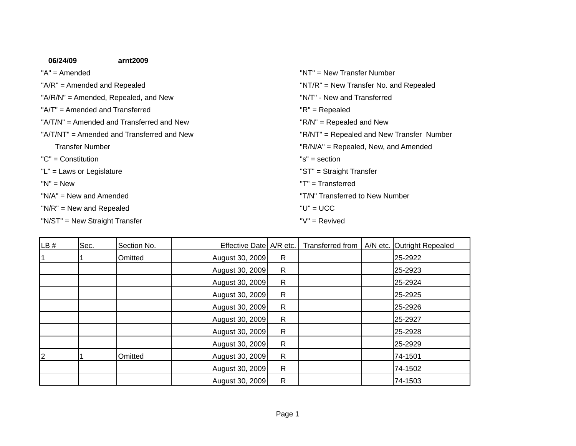| 06/24/09                       | arnt2009                                   |                                           |
|--------------------------------|--------------------------------------------|-------------------------------------------|
| $A'' = A$ mended               |                                            | "NT" = New Transfer Number                |
|                                | " $A/R$ " = Amended and Repealed           | "NT/R" = New Transfer No. and Repealed    |
|                                | "A/R/N" = Amended, Repealed, and New       | "N/T" - New and Transferred               |
|                                | $A/T'' = A$ mended and Transferred         | $"R" = Repealed$                          |
|                                | "A/T/N" = Amended and Transferred and New  | $"R/N" = Repeated$ and New                |
|                                | "A/T/NT" = Amended and Transferred and New | "R/NT" = Repealed and New Transfer Number |
| <b>Transfer Number</b>         |                                            | "R/N/A" = Repealed, New, and Amended      |
| $"C" = Constantution$          |                                            | "s" = section                             |
| "L" = Laws or Legislature      |                                            | "ST" = Straight Transfer                  |
| $"N" = New$                    |                                            | "T" = Transferred                         |
| $N/A'' = New$ and Amended      |                                            | "T/N" Transferred to New Number           |
| " $N/R$ " = New and Repealed   |                                            | $"U" = UCC$                               |
| "N/ST" = New Straight Transfer |                                            | "V" = Revived                             |

| LB# | Sec. | Section No. | Effective Date   A/R etc. |              | Transferred from | A/N etc. Outright Repealed |
|-----|------|-------------|---------------------------|--------------|------------------|----------------------------|
| l 1 |      | Omitted     | August 30, 2009           | $\mathsf{R}$ |                  | 25-2922                    |
|     |      |             | August 30, 2009           | $\mathsf{R}$ |                  | 25-2923                    |
|     |      |             | August 30, 2009           | $\mathsf{R}$ |                  | 25-2924                    |
|     |      |             | August 30, 2009           | $\mathsf{R}$ |                  | 25-2925                    |
|     |      |             | August 30, 2009           | $\mathsf{R}$ |                  | 25-2926                    |
|     |      |             | August 30, 2009           | $\mathsf{R}$ |                  | 25-2927                    |
|     |      |             | August 30, 2009           | $\mathsf{R}$ |                  | 25-2928                    |
|     |      |             | August 30, 2009           | $\mathsf{R}$ |                  | 25-2929                    |
| 2   |      | Omitted     | August 30, 2009           | $\mathsf{R}$ |                  | 74-1501                    |
|     |      |             | August 30, 2009           | $\mathsf{R}$ |                  | 74-1502                    |
|     |      |             | August 30, 2009           | R            |                  | 74-1503                    |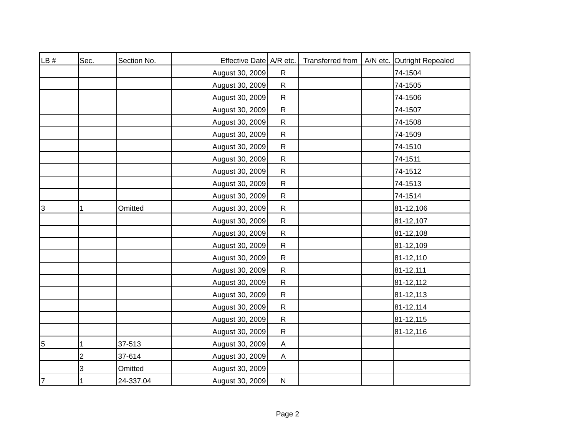| LB# | Sec.           | Section No. | Effective Date A/R etc. |              | Transferred from | A/N etc. Outright Repealed |
|-----|----------------|-------------|-------------------------|--------------|------------------|----------------------------|
|     |                |             | August 30, 2009         | $\mathsf{R}$ |                  | 74-1504                    |
|     |                |             | August 30, 2009         | ${\sf R}$    |                  | 74-1505                    |
|     |                |             | August 30, 2009         | ${\sf R}$    |                  | 74-1506                    |
|     |                |             | August 30, 2009         | ${\sf R}$    |                  | 74-1507                    |
|     |                |             | August 30, 2009         | ${\sf R}$    |                  | 74-1508                    |
|     |                |             | August 30, 2009         | ${\sf R}$    |                  | 74-1509                    |
|     |                |             | August 30, 2009         | ${\sf R}$    |                  | 74-1510                    |
|     |                |             | August 30, 2009         | ${\sf R}$    |                  | 74-1511                    |
|     |                |             | August 30, 2009         | ${\sf R}$    |                  | 74-1512                    |
|     |                |             | August 30, 2009         | ${\sf R}$    |                  | 74-1513                    |
|     |                |             | August 30, 2009         | ${\sf R}$    |                  | 74-1514                    |
| 3   | $\mathbf{1}$   | Omitted     | August 30, 2009         | ${\sf R}$    |                  | 81-12,106                  |
|     |                |             | August 30, 2009         | ${\sf R}$    |                  | 81-12,107                  |
|     |                |             | August 30, 2009         | $\mathsf{R}$ |                  | 81-12,108                  |
|     |                |             | August 30, 2009         | ${\sf R}$    |                  | 81-12,109                  |
|     |                |             | August 30, 2009         | $\mathsf{R}$ |                  | 81-12,110                  |
|     |                |             | August 30, 2009         | ${\sf R}$    |                  | 81-12,111                  |
|     |                |             | August 30, 2009         | $\mathsf{R}$ |                  | 81-12,112                  |
|     |                |             | August 30, 2009         | ${\sf R}$    |                  | 81-12,113                  |
|     |                |             | August 30, 2009         | ${\sf R}$    |                  | 81-12,114                  |
|     |                |             | August 30, 2009         | ${\sf R}$    |                  | 81-12,115                  |
|     |                |             | August 30, 2009         | ${\sf R}$    |                  | 81-12,116                  |
| 5   | $\mathbf{1}$   | 37-513      | August 30, 2009         | Α            |                  |                            |
|     | $\overline{c}$ | 37-614      | August 30, 2009         | A            |                  |                            |
|     | 3              | Omitted     | August 30, 2009         |              |                  |                            |
| 7   | $\mathbf{1}$   | 24-337.04   | August 30, 2009         | ${\sf N}$    |                  |                            |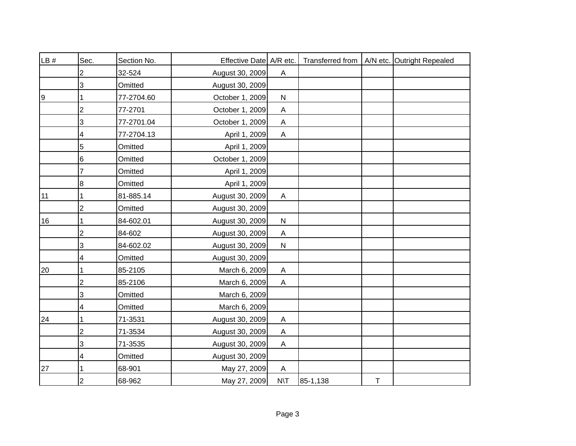| LB # | Sec.           | Section No. | Effective Date A/R etc. |                           |          |   | Transferred from   A/N etc. Outright Repealed |
|------|----------------|-------------|-------------------------|---------------------------|----------|---|-----------------------------------------------|
|      | 2              | 32-524      | August 30, 2009         | A                         |          |   |                                               |
|      | 3              | Omitted     | August 30, 2009         |                           |          |   |                                               |
| 9    |                | 77-2704.60  | October 1, 2009         | ${\sf N}$                 |          |   |                                               |
|      | 2              | 77-2701     | October 1, 2009         | $\boldsymbol{\mathsf{A}}$ |          |   |                                               |
|      | 3              | 77-2701.04  | October 1, 2009         | A                         |          |   |                                               |
|      | 4              | 77-2704.13  | April 1, 2009           | A                         |          |   |                                               |
|      | 5              | Omitted     | April 1, 2009           |                           |          |   |                                               |
|      | 6              | Omitted     | October 1, 2009         |                           |          |   |                                               |
|      |                | Omitted     | April 1, 2009           |                           |          |   |                                               |
|      | 8              | Omitted     | April 1, 2009           |                           |          |   |                                               |
| 11   |                | 81-885.14   | August 30, 2009         | A                         |          |   |                                               |
|      | $\overline{2}$ | Omitted     | August 30, 2009         |                           |          |   |                                               |
| 16   |                | 84-602.01   | August 30, 2009         | ${\sf N}$                 |          |   |                                               |
|      | 2              | 84-602      | August 30, 2009         | $\boldsymbol{\mathsf{A}}$ |          |   |                                               |
|      | 3              | 84-602.02   | August 30, 2009         | ${\sf N}$                 |          |   |                                               |
|      | 4              | Omitted     | August 30, 2009         |                           |          |   |                                               |
| 20   |                | 85-2105     | March 6, 2009           | $\boldsymbol{\mathsf{A}}$ |          |   |                                               |
|      | $\overline{c}$ | 85-2106     | March 6, 2009           | $\boldsymbol{\mathsf{A}}$ |          |   |                                               |
|      | 3              | Omitted     | March 6, 2009           |                           |          |   |                                               |
|      | 4              | Omitted     | March 6, 2009           |                           |          |   |                                               |
| 24   |                | 71-3531     | August 30, 2009         | Α                         |          |   |                                               |
|      | 2              | 71-3534     | August 30, 2009         | $\boldsymbol{\mathsf{A}}$ |          |   |                                               |
|      | 3              | 71-3535     | August 30, 2009         | A                         |          |   |                                               |
|      | 4              | Omitted     | August 30, 2009         |                           |          |   |                                               |
| 27   |                | 68-901      | May 27, 2009            | A                         |          |   |                                               |
|      | $\overline{2}$ | 68-962      | May 27, 2009            | $N\setminus T$            | 85-1,138 | T |                                               |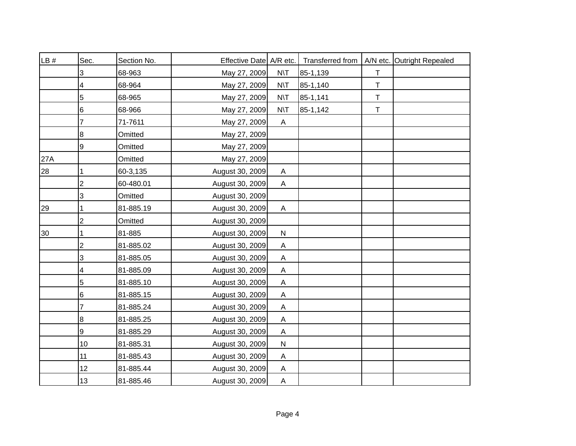| LB # | Sec.            | Section No. | Effective Date A/R etc. |                |          |             | Transferred from   A/N etc. Outright Repealed |
|------|-----------------|-------------|-------------------------|----------------|----------|-------------|-----------------------------------------------|
|      | 3               | 68-963      | May 27, 2009            | $N\setminus T$ | 85-1,139 | $\mathsf T$ |                                               |
|      | 4               | 68-964      | May 27, 2009            | $N\setminus T$ | 85-1,140 | T           |                                               |
|      | 5               | 68-965      | May 27, 2009            | $N\setminus T$ | 85-1,141 | $\top$      |                                               |
|      | 6               | 68-966      | May 27, 2009            | $N\setminus T$ | 85-1,142 | $\mathsf T$ |                                               |
|      | 7               | 71-7611     | May 27, 2009            | $\mathsf{A}$   |          |             |                                               |
|      | 8               | Omitted     | May 27, 2009            |                |          |             |                                               |
|      | 9               | Omitted     | May 27, 2009            |                |          |             |                                               |
| 27A  |                 | Omitted     | May 27, 2009            |                |          |             |                                               |
| 28   | 1               | 60-3,135    | August 30, 2009         | A              |          |             |                                               |
|      | $\overline{2}$  | 60-480.01   | August 30, 2009         | A              |          |             |                                               |
|      | 3               | Omitted     | August 30, 2009         |                |          |             |                                               |
| 29   |                 | 81-885.19   | August 30, 2009         | $\mathsf{A}$   |          |             |                                               |
|      | $\overline{2}$  | Omitted     | August 30, 2009         |                |          |             |                                               |
| 30   |                 | 81-885      | August 30, 2009         | ${\sf N}$      |          |             |                                               |
|      | $\overline{2}$  | 81-885.02   | August 30, 2009         | A              |          |             |                                               |
|      | 3               | 81-885.05   | August 30, 2009         | A              |          |             |                                               |
|      | 4               | 81-885.09   | August 30, 2009         | A              |          |             |                                               |
|      | 5               | 81-885.10   | August 30, 2009         | A              |          |             |                                               |
|      | 6               | 81-885.15   | August 30, 2009         | A              |          |             |                                               |
|      | 7               | 81-885.24   | August 30, 2009         | A              |          |             |                                               |
|      | 8               | 81-885.25   | August 30, 2009         | A              |          |             |                                               |
|      | 9               | 81-885.29   | August 30, 2009         | A              |          |             |                                               |
|      | 10 <sup>1</sup> | 81-885.31   | August 30, 2009         | ${\sf N}$      |          |             |                                               |
|      | 11              | 81-885.43   | August 30, 2009         | Α              |          |             |                                               |
|      | 12 <sup>2</sup> | 81-885.44   | August 30, 2009         | $\mathsf{A}$   |          |             |                                               |
|      | 13              | 81-885.46   | August 30, 2009         | A              |          |             |                                               |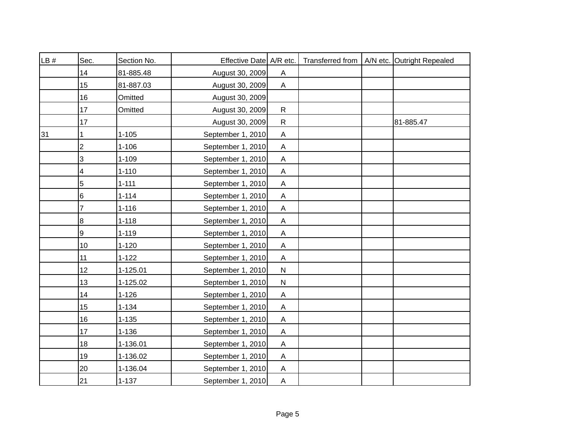| LB# | Sec.            | Section No. | Effective Date A/R etc. |                           |  | Transferred from   A/N etc. Outright Repealed |
|-----|-----------------|-------------|-------------------------|---------------------------|--|-----------------------------------------------|
|     | 14              | 81-885.48   | August 30, 2009         | Α                         |  |                                               |
|     | 15              | 81-887.03   | August 30, 2009         | $\boldsymbol{\mathsf{A}}$ |  |                                               |
|     | 16              | Omitted     | August 30, 2009         |                           |  |                                               |
|     | 17              | Omitted     | August 30, 2009         | $\mathsf{R}$              |  |                                               |
|     | 17              |             | August 30, 2009         | $\mathsf{R}$              |  | 81-885.47                                     |
| 31  | 1               | $1 - 105$   | September 1, 2010       | A                         |  |                                               |
|     | $\overline{2}$  | $1 - 106$   | September 1, 2010       | $\mathsf{A}$              |  |                                               |
|     | 3               | $1 - 109$   | September 1, 2010       | A                         |  |                                               |
|     | 4               | $1 - 110$   | September 1, 2010       | $\mathsf{A}$              |  |                                               |
|     | 5               | $1 - 111$   | September 1, 2010       | $\mathsf{A}$              |  |                                               |
|     | 6               | $1 - 114$   | September 1, 2010       | $\mathsf{A}$              |  |                                               |
|     | 7               | $1 - 116$   | September 1, 2010       | $\mathsf{A}$              |  |                                               |
|     | 8               | $1 - 118$   | September 1, 2010       | $\mathsf{A}$              |  |                                               |
|     | 9               | $1 - 119$   | September 1, 2010       | $\mathsf{A}$              |  |                                               |
|     | 10              | $1 - 120$   | September 1, 2010       | $\mathsf{A}$              |  |                                               |
|     | 11              | $1 - 122$   | September 1, 2010       | A                         |  |                                               |
|     | 12 <sup>°</sup> | 1-125.01    | September 1, 2010       | $\mathsf{N}$              |  |                                               |
|     | 13              | 1-125.02    | September 1, 2010       | ${\sf N}$                 |  |                                               |
|     | 14              | $1 - 126$   | September 1, 2010       | A                         |  |                                               |
|     | 15              | $1 - 134$   | September 1, 2010       | A                         |  |                                               |
|     | 16              | $1 - 135$   | September 1, 2010       | A                         |  |                                               |
|     | 17              | $1 - 136$   | September 1, 2010       | A                         |  |                                               |
|     | 18              | 1-136.01    | September 1, 2010       | A                         |  |                                               |
|     | 19              | 1-136.02    | September 1, 2010       | A                         |  |                                               |
|     | 20              | 1-136.04    | September 1, 2010       | $\mathsf{A}$              |  |                                               |
|     | 21              | $1 - 137$   | September 1, 2010       | $\mathsf{A}$              |  |                                               |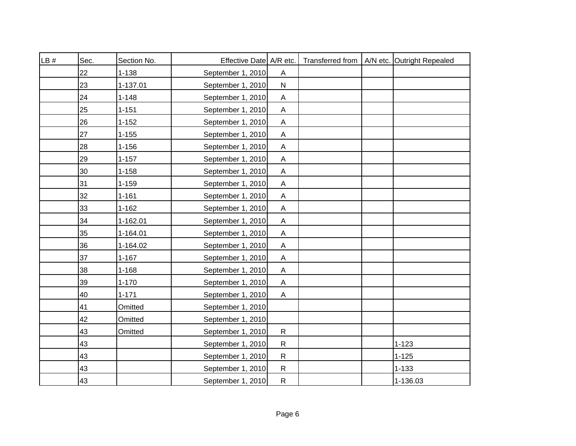| LB# | Sec. | Section No. | Effective Date A/R etc. |                           |  | Transferred from   A/N etc. Outright Repealed |
|-----|------|-------------|-------------------------|---------------------------|--|-----------------------------------------------|
|     | 22   | $1 - 138$   | September 1, 2010       | $\boldsymbol{\mathsf{A}}$ |  |                                               |
|     | 23   | 1-137.01    | September 1, 2010       | ${\sf N}$                 |  |                                               |
|     | 24   | $1 - 148$   | September 1, 2010       | A                         |  |                                               |
|     | 25   | $1 - 151$   | September 1, 2010       | $\boldsymbol{\mathsf{A}}$ |  |                                               |
|     | 26   | $1 - 152$   | September 1, 2010       | $\boldsymbol{\mathsf{A}}$ |  |                                               |
|     | 27   | $1 - 155$   | September 1, 2010       | $\boldsymbol{\mathsf{A}}$ |  |                                               |
|     | 28   | $1 - 156$   | September 1, 2010       | $\boldsymbol{\mathsf{A}}$ |  |                                               |
|     | 29   | $1 - 157$   | September 1, 2010       | $\boldsymbol{\mathsf{A}}$ |  |                                               |
|     | 30   | $1 - 158$   | September 1, 2010       | $\boldsymbol{\mathsf{A}}$ |  |                                               |
|     | 31   | $1 - 159$   | September 1, 2010       | $\boldsymbol{\mathsf{A}}$ |  |                                               |
|     | 32   | $1 - 161$   | September 1, 2010       | Α                         |  |                                               |
|     | 33   | $1 - 162$   | September 1, 2010       | Α                         |  |                                               |
|     | 34   | 1-162.01    | September 1, 2010       | A                         |  |                                               |
|     | 35   | 1-164.01    | September 1, 2010       | A                         |  |                                               |
|     | 36   | 1-164.02    | September 1, 2010       | A                         |  |                                               |
|     | 37   | $1 - 167$   | September 1, 2010       | A                         |  |                                               |
|     | 38   | $1 - 168$   | September 1, 2010       | A                         |  |                                               |
|     | 39   | $1 - 170$   | September 1, 2010       | A                         |  |                                               |
|     | 40   | $1 - 171$   | September 1, 2010       | $\mathsf A$               |  |                                               |
|     | 41   | Omitted     | September 1, 2010       |                           |  |                                               |
|     | 42   | Omitted     | September 1, 2010       |                           |  |                                               |
|     | 43   | Omitted     | September 1, 2010       | $\mathsf{R}$              |  |                                               |
|     | 43   |             | September 1, 2010       | ${\sf R}$                 |  | $1 - 123$                                     |
|     | 43   |             | September 1, 2010       | ${\sf R}$                 |  | $1 - 125$                                     |
|     | 43   |             | September 1, 2010       | $\mathsf{R}$              |  | $1 - 133$                                     |
|     | 43   |             | September 1, 2010       | $\overline{\mathsf{R}}$   |  | 1-136.03                                      |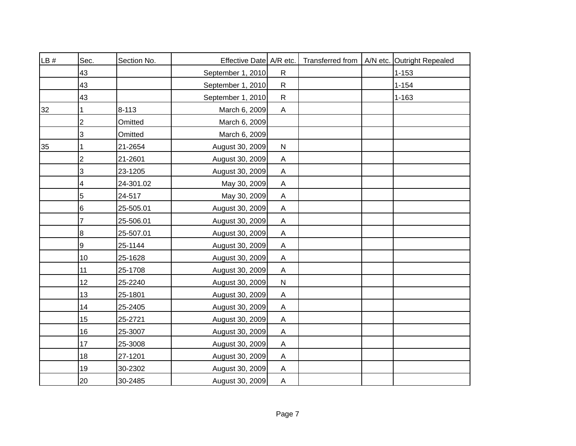| LB# | Sec.           | Section No. | Effective Date A/R etc. |                           | Transferred from | A/N etc. Outright Repealed |
|-----|----------------|-------------|-------------------------|---------------------------|------------------|----------------------------|
|     | 43             |             | September 1, 2010       | $\mathsf{R}$              |                  | $1 - 153$                  |
|     | 43             |             | September 1, 2010       | $\mathsf{R}$              |                  | $1 - 154$                  |
|     | 43             |             | September 1, 2010       | $\mathsf{R}$              |                  | $1 - 163$                  |
| 32  |                | $8 - 113$   | March 6, 2009           | A                         |                  |                            |
|     | $\overline{2}$ | Omitted     | March 6, 2009           |                           |                  |                            |
|     | 3              | Omitted     | March 6, 2009           |                           |                  |                            |
| 35  |                | 21-2654     | August 30, 2009         | $\mathsf{N}$              |                  |                            |
|     | $\overline{2}$ | 21-2601     | August 30, 2009         | $\mathsf{A}$              |                  |                            |
|     | 3              | 23-1205     | August 30, 2009         | $\mathsf{A}$              |                  |                            |
|     | 4              | 24-301.02   | May 30, 2009            | $\mathsf{A}$              |                  |                            |
|     | 5              | 24-517      | May 30, 2009            | $\mathsf{A}$              |                  |                            |
|     | 6              | 25-505.01   | August 30, 2009         | $\mathsf{A}$              |                  |                            |
|     | 7              | 25-506.01   | August 30, 2009         | $\overline{A}$            |                  |                            |
|     | 8              | 25-507.01   | August 30, 2009         | $\mathsf{A}$              |                  |                            |
|     | 9              | 25-1144     | August 30, 2009         | A                         |                  |                            |
|     | 10             | 25-1628     | August 30, 2009         | A                         |                  |                            |
|     | 11             | 25-1708     | August 30, 2009         | A                         |                  |                            |
|     | 12             | 25-2240     | August 30, 2009         | ${\sf N}$                 |                  |                            |
|     | 13             | 25-1801     | August 30, 2009         | Α                         |                  |                            |
|     | 14             | 25-2405     | August 30, 2009         | $\mathsf{A}$              |                  |                            |
|     | 15             | 25-2721     | August 30, 2009         | $\mathsf{A}$              |                  |                            |
|     | 16             | 25-3007     | August 30, 2009         | A                         |                  |                            |
|     | 17             | 25-3008     | August 30, 2009         | A                         |                  |                            |
|     | 18             | 27-1201     | August 30, 2009         | $\boldsymbol{\mathsf{A}}$ |                  |                            |
|     | 19             | 30-2302     | August 30, 2009         | A                         |                  |                            |
|     | 20             | 30-2485     | August 30, 2009         | $\overline{A}$            |                  |                            |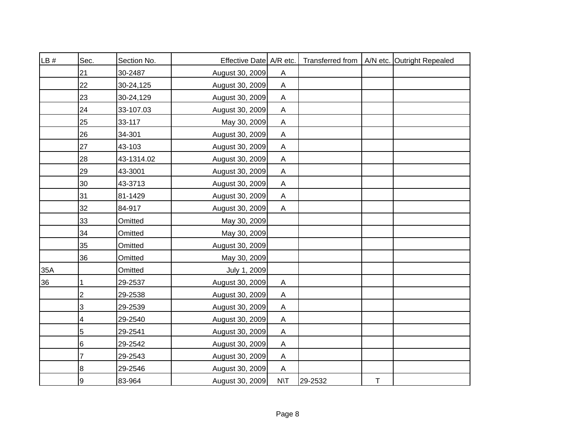| LB# | Sec.           | Section No. | Effective Date A/R etc. |                           |         |             | Transferred from   A/N etc. Outright Repealed |
|-----|----------------|-------------|-------------------------|---------------------------|---------|-------------|-----------------------------------------------|
|     | 21             | 30-2487     | August 30, 2009         | A                         |         |             |                                               |
|     | 22             | 30-24,125   | August 30, 2009         | $\mathsf{A}$              |         |             |                                               |
|     | 23             | 30-24,129   | August 30, 2009         | A                         |         |             |                                               |
|     | 24             | 33-107.03   | August 30, 2009         | $\mathsf{A}$              |         |             |                                               |
|     | 25             | 33-117      | May 30, 2009            | $\mathsf{A}$              |         |             |                                               |
|     | 26             | 34-301      | August 30, 2009         | A                         |         |             |                                               |
|     | 27             | 43-103      | August 30, 2009         | A                         |         |             |                                               |
|     | 28             | 43-1314.02  | August 30, 2009         | $\mathsf{A}$              |         |             |                                               |
|     | 29             | 43-3001     | August 30, 2009         | A                         |         |             |                                               |
|     | 30             | 43-3713     | August 30, 2009         | A                         |         |             |                                               |
|     | 31             | 81-1429     | August 30, 2009         | $\mathsf{A}$              |         |             |                                               |
|     | 32             | 84-917      | August 30, 2009         | $\mathsf{A}$              |         |             |                                               |
|     | 33             | Omitted     | May 30, 2009            |                           |         |             |                                               |
|     | 34             | Omitted     | May 30, 2009            |                           |         |             |                                               |
|     | 35             | Omitted     | August 30, 2009         |                           |         |             |                                               |
|     | 36             | Omitted     | May 30, 2009            |                           |         |             |                                               |
| 35A |                | Omitted     | July 1, 2009            |                           |         |             |                                               |
| 36  | 1              | 29-2537     | August 30, 2009         | $\mathsf{A}$              |         |             |                                               |
|     | $\overline{c}$ | 29-2538     | August 30, 2009         | $\mathsf{A}$              |         |             |                                               |
|     | 3              | 29-2539     | August 30, 2009         | A                         |         |             |                                               |
|     | 4              | 29-2540     | August 30, 2009         | $\boldsymbol{\mathsf{A}}$ |         |             |                                               |
|     | $\mathbf 5$    | 29-2541     | August 30, 2009         | A                         |         |             |                                               |
|     | $\,6$          | 29-2542     | August 30, 2009         | A                         |         |             |                                               |
|     | 7              | 29-2543     | August 30, 2009         | A                         |         |             |                                               |
|     | 8              | 29-2546     | August 30, 2009         | A                         |         |             |                                               |
|     | 9              | 83-964      | August 30, 2009         | $N\setminus T$            | 29-2532 | $\mathsf T$ |                                               |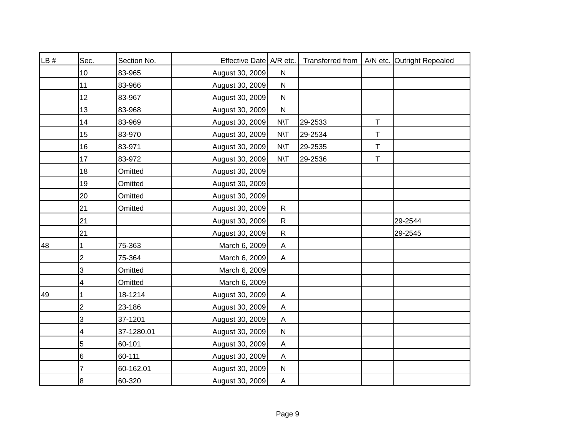| LB # | Sec.           | Section No. | Effective Date A/R etc. |                |         |             | Transferred from   A/N etc. Outright Repealed |
|------|----------------|-------------|-------------------------|----------------|---------|-------------|-----------------------------------------------|
|      | 10             | 83-965      | August 30, 2009         | ${\sf N}$      |         |             |                                               |
|      | 11             | 83-966      | August 30, 2009         | ${\sf N}$      |         |             |                                               |
|      | 12             | 83-967      | August 30, 2009         | ${\sf N}$      |         |             |                                               |
|      | 13             | 83-968      | August 30, 2009         | ${\sf N}$      |         |             |                                               |
|      | 14             | 83-969      | August 30, 2009         | $N\setminus T$ | 29-2533 | $\mathsf T$ |                                               |
|      | 15             | 83-970      | August 30, 2009         | $N\setminus T$ | 29-2534 | T           |                                               |
|      | 16             | 83-971      | August 30, 2009         | $N\setminus T$ | 29-2535 | T           |                                               |
|      | 17             | 83-972      | August 30, 2009         | $N\setminus T$ | 29-2536 | Τ           |                                               |
|      | 18             | Omitted     | August 30, 2009         |                |         |             |                                               |
|      | 19             | Omitted     | August 30, 2009         |                |         |             |                                               |
|      | 20             | Omitted     | August 30, 2009         |                |         |             |                                               |
|      | 21             | Omitted     | August 30, 2009         | $\mathsf{R}$   |         |             |                                               |
|      | 21             |             | August 30, 2009         | $\mathsf{R}$   |         |             | 29-2544                                       |
|      | 21             |             | August 30, 2009         | $\mathsf{R}$   |         |             | 29-2545                                       |
| 48   | 1              | 75-363      | March 6, 2009           | A              |         |             |                                               |
|      | 2              | 75-364      | March 6, 2009           | A              |         |             |                                               |
|      | 3              | Omitted     | March 6, 2009           |                |         |             |                                               |
|      | 4              | Omitted     | March 6, 2009           |                |         |             |                                               |
| 49   | 1              | 18-1214     | August 30, 2009         | A              |         |             |                                               |
|      | $\overline{c}$ | 23-186      | August 30, 2009         | $\mathsf{A}$   |         |             |                                               |
|      | 3              | 37-1201     | August 30, 2009         | $\mathsf{A}$   |         |             |                                               |
|      | 4              | 37-1280.01  | August 30, 2009         | ${\sf N}$      |         |             |                                               |
|      | 5              | 60-101      | August 30, 2009         | $\mathsf{A}$   |         |             |                                               |
|      | 6              | 60-111      | August 30, 2009         | A              |         |             |                                               |
|      | 7              | 60-162.01   | August 30, 2009         | $\mathsf{N}$   |         |             |                                               |
|      | 8              | 60-320      | August 30, 2009         | $\overline{A}$ |         |             |                                               |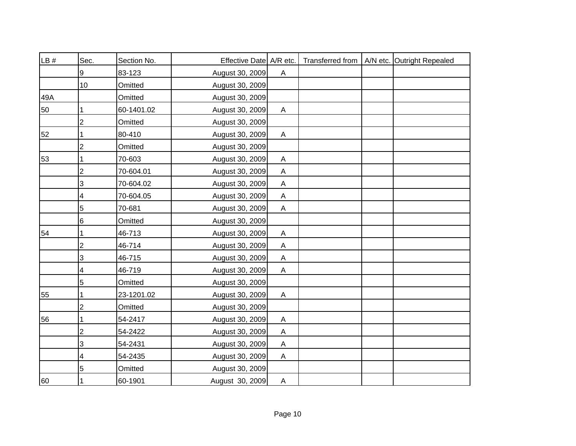| LB # | Sec.           | Section No. | Effective Date A/R etc. |              |  | Transferred from   A/N etc. Outright Repealed |
|------|----------------|-------------|-------------------------|--------------|--|-----------------------------------------------|
|      | 9              | 83-123      | August 30, 2009         | $\mathsf{A}$ |  |                                               |
|      | 10             | Omitted     | August 30, 2009         |              |  |                                               |
| 49A  |                | Omitted     | August 30, 2009         |              |  |                                               |
| 50   | 1              | 60-1401.02  | August 30, 2009         | $\mathsf{A}$ |  |                                               |
|      | 2              | Omitted     | August 30, 2009         |              |  |                                               |
| 52   |                | 80-410      | August 30, 2009         | A            |  |                                               |
|      | 2              | Omitted     | August 30, 2009         |              |  |                                               |
| 53   |                | 70-603      | August 30, 2009         | $\mathsf{A}$ |  |                                               |
|      | $\overline{2}$ | 70-604.01   | August 30, 2009         | $\mathsf{A}$ |  |                                               |
|      | 3              | 70-604.02   | August 30, 2009         | A            |  |                                               |
|      | 4              | 70-604.05   | August 30, 2009         | Α            |  |                                               |
|      | 5              | 70-681      | August 30, 2009         | $\mathsf{A}$ |  |                                               |
|      | 6              | Omitted     | August 30, 2009         |              |  |                                               |
| 54   | 1              | 46-713      | August 30, 2009         | A            |  |                                               |
|      | $\overline{2}$ | 46-714      | August 30, 2009         | $\mathsf{A}$ |  |                                               |
|      | 3              | 46-715      | August 30, 2009         | $\mathsf{A}$ |  |                                               |
|      | 4              | 46-719      | August 30, 2009         | $\mathsf{A}$ |  |                                               |
|      | 5              | Omitted     | August 30, 2009         |              |  |                                               |
| 55   |                | 23-1201.02  | August 30, 2009         | Α            |  |                                               |
|      | 2              | Omitted     | August 30, 2009         |              |  |                                               |
| 56   |                | 54-2417     | August 30, 2009         | Α            |  |                                               |
|      | $\overline{c}$ | 54-2422     | August 30, 2009         | A            |  |                                               |
|      | 3              | 54-2431     | August 30, 2009         | $\mathsf{A}$ |  |                                               |
|      | 4              | 54-2435     | August 30, 2009         | A            |  |                                               |
|      | 5              | Omitted     | August 30, 2009         |              |  |                                               |
| 60   |                | 60-1901     | August 30, 2009         | A            |  |                                               |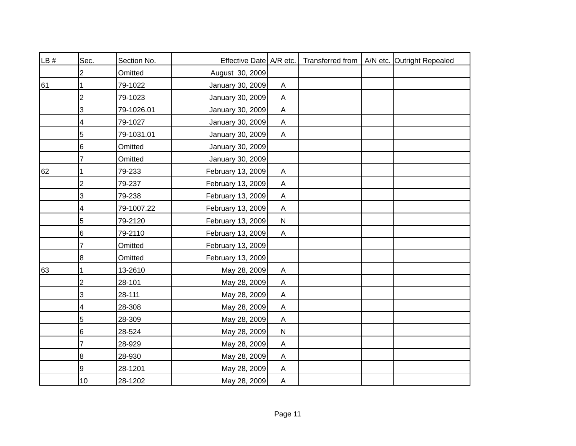| LB # | Sec.                    | Section No. | Effective Date A/R etc. |                           |  | Transferred from   A/N etc. Outright Repealed |
|------|-------------------------|-------------|-------------------------|---------------------------|--|-----------------------------------------------|
|      | 2                       | Omitted     | August 30, 2009         |                           |  |                                               |
| 61   |                         | 79-1022     | January 30, 2009        | A                         |  |                                               |
|      | 2                       | 79-1023     | January 30, 2009        | A                         |  |                                               |
|      | 3                       | 79-1026.01  | January 30, 2009        | $\mathsf{A}$              |  |                                               |
|      | 4                       | 79-1027     | January 30, 2009        | A                         |  |                                               |
|      | 5                       | 79-1031.01  | January 30, 2009        | A                         |  |                                               |
|      | 6                       | Omitted     | January 30, 2009        |                           |  |                                               |
|      | 7                       | Omitted     | January 30, 2009        |                           |  |                                               |
| 62   |                         | 79-233      | February 13, 2009       | A                         |  |                                               |
|      | $\overline{\mathbf{c}}$ | 79-237      | February 13, 2009       | $\boldsymbol{\mathsf{A}}$ |  |                                               |
|      | 3                       | 79-238      | February 13, 2009       | Α                         |  |                                               |
|      | 4                       | 79-1007.22  | February 13, 2009       | $\mathsf A$               |  |                                               |
|      | 5                       | 79-2120     | February 13, 2009       | ${\sf N}$                 |  |                                               |
|      | 6                       | 79-2110     | February 13, 2009       | $\mathsf{A}$              |  |                                               |
|      | 7                       | Omitted     | February 13, 2009       |                           |  |                                               |
|      | 8                       | Omitted     | February 13, 2009       |                           |  |                                               |
| 63   | 1                       | 13-2610     | May 28, 2009            | A                         |  |                                               |
|      | $\overline{2}$          | 28-101      | May 28, 2009            | $\boldsymbol{\mathsf{A}}$ |  |                                               |
|      | 3                       | 28-111      | May 28, 2009            | A                         |  |                                               |
|      | 4                       | 28-308      | May 28, 2009            | A                         |  |                                               |
|      | 5                       | 28-309      | May 28, 2009            | $\mathsf{A}$              |  |                                               |
|      | 6                       | 28-524      | May 28, 2009            | ${\sf N}$                 |  |                                               |
|      | 7                       | 28-929      | May 28, 2009            | A                         |  |                                               |
|      | 8                       | 28-930      | May 28, 2009            | Α                         |  |                                               |
|      | 9                       | 28-1201     | May 28, 2009            | A                         |  |                                               |
|      | 10                      | 28-1202     | May 28, 2009            | $\mathsf{A}$              |  |                                               |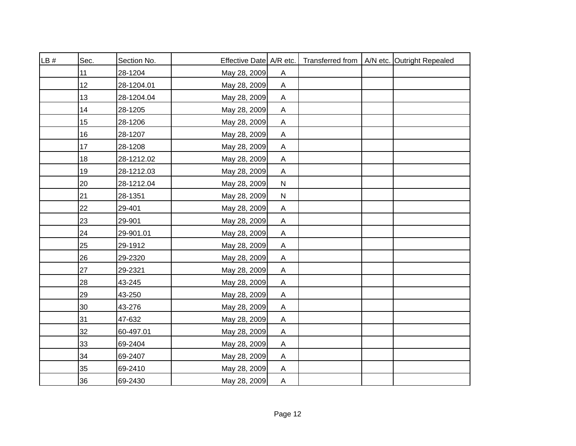| LB# | Sec. | Section No. | Effective Date A/R etc. |                           |  | Transferred from   A/N etc. Outright Repealed |
|-----|------|-------------|-------------------------|---------------------------|--|-----------------------------------------------|
|     | 11   | 28-1204     | May 28, 2009            | Α                         |  |                                               |
|     | 12   | 28-1204.01  | May 28, 2009            | $\boldsymbol{\mathsf{A}}$ |  |                                               |
|     | 13   | 28-1204.04  | May 28, 2009            | A                         |  |                                               |
|     | 14   | 28-1205     | May 28, 2009            | $\boldsymbol{\mathsf{A}}$ |  |                                               |
|     | 15   | 28-1206     | May 28, 2009            | A                         |  |                                               |
|     | 16   | 28-1207     | May 28, 2009            | Α                         |  |                                               |
|     | 17   | 28-1208     | May 28, 2009            | A                         |  |                                               |
|     | 18   | 28-1212.02  | May 28, 2009            | A                         |  |                                               |
|     | 19   | 28-1212.03  | May 28, 2009            | A                         |  |                                               |
|     | 20   | 28-1212.04  | May 28, 2009            | ${\sf N}$                 |  |                                               |
|     | 21   | 28-1351     | May 28, 2009            | ${\sf N}$                 |  |                                               |
|     | 22   | 29-401      | May 28, 2009            | $\boldsymbol{\mathsf{A}}$ |  |                                               |
|     | 23   | 29-901      | May 28, 2009            | $\mathsf{A}$              |  |                                               |
|     | 24   | 29-901.01   | May 28, 2009            | $\boldsymbol{\mathsf{A}}$ |  |                                               |
|     | 25   | 29-1912     | May 28, 2009            | A                         |  |                                               |
|     | 26   | 29-2320     | May 28, 2009            | A                         |  |                                               |
|     | 27   | 29-2321     | May 28, 2009            | A                         |  |                                               |
|     | 28   | 43-245      | May 28, 2009            | A                         |  |                                               |
|     | 29   | 43-250      | May 28, 2009            | A                         |  |                                               |
|     | 30   | 43-276      | May 28, 2009            | A                         |  |                                               |
|     | 31   | 47-632      | May 28, 2009            | A                         |  |                                               |
|     | 32   | 60-497.01   | May 28, 2009            | A                         |  |                                               |
|     | 33   | 69-2404     | May 28, 2009            | A                         |  |                                               |
|     | 34   | 69-2407     | May 28, 2009            | A                         |  |                                               |
|     | 35   | 69-2410     | May 28, 2009            | A                         |  |                                               |
|     | 36   | 69-2430     | May 28, 2009            | $\mathsf{A}$              |  |                                               |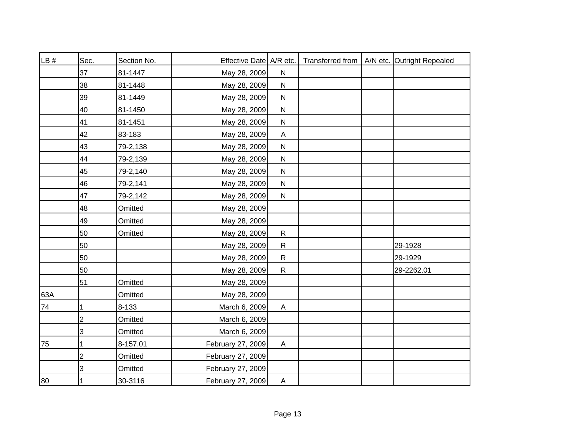| LB# | Sec.           | Section No. | Effective Date A/R etc. |              |  | Transferred from   A/N etc. Outright Repealed |
|-----|----------------|-------------|-------------------------|--------------|--|-----------------------------------------------|
|     | 37             | 81-1447     | May 28, 2009            | ${\sf N}$    |  |                                               |
|     | 38             | 81-1448     | May 28, 2009            | ${\sf N}$    |  |                                               |
|     | 39             | 81-1449     | May 28, 2009            | ${\sf N}$    |  |                                               |
|     | 40             | 81-1450     | May 28, 2009            | $\mathsf{N}$ |  |                                               |
|     | 41             | 81-1451     | May 28, 2009            | ${\sf N}$    |  |                                               |
|     | 42             | 83-183      | May 28, 2009            | A            |  |                                               |
|     | 43             | 79-2,138    | May 28, 2009            | $\mathsf{N}$ |  |                                               |
|     | 44             | 79-2,139    | May 28, 2009            | $\mathsf{N}$ |  |                                               |
|     | 45             | 79-2,140    | May 28, 2009            | $\mathsf{N}$ |  |                                               |
|     | 46             | 79-2,141    | May 28, 2009            | ${\sf N}$    |  |                                               |
|     | 47             | 79-2,142    | May 28, 2009            | ${\sf N}$    |  |                                               |
|     | 48             | Omitted     | May 28, 2009            |              |  |                                               |
|     | 49             | Omitted     | May 28, 2009            |              |  |                                               |
|     | 50             | Omitted     | May 28, 2009            | $\mathsf{R}$ |  |                                               |
|     | 50             |             | May 28, 2009            | $\mathsf{R}$ |  | 29-1928                                       |
|     | 50             |             | May 28, 2009            | $\mathsf{R}$ |  | 29-1929                                       |
|     | 50             |             | May 28, 2009            | $\mathsf{R}$ |  | 29-2262.01                                    |
|     | 51             | Omitted     | May 28, 2009            |              |  |                                               |
| 63A |                | Omitted     | May 28, 2009            |              |  |                                               |
| 74  | 1              | 8-133       | March 6, 2009           | A            |  |                                               |
|     | $\overline{2}$ | Omitted     | March 6, 2009           |              |  |                                               |
|     | 3              | Omitted     | March 6, 2009           |              |  |                                               |
| 75  |                | 8-157.01    | February 27, 2009       | A            |  |                                               |
|     | $\overline{2}$ | Omitted     | February 27, 2009       |              |  |                                               |
|     | 3              | Omitted     | February 27, 2009       |              |  |                                               |
| 80  | 1              | 30-3116     | February 27, 2009       | $\mathsf{A}$ |  |                                               |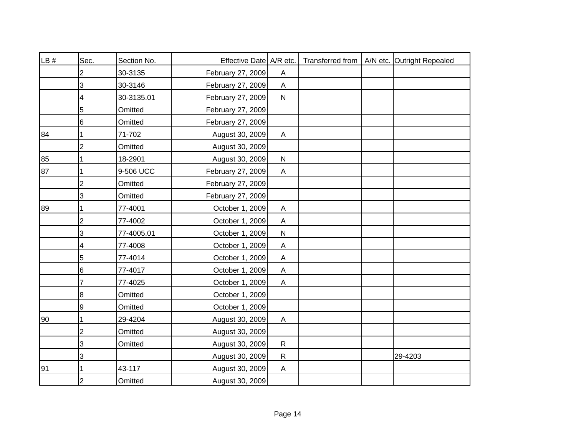| LB # | Sec.           | Section No. | Effective Date A/R etc. |                |  | Transferred from   A/N etc. Outright Repealed |
|------|----------------|-------------|-------------------------|----------------|--|-----------------------------------------------|
|      | $\overline{2}$ | 30-3135     | February 27, 2009       | $\mathsf{A}$   |  |                                               |
|      | 3              | 30-3146     | February 27, 2009       | $\overline{A}$ |  |                                               |
|      | 4              | 30-3135.01  | February 27, 2009       | $\mathsf{N}$   |  |                                               |
|      | 5              | Omitted     | February 27, 2009       |                |  |                                               |
|      | 6              | Omitted     | February 27, 2009       |                |  |                                               |
| 84   | $\mathbf 1$    | 71-702      | August 30, 2009         | A              |  |                                               |
|      | $\overline{2}$ | Omitted     | August 30, 2009         |                |  |                                               |
| 85   | $\mathbf{1}$   | 18-2901     | August 30, 2009         | ${\sf N}$      |  |                                               |
| 87   | 1              | 9-506 UCC   | February 27, 2009       | $\mathsf{A}$   |  |                                               |
|      | $\overline{c}$ | Omitted     | February 27, 2009       |                |  |                                               |
|      | 3              | Omitted     | February 27, 2009       |                |  |                                               |
| 89   | 1              | 77-4001     | October 1, 2009         | $\mathsf A$    |  |                                               |
|      | $\overline{c}$ | 77-4002     | October 1, 2009         | $\mathsf A$    |  |                                               |
|      | 3              | 77-4005.01  | October 1, 2009         | ${\sf N}$      |  |                                               |
|      | 4              | 77-4008     | October 1, 2009         | A              |  |                                               |
|      | 5              | 77-4014     | October 1, 2009         | $\mathsf A$    |  |                                               |
|      | 6              | 77-4017     | October 1, 2009         | $\mathsf A$    |  |                                               |
|      | $\overline{7}$ | 77-4025     | October 1, 2009         | $\mathsf{A}$   |  |                                               |
|      | 8              | Omitted     | October 1, 2009         |                |  |                                               |
|      | 9              | Omitted     | October 1, 2009         |                |  |                                               |
| 90   | 1              | 29-4204     | August 30, 2009         | A              |  |                                               |
|      | $\overline{c}$ | Omitted     | August 30, 2009         |                |  |                                               |
|      | 3              | Omitted     | August 30, 2009         | $\mathsf{R}$   |  |                                               |
|      | 3              |             | August 30, 2009         | ${\sf R}$      |  | 29-4203                                       |
| 91   | 1              | 43-117      | August 30, 2009         | A              |  |                                               |
|      | $\overline{2}$ | Omitted     | August 30, 2009         |                |  |                                               |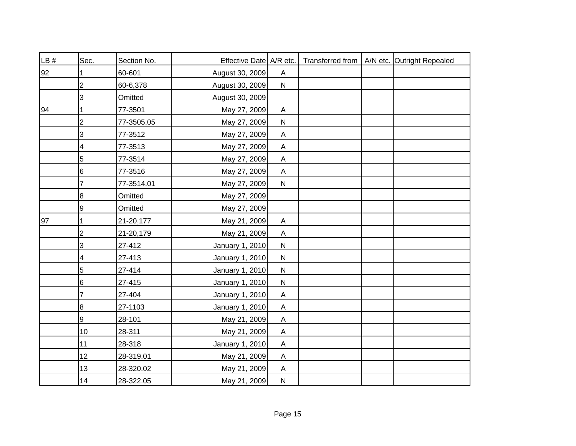| LB # | Sec.             | Section No. | Effective Date A/R etc. |                           |  | Transferred from   A/N etc. Outright Repealed |
|------|------------------|-------------|-------------------------|---------------------------|--|-----------------------------------------------|
| 92   |                  | 60-601      | August 30, 2009         | A                         |  |                                               |
|      | $\overline{2}$   | 60-6,378    | August 30, 2009         | ${\sf N}$                 |  |                                               |
|      | 3                | Omitted     | August 30, 2009         |                           |  |                                               |
| 94   |                  | 77-3501     | May 27, 2009            | $\boldsymbol{\mathsf{A}}$ |  |                                               |
|      | $\overline{2}$   | 77-3505.05  | May 27, 2009            | $\mathsf{N}$              |  |                                               |
|      | 3                | 77-3512     | May 27, 2009            | Α                         |  |                                               |
|      | 4                | 77-3513     | May 27, 2009            | $\boldsymbol{\mathsf{A}}$ |  |                                               |
|      | 5                | 77-3514     | May 27, 2009            | $\mathsf{A}$              |  |                                               |
|      | 6                | 77-3516     | May 27, 2009            | $\boldsymbol{\mathsf{A}}$ |  |                                               |
|      | 7                | 77-3514.01  | May 27, 2009            | ${\sf N}$                 |  |                                               |
|      | 8                | Omitted     | May 27, 2009            |                           |  |                                               |
|      | 9                | Omitted     | May 27, 2009            |                           |  |                                               |
| 97   |                  | 21-20,177   | May 21, 2009            | $\boldsymbol{\mathsf{A}}$ |  |                                               |
|      | 2                | 21-20,179   | May 21, 2009            | $\mathsf{A}$              |  |                                               |
|      | 3                | 27-412      | January 1, 2010         | $\mathsf{N}$              |  |                                               |
|      | 4                | 27-413      | January 1, 2010         | $\mathsf{N}$              |  |                                               |
|      | 5                | 27-414      | January 1, 2010         | $\mathsf{N}$              |  |                                               |
|      | 6                | 27-415      | January 1, 2010         | $\mathsf{N}$              |  |                                               |
|      | 7                | 27-404      | January 1, 2010         | A                         |  |                                               |
|      | 8                | 27-1103     | January 1, 2010         | A                         |  |                                               |
|      | $\boldsymbol{9}$ | 28-101      | May 21, 2009            | A                         |  |                                               |
|      | 10               | 28-311      | May 21, 2009            | A                         |  |                                               |
|      | 11               | 28-318      | January 1, 2010         | $\boldsymbol{\mathsf{A}}$ |  |                                               |
|      | 12               | 28-319.01   | May 21, 2009            | Α                         |  |                                               |
|      | 13               | 28-320.02   | May 21, 2009            | A                         |  |                                               |
|      | 14               | 28-322.05   | May 21, 2009            | $\mathsf{N}$              |  |                                               |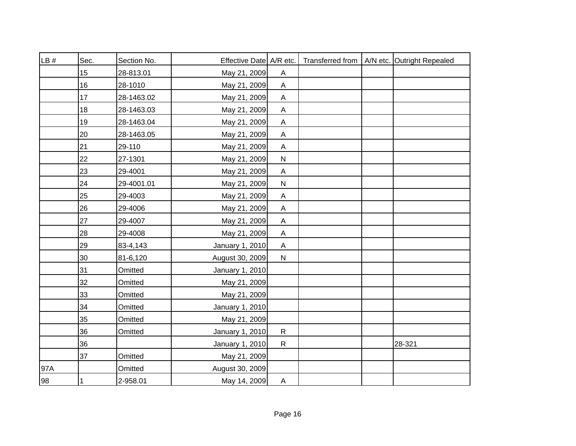| LB# | Sec. | Section No. | Effective Date   A/R etc. |                           |  | Transferred from   A/N etc. Outright Repealed |
|-----|------|-------------|---------------------------|---------------------------|--|-----------------------------------------------|
|     | 15   | 28-813.01   | May 21, 2009              | Α                         |  |                                               |
|     | 16   | 28-1010     | May 21, 2009              | $\boldsymbol{\mathsf{A}}$ |  |                                               |
|     | 17   | 28-1463.02  | May 21, 2009              | A                         |  |                                               |
|     | 18   | 28-1463.03  | May 21, 2009              | $\mathsf A$               |  |                                               |
|     | 19   | 28-1463.04  | May 21, 2009              | $\boldsymbol{\mathsf{A}}$ |  |                                               |
|     | 20   | 28-1463.05  | May 21, 2009              | Α                         |  |                                               |
|     | 21   | 29-110      | May 21, 2009              | $\mathsf A$               |  |                                               |
|     | 22   | 27-1301     | May 21, 2009              | ${\sf N}$                 |  |                                               |
|     | 23   | 29-4001     | May 21, 2009              | $\boldsymbol{\mathsf{A}}$ |  |                                               |
|     | 24   | 29-4001.01  | May 21, 2009              | ${\sf N}$                 |  |                                               |
|     | 25   | 29-4003     | May 21, 2009              | Α                         |  |                                               |
|     | 26   | 29-4006     | May 21, 2009              | $\boldsymbol{\mathsf{A}}$ |  |                                               |
|     | 27   | 29-4007     | May 21, 2009              | $\mathsf A$               |  |                                               |
|     | 28   | 29-4008     | May 21, 2009              | $\boldsymbol{\mathsf{A}}$ |  |                                               |
|     | 29   | 83-4,143    | January 1, 2010           | $\boldsymbol{\mathsf{A}}$ |  |                                               |
|     | 30   | 81-6,120    | August 30, 2009           | ${\sf N}$                 |  |                                               |
|     | 31   | Omitted     | January 1, 2010           |                           |  |                                               |
|     | 32   | Omitted     | May 21, 2009              |                           |  |                                               |
|     | 33   | Omitted     | May 21, 2009              |                           |  |                                               |
|     | 34   | Omitted     | January 1, 2010           |                           |  |                                               |
|     | 35   | Omitted     | May 21, 2009              |                           |  |                                               |
|     | 36   | Omitted     | January 1, 2010           | ${\sf R}$                 |  |                                               |
|     | 36   |             | January 1, 2010           | $\mathsf{R}$              |  | 28-321                                        |
|     | 37   | Omitted     | May 21, 2009              |                           |  |                                               |
| 97A |      | Omitted     | August 30, 2009           |                           |  |                                               |
| 98  | 1    | 2-958.01    | May 14, 2009              | $\boldsymbol{\mathsf{A}}$ |  |                                               |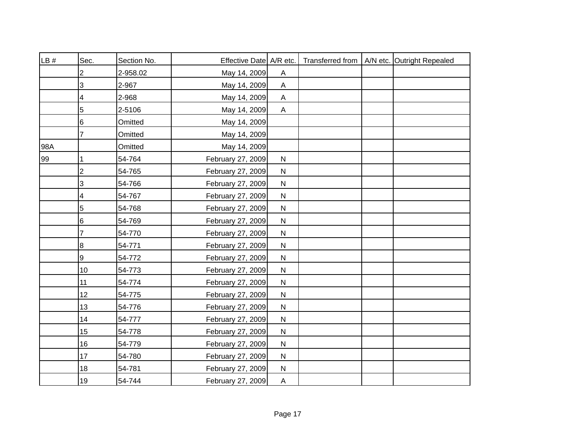| LB# | Sec.           | Section No. | Effective Date A/R etc. |              |  | Transferred from   A/N etc. Outright Repealed |
|-----|----------------|-------------|-------------------------|--------------|--|-----------------------------------------------|
|     | 2              | 2-958.02    | May 14, 2009            | $\mathsf{A}$ |  |                                               |
|     | 3              | 2-967       | May 14, 2009            | $\mathsf{A}$ |  |                                               |
|     | 4              | 2-968       | May 14, 2009            | A            |  |                                               |
|     | 5              | 2-5106      | May 14, 2009            | $\mathsf{A}$ |  |                                               |
|     | $\,6$          | Omitted     | May 14, 2009            |              |  |                                               |
|     | 7              | Omitted     | May 14, 2009            |              |  |                                               |
| 98A |                | Omitted     | May 14, 2009            |              |  |                                               |
| 99  | 1              | 54-764      | February 27, 2009       | ${\sf N}$    |  |                                               |
|     | $\overline{c}$ | 54-765      | February 27, 2009       | ${\sf N}$    |  |                                               |
|     | 3              | 54-766      | February 27, 2009       | ${\sf N}$    |  |                                               |
|     | 4              | 54-767      | February 27, 2009       | ${\sf N}$    |  |                                               |
|     | $\mathbf 5$    | 54-768      | February 27, 2009       | ${\sf N}$    |  |                                               |
|     | $\,6$          | 54-769      | February 27, 2009       | ${\sf N}$    |  |                                               |
|     | 7              | 54-770      | February 27, 2009       | ${\sf N}$    |  |                                               |
|     | 8              | 54-771      | February 27, 2009       | ${\sf N}$    |  |                                               |
|     | 9              | 54-772      | February 27, 2009       | ${\sf N}$    |  |                                               |
|     | 10             | 54-773      | February 27, 2009       | ${\sf N}$    |  |                                               |
|     | 11             | 54-774      | February 27, 2009       | ${\sf N}$    |  |                                               |
|     | 12             | 54-775      | February 27, 2009       | ${\sf N}$    |  |                                               |
|     | 13             | 54-776      | February 27, 2009       | $\mathsf{N}$ |  |                                               |
|     | 14             | 54-777      | February 27, 2009       | ${\sf N}$    |  |                                               |
|     | 15             | 54-778      | February 27, 2009       | ${\sf N}$    |  |                                               |
|     | 16             | 54-779      | February 27, 2009       | ${\sf N}$    |  |                                               |
|     | 17             | 54-780      | February 27, 2009       | ${\sf N}$    |  |                                               |
|     | 18             | 54-781      | February 27, 2009       | $\mathsf{N}$ |  |                                               |
|     | 19             | 54-744      | February 27, 2009       | $\mathsf{A}$ |  |                                               |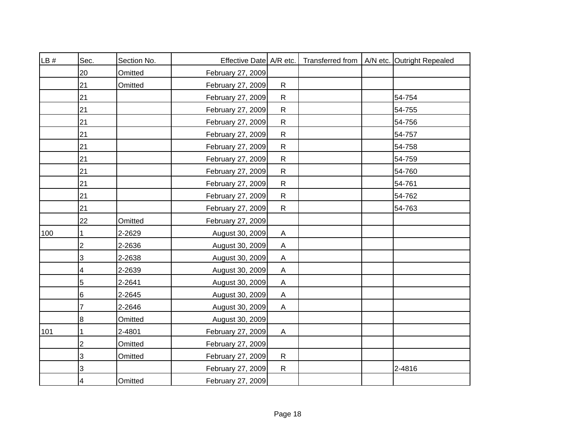| LB # | Sec.                      | Section No. | Effective Date   A/R etc. |                           |  | Transferred from   A/N etc. Outright Repealed |
|------|---------------------------|-------------|---------------------------|---------------------------|--|-----------------------------------------------|
|      | 20                        | Omitted     | February 27, 2009         |                           |  |                                               |
|      | 21                        | Omitted     | February 27, 2009         | $\mathsf{R}$              |  |                                               |
|      | 21                        |             | February 27, 2009         | $\mathsf{R}$              |  | 54-754                                        |
|      | 21                        |             | February 27, 2009         | $\mathsf{R}$              |  | 54-755                                        |
|      | 21                        |             | February 27, 2009         | $\mathsf{R}$              |  | 54-756                                        |
|      | 21                        |             | February 27, 2009         | $\mathsf{R}$              |  | 54-757                                        |
|      | 21                        |             | February 27, 2009         | ${\sf R}$                 |  | 54-758                                        |
|      | 21                        |             | February 27, 2009         | $\mathsf{R}$              |  | 54-759                                        |
|      | 21                        |             | February 27, 2009         | ${\sf R}$                 |  | 54-760                                        |
|      | 21                        |             | February 27, 2009         | $\mathsf{R}$              |  | 54-761                                        |
|      | 21                        |             | February 27, 2009         | ${\sf R}$                 |  | 54-762                                        |
|      | 21                        |             | February 27, 2009         | $\mathsf{R}$              |  | 54-763                                        |
|      | 22                        | Omitted     | February 27, 2009         |                           |  |                                               |
| 100  | 1                         | 2-2629      | August 30, 2009           | A                         |  |                                               |
|      | 2                         | 2-2636      | August 30, 2009           | $\mathsf{A}$              |  |                                               |
|      | $\ensuremath{\mathsf{3}}$ | 2-2638      | August 30, 2009           | $\mathsf{A}$              |  |                                               |
|      | 4                         | 2-2639      | August 30, 2009           | $\boldsymbol{\mathsf{A}}$ |  |                                               |
|      | 5                         | 2-2641      | August 30, 2009           | $\mathsf{A}$              |  |                                               |
|      | 6                         | 2-2645      | August 30, 2009           | A                         |  |                                               |
|      | 7                         | 2-2646      | August 30, 2009           | $\mathsf{A}$              |  |                                               |
|      | 8                         | Omitted     | August 30, 2009           |                           |  |                                               |
| 101  |                           | 2-4801      | February 27, 2009         | A                         |  |                                               |
|      | $\overline{2}$            | Omitted     | February 27, 2009         |                           |  |                                               |
|      | 3                         | Omitted     | February 27, 2009         | $\mathsf{R}$              |  |                                               |
|      | 3                         |             | February 27, 2009         | $\mathsf{R}$              |  | $2 - 4816$                                    |
|      | 4                         | Omitted     | February 27, 2009         |                           |  |                                               |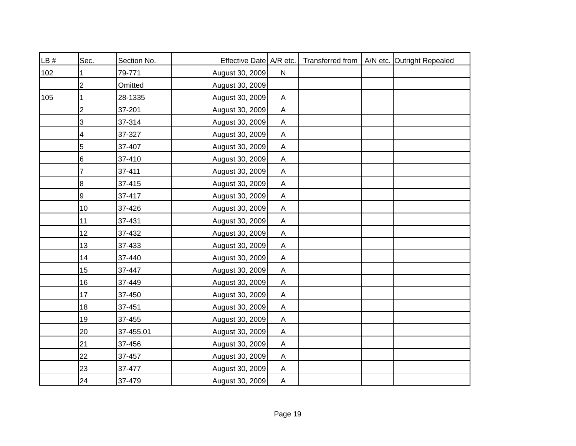| LB# | Sec.            | Section No. | Effective Date A/R etc. |                           |  | Transferred from   A/N etc. Outright Repealed |
|-----|-----------------|-------------|-------------------------|---------------------------|--|-----------------------------------------------|
| 102 |                 | 79-771      | August 30, 2009         | $\mathsf{N}$              |  |                                               |
|     | $\overline{2}$  | Omitted     | August 30, 2009         |                           |  |                                               |
| 105 |                 | 28-1335     | August 30, 2009         | A                         |  |                                               |
|     | $\overline{c}$  | 37-201      | August 30, 2009         | $\mathsf{A}$              |  |                                               |
|     | 3               | 37-314      | August 30, 2009         | A                         |  |                                               |
|     | 4               | 37-327      | August 30, 2009         | A                         |  |                                               |
|     | 5               | 37-407      | August 30, 2009         | A                         |  |                                               |
|     | $6\phantom{1}6$ | 37-410      | August 30, 2009         | A                         |  |                                               |
|     | 7               | 37-411      | August 30, 2009         | $\mathsf{A}$              |  |                                               |
|     | 8               | 37-415      | August 30, 2009         | $\mathsf{A}$              |  |                                               |
|     | 9               | 37-417      | August 30, 2009         | A                         |  |                                               |
|     | 10              | 37-426      | August 30, 2009         | $\boldsymbol{\mathsf{A}}$ |  |                                               |
|     | 11              | 37-431      | August 30, 2009         | $\mathsf{A}$              |  |                                               |
|     | 12              | 37-432      | August 30, 2009         | A                         |  |                                               |
|     | 13              | 37-433      | August 30, 2009         | $\boldsymbol{\mathsf{A}}$ |  |                                               |
|     | 14              | 37-440      | August 30, 2009         | A                         |  |                                               |
|     | 15              | 37-447      | August 30, 2009         | $\boldsymbol{\mathsf{A}}$ |  |                                               |
|     | 16              | 37-449      | August 30, 2009         | $\boldsymbol{\mathsf{A}}$ |  |                                               |
|     | 17              | 37-450      | August 30, 2009         | A                         |  |                                               |
|     | 18              | 37-451      | August 30, 2009         | A                         |  |                                               |
|     | 19              | 37-455      | August 30, 2009         | $\boldsymbol{\mathsf{A}}$ |  |                                               |
|     | 20              | 37-455.01   | August 30, 2009         | A                         |  |                                               |
|     | 21              | 37-456      | August 30, 2009         | A                         |  |                                               |
|     | 22              | 37-457      | August 30, 2009         | A                         |  |                                               |
|     | 23              | 37-477      | August 30, 2009         | A                         |  |                                               |
|     | 24              | 37-479      | August 30, 2009         | $\overline{A}$            |  |                                               |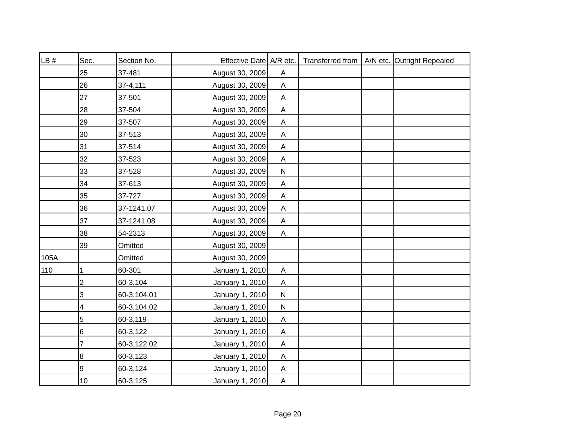| LB#  | Sec.           | Section No. | Effective Date A/R etc. |                           |  | Transferred from   A/N etc. Outright Repealed |
|------|----------------|-------------|-------------------------|---------------------------|--|-----------------------------------------------|
|      | 25             | 37-481      | August 30, 2009         | A                         |  |                                               |
|      | 26             | 37-4,111    | August 30, 2009         | $\mathsf{A}$              |  |                                               |
|      | 27             | 37-501      | August 30, 2009         | A                         |  |                                               |
|      | 28             | 37-504      | August 30, 2009         | $\mathsf{A}$              |  |                                               |
|      | 29             | 37-507      | August 30, 2009         | $\mathsf{A}$              |  |                                               |
|      | 30             | 37-513      | August 30, 2009         | A                         |  |                                               |
|      | 31             | 37-514      | August 30, 2009         | A                         |  |                                               |
|      | 32             | 37-523      | August 30, 2009         | A                         |  |                                               |
|      | 33             | 37-528      | August 30, 2009         | ${\sf N}$                 |  |                                               |
|      | 34             | 37-613      | August 30, 2009         | A                         |  |                                               |
|      | 35             | 37-727      | August 30, 2009         | $\mathsf{A}$              |  |                                               |
|      | 36             | 37-1241.07  | August 30, 2009         | $\boldsymbol{\mathsf{A}}$ |  |                                               |
|      | 37             | 37-1241.08  | August 30, 2009         | $\mathsf{A}$              |  |                                               |
|      | 38             | 54-2313     | August 30, 2009         | $\mathsf{A}$              |  |                                               |
|      | 39             | Omitted     | August 30, 2009         |                           |  |                                               |
| 105A |                | Omitted     | August 30, 2009         |                           |  |                                               |
| 110  | 1              | 60-301      | January 1, 2010         | $\boldsymbol{\mathsf{A}}$ |  |                                               |
|      | $\overline{c}$ | 60-3,104    | January 1, 2010         | $\mathsf{A}$              |  |                                               |
|      | 3              | 60-3,104.01 | January 1, 2010         | $\mathsf{N}$              |  |                                               |
|      | 4              | 60-3,104.02 | January 1, 2010         | $\mathsf{N}$              |  |                                               |
|      | $\overline{5}$ | 60-3,119    | January 1, 2010         | $\boldsymbol{\mathsf{A}}$ |  |                                               |
|      | 6              | 60-3,122    | January 1, 2010         | $\boldsymbol{\mathsf{A}}$ |  |                                               |
|      | 7              | 60-3,122.02 | January 1, 2010         | $\boldsymbol{\mathsf{A}}$ |  |                                               |
|      | 8              | 60-3,123    | January 1, 2010         | A                         |  |                                               |
|      | 9              | 60-3,124    | January 1, 2010         | A                         |  |                                               |
|      | 10             | 60-3,125    | January 1, 2010         | $\overline{A}$            |  |                                               |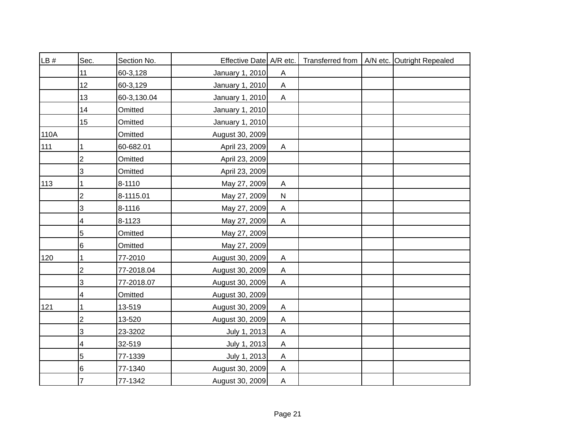| LB # | Sec.            | Section No. | Effective Date A/R etc. |                           |  | Transferred from   A/N etc. Outright Repealed |
|------|-----------------|-------------|-------------------------|---------------------------|--|-----------------------------------------------|
|      | 11              | 60-3,128    | January 1, 2010         | A                         |  |                                               |
|      | 12 <sup>2</sup> | 60-3,129    | January 1, 2010         | $\mathsf{A}$              |  |                                               |
|      | 13              | 60-3,130.04 | January 1, 2010         | A                         |  |                                               |
|      | 14              | Omitted     | January 1, 2010         |                           |  |                                               |
|      | 15              | Omitted     | January 1, 2010         |                           |  |                                               |
| 110A |                 | Omitted     | August 30, 2009         |                           |  |                                               |
| 111  |                 | 60-682.01   | April 23, 2009          | A                         |  |                                               |
|      | $\overline{2}$  | Omitted     | April 23, 2009          |                           |  |                                               |
|      | 3               | Omitted     | April 23, 2009          |                           |  |                                               |
| 113  | 1               | 8-1110      | May 27, 2009            | A                         |  |                                               |
|      | $\overline{2}$  | 8-1115.01   | May 27, 2009            | ${\sf N}$                 |  |                                               |
|      | 3               | 8-1116      | May 27, 2009            | $\mathsf A$               |  |                                               |
|      | 4               | 8-1123      | May 27, 2009            | $\mathsf{A}$              |  |                                               |
|      | 5               | Omitted     | May 27, 2009            |                           |  |                                               |
|      | 6               | Omitted     | May 27, 2009            |                           |  |                                               |
| 120  | 1               | 77-2010     | August 30, 2009         | $\mathsf{A}$              |  |                                               |
|      | $\overline{2}$  | 77-2018.04  | August 30, 2009         | $\boldsymbol{\mathsf{A}}$ |  |                                               |
|      | 3               | 77-2018.07  | August 30, 2009         | $\mathsf{A}$              |  |                                               |
|      | 4               | Omitted     | August 30, 2009         |                           |  |                                               |
| 121  |                 | 13-519      | August 30, 2009         | A                         |  |                                               |
|      | $\overline{c}$  | 13-520      | August 30, 2009         | $\boldsymbol{\mathsf{A}}$ |  |                                               |
|      | 3               | 23-3202     | July 1, 2013            | $\boldsymbol{\mathsf{A}}$ |  |                                               |
|      | 4               | 32-519      | July 1, 2013            | $\mathsf{A}$              |  |                                               |
|      | 5               | 77-1339     | July 1, 2013            | Α                         |  |                                               |
|      | 6               | 77-1340     | August 30, 2009         | A                         |  |                                               |
|      | 7               | 77-1342     | August 30, 2009         | $\mathsf{A}$              |  |                                               |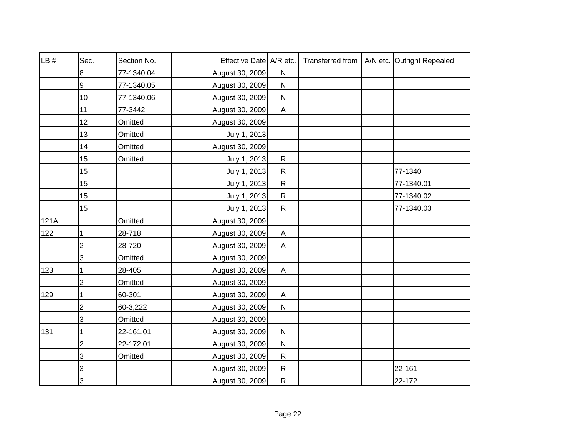| LB#  | Sec.                      | Section No. | Effective Date A/R etc. |                           |  | Transferred from   A/N etc. Outright Repealed |
|------|---------------------------|-------------|-------------------------|---------------------------|--|-----------------------------------------------|
|      | 8                         | 77-1340.04  | August 30, 2009         | ${\sf N}$                 |  |                                               |
|      | 9                         | 77-1340.05  | August 30, 2009         | ${\sf N}$                 |  |                                               |
|      | 10                        | 77-1340.06  | August 30, 2009         | ${\sf N}$                 |  |                                               |
|      | 11                        | 77-3442     | August 30, 2009         | $\boldsymbol{\mathsf{A}}$ |  |                                               |
|      | 12                        | Omitted     | August 30, 2009         |                           |  |                                               |
|      | 13                        | Omitted     | July 1, 2013            |                           |  |                                               |
|      | 14                        | Omitted     | August 30, 2009         |                           |  |                                               |
|      | 15                        | Omitted     | July 1, 2013            | $\mathsf{R}$              |  |                                               |
|      | 15                        |             | July 1, 2013            | $\mathsf{R}$              |  | 77-1340                                       |
|      | 15                        |             | July 1, 2013            | $\mathsf{R}$              |  | 77-1340.01                                    |
|      | 15                        |             | July 1, 2013            | ${\sf R}$                 |  | 77-1340.02                                    |
|      | 15                        |             | July 1, 2013            | ${\sf R}$                 |  | 77-1340.03                                    |
| 121A |                           | Omitted     | August 30, 2009         |                           |  |                                               |
| 122  | 1                         | 28-718      | August 30, 2009         | $\boldsymbol{\mathsf{A}}$ |  |                                               |
|      | $\overline{2}$            | 28-720      | August 30, 2009         | $\boldsymbol{\mathsf{A}}$ |  |                                               |
|      | $\ensuremath{\mathsf{3}}$ | Omitted     | August 30, 2009         |                           |  |                                               |
| 123  |                           | 28-405      | August 30, 2009         | $\boldsymbol{\mathsf{A}}$ |  |                                               |
|      | 2                         | Omitted     | August 30, 2009         |                           |  |                                               |
| 129  | 1                         | 60-301      | August 30, 2009         | A                         |  |                                               |
|      | $\overline{c}$            | 60-3,222    | August 30, 2009         | ${\sf N}$                 |  |                                               |
|      | 3                         | Omitted     | August 30, 2009         |                           |  |                                               |
| 131  |                           | 22-161.01   | August 30, 2009         | ${\sf N}$                 |  |                                               |
|      | $\overline{2}$            | 22-172.01   | August 30, 2009         | ${\sf N}$                 |  |                                               |
|      | 3                         | Omitted     | August 30, 2009         | $\mathsf{R}$              |  |                                               |
|      | 3                         |             | August 30, 2009         | ${\sf R}$                 |  | 22-161                                        |
|      | 3                         |             | August 30, 2009         | ${\sf R}$                 |  | 22-172                                        |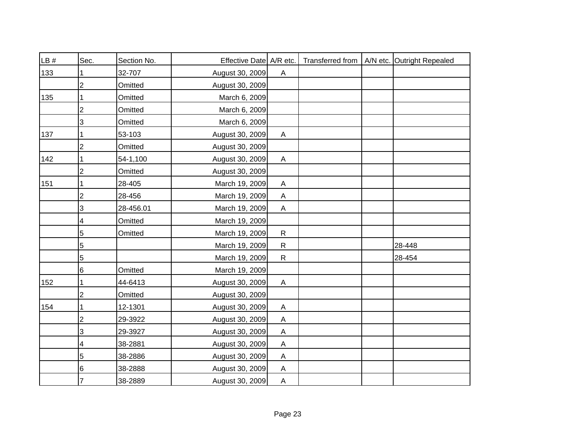| LB # | Sec.                    | Section No. | Effective Date A/R etc. |                |  | Transferred from   A/N etc. Outright Repealed |
|------|-------------------------|-------------|-------------------------|----------------|--|-----------------------------------------------|
| 133  |                         | 32-707      | August 30, 2009         | $\mathsf{A}$   |  |                                               |
|      | 2                       | Omitted     | August 30, 2009         |                |  |                                               |
| 135  |                         | Omitted     | March 6, 2009           |                |  |                                               |
|      | 2                       | Omitted     | March 6, 2009           |                |  |                                               |
|      | 3                       | Omitted     | March 6, 2009           |                |  |                                               |
| 137  | 1                       | 53-103      | August 30, 2009         | A              |  |                                               |
|      | 2                       | Omitted     | August 30, 2009         |                |  |                                               |
| 142  |                         | 54-1,100    | August 30, 2009         | $\mathsf{A}$   |  |                                               |
|      | 2                       | Omitted     | August 30, 2009         |                |  |                                               |
| 151  |                         | 28-405      | March 19, 2009          | $\mathsf{A}$   |  |                                               |
|      | 2                       | 28-456      | March 19, 2009          | A              |  |                                               |
|      | 3                       | 28-456.01   | March 19, 2009          | $\mathsf{A}$   |  |                                               |
|      | 4                       | Omitted     | March 19, 2009          |                |  |                                               |
|      | 5                       | Omitted     | March 19, 2009          | $\mathsf{R}$   |  |                                               |
|      | 5                       |             | March 19, 2009          | $\mathsf{R}$   |  | 28-448                                        |
|      | 5                       |             | March 19, 2009          | $\mathsf{R}$   |  | 28-454                                        |
|      | 6                       | Omitted     | March 19, 2009          |                |  |                                               |
| 152  | 1                       | 44-6413     | August 30, 2009         | $\mathsf{A}$   |  |                                               |
|      | 2                       | Omitted     | August 30, 2009         |                |  |                                               |
| 154  |                         | 12-1301     | August 30, 2009         | A              |  |                                               |
|      | $\overline{\mathbf{c}}$ | 29-3922     | August 30, 2009         | A              |  |                                               |
|      | 3                       | 29-3927     | August 30, 2009         | A              |  |                                               |
|      | 4                       | 38-2881     | August 30, 2009         | $\mathsf{A}$   |  |                                               |
|      | 5                       | 38-2886     | August 30, 2009         | A              |  |                                               |
|      | 6                       | 38-2888     | August 30, 2009         | A              |  |                                               |
|      | 7                       | 38-2889     | August 30, 2009         | $\overline{A}$ |  |                                               |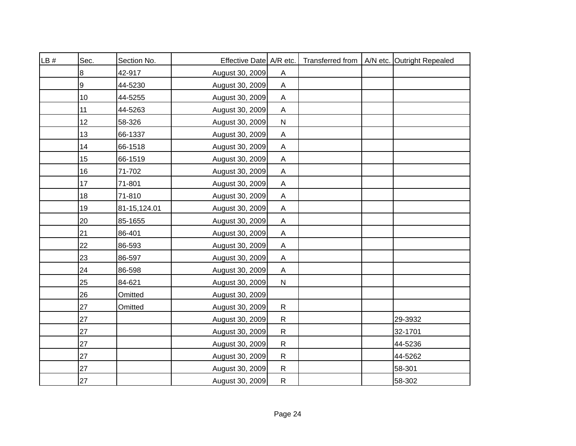| LB # | Sec. | Section No.  | Effective Date A/R etc. |                           |  | Transferred from   A/N etc. Outright Repealed |
|------|------|--------------|-------------------------|---------------------------|--|-----------------------------------------------|
|      | 8    | 42-917       | August 30, 2009         | $\boldsymbol{\mathsf{A}}$ |  |                                               |
|      | 9    | 44-5230      | August 30, 2009         | $\boldsymbol{\mathsf{A}}$ |  |                                               |
|      | 10   | 44-5255      | August 30, 2009         | A                         |  |                                               |
|      | 11   | 44-5263      | August 30, 2009         | $\boldsymbol{\mathsf{A}}$ |  |                                               |
|      | 12   | 58-326       | August 30, 2009         | ${\sf N}$                 |  |                                               |
|      | 13   | 66-1337      | August 30, 2009         | A                         |  |                                               |
|      | 14   | 66-1518      | August 30, 2009         | $\boldsymbol{\mathsf{A}}$ |  |                                               |
|      | 15   | 66-1519      | August 30, 2009         | A                         |  |                                               |
|      | 16   | 71-702       | August 30, 2009         | $\boldsymbol{\mathsf{A}}$ |  |                                               |
|      | 17   | 71-801       | August 30, 2009         | A                         |  |                                               |
|      | 18   | 71-810       | August 30, 2009         | A                         |  |                                               |
|      | 19   | 81-15,124.01 | August 30, 2009         | $\mathsf A$               |  |                                               |
|      | 20   | 85-1655      | August 30, 2009         | $\mathsf A$               |  |                                               |
|      | 21   | 86-401       | August 30, 2009         | $\mathsf A$               |  |                                               |
|      | 22   | 86-593       | August 30, 2009         | $\mathsf A$               |  |                                               |
|      | 23   | 86-597       | August 30, 2009         | $\boldsymbol{\mathsf{A}}$ |  |                                               |
|      | 24   | 86-598       | August 30, 2009         | $\boldsymbol{\mathsf{A}}$ |  |                                               |
|      | 25   | 84-621       | August 30, 2009         | ${\sf N}$                 |  |                                               |
|      | 26   | Omitted      | August 30, 2009         |                           |  |                                               |
|      | 27   | Omitted      | August 30, 2009         | $\mathsf{R}$              |  |                                               |
|      | 27   |              | August 30, 2009         | $\mathsf{R}$              |  | 29-3932                                       |
|      | 27   |              | August 30, 2009         | $\mathsf{R}$              |  | 32-1701                                       |
|      | 27   |              | August 30, 2009         | $\mathsf{R}$              |  | 44-5236                                       |
|      | 27   |              | August 30, 2009         | $\mathsf{R}$              |  | 44-5262                                       |
|      | 27   |              | August 30, 2009         | ${\sf R}$                 |  | 58-301                                        |
|      | 27   |              | August 30, 2009         | ${\sf R}$                 |  | 58-302                                        |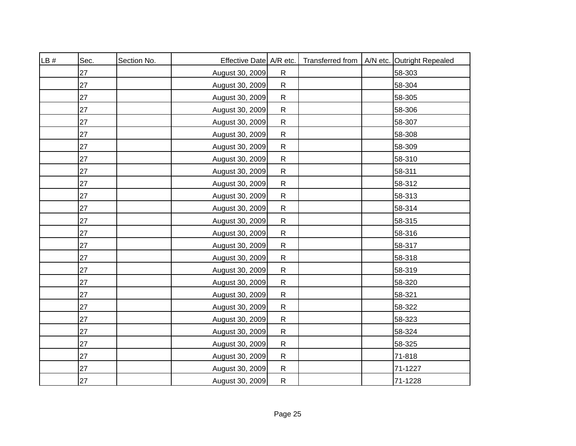| LB# | Sec. | Section No. | Effective Date A/R etc. |              | Transferred from | A/N etc. Outright Repealed |
|-----|------|-------------|-------------------------|--------------|------------------|----------------------------|
|     | 27   |             | August 30, 2009         | $\mathsf{R}$ |                  | 58-303                     |
|     | 27   |             | August 30, 2009         | $\mathsf{R}$ |                  | 58-304                     |
|     | 27   |             | August 30, 2009         | $\mathsf{R}$ |                  | 58-305                     |
|     | 27   |             | August 30, 2009         | $\mathsf{R}$ |                  | 58-306                     |
|     | 27   |             | August 30, 2009         | $\mathsf{R}$ |                  | 58-307                     |
|     | 27   |             | August 30, 2009         | ${\sf R}$    |                  | 58-308                     |
|     | 27   |             | August 30, 2009         | $\mathsf{R}$ |                  | 58-309                     |
|     | 27   |             | August 30, 2009         | $\mathsf{R}$ |                  | 58-310                     |
|     | 27   |             | August 30, 2009         | ${\sf R}$    |                  | 58-311                     |
|     | 27   |             | August 30, 2009         | $\mathsf{R}$ |                  | 58-312                     |
|     | 27   |             | August 30, 2009         | ${\sf R}$    |                  | 58-313                     |
|     | 27   |             | August 30, 2009         | $\mathsf{R}$ |                  | 58-314                     |
|     | 27   |             | August 30, 2009         | $\mathsf{R}$ |                  | 58-315                     |
|     | 27   |             | August 30, 2009         | $\mathsf{R}$ |                  | 58-316                     |
|     | 27   |             | August 30, 2009         | $\mathsf{R}$ |                  | 58-317                     |
|     | 27   |             | August 30, 2009         | $\mathsf{R}$ |                  | 58-318                     |
|     | 27   |             | August 30, 2009         | $\mathsf{R}$ |                  | 58-319                     |
|     | 27   |             | August 30, 2009         | $\mathsf{R}$ |                  | 58-320                     |
|     | 27   |             | August 30, 2009         | $\mathsf{R}$ |                  | 58-321                     |
|     | 27   |             | August 30, 2009         | $\mathsf{R}$ |                  | 58-322                     |
|     | 27   |             | August 30, 2009         | $\mathsf{R}$ |                  | 58-323                     |
|     | 27   |             | August 30, 2009         | ${\sf R}$    |                  | 58-324                     |
|     | 27   |             | August 30, 2009         | $\mathsf{R}$ |                  | 58-325                     |
|     | 27   |             | August 30, 2009         | ${\sf R}$    |                  | 71-818                     |
|     | 27   |             | August 30, 2009         | ${\sf R}$    |                  | 71-1227                    |
|     | 27   |             | August 30, 2009         | ${\sf R}$    |                  | 71-1228                    |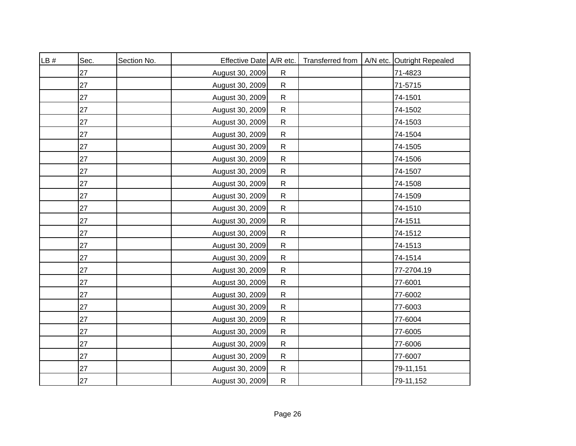| LB # | Sec. | Section No. | Effective Date A/R etc. |              |  | Transferred from   A/N etc. Outright Repealed |
|------|------|-------------|-------------------------|--------------|--|-----------------------------------------------|
|      | 27   |             | August 30, 2009         | $\mathsf{R}$ |  | 71-4823                                       |
|      | 27   |             | August 30, 2009         | ${\sf R}$    |  | 71-5715                                       |
|      | 27   |             | August 30, 2009         | ${\sf R}$    |  | 74-1501                                       |
|      | 27   |             | August 30, 2009         | ${\sf R}$    |  | 74-1502                                       |
|      | 27   |             | August 30, 2009         | ${\sf R}$    |  | 74-1503                                       |
|      | 27   |             | August 30, 2009         | ${\sf R}$    |  | 74-1504                                       |
|      | 27   |             | August 30, 2009         | ${\sf R}$    |  | 74-1505                                       |
|      | 27   |             | August 30, 2009         | $\mathsf{R}$ |  | 74-1506                                       |
|      | 27   |             | August 30, 2009         | ${\sf R}$    |  | 74-1507                                       |
|      | 27   |             | August 30, 2009         | $\mathsf R$  |  | 74-1508                                       |
|      | 27   |             | August 30, 2009         | ${\sf R}$    |  | 74-1509                                       |
|      | 27   |             | August 30, 2009         | ${\sf R}$    |  | 74-1510                                       |
|      | 27   |             | August 30, 2009         | ${\sf R}$    |  | 74-1511                                       |
|      | 27   |             | August 30, 2009         | ${\sf R}$    |  | 74-1512                                       |
|      | 27   |             | August 30, 2009         | ${\sf R}$    |  | 74-1513                                       |
|      | 27   |             | August 30, 2009         | ${\sf R}$    |  | 74-1514                                       |
|      | 27   |             | August 30, 2009         | ${\sf R}$    |  | 77-2704.19                                    |
|      | 27   |             | August 30, 2009         | $\mathsf{R}$ |  | 77-6001                                       |
|      | 27   |             | August 30, 2009         | $\mathsf{R}$ |  | 77-6002                                       |
|      | 27   |             | August 30, 2009         | ${\sf R}$    |  | 77-6003                                       |
|      | 27   |             | August 30, 2009         | ${\sf R}$    |  | 77-6004                                       |
|      | 27   |             | August 30, 2009         | ${\sf R}$    |  | 77-6005                                       |
|      | 27   |             | August 30, 2009         | ${\sf R}$    |  | 77-6006                                       |
|      | 27   |             | August 30, 2009         | ${\sf R}$    |  | 77-6007                                       |
|      | 27   |             | August 30, 2009         | ${\sf R}$    |  | 79-11,151                                     |
|      | 27   |             | August 30, 2009         | ${\sf R}$    |  | 79-11,152                                     |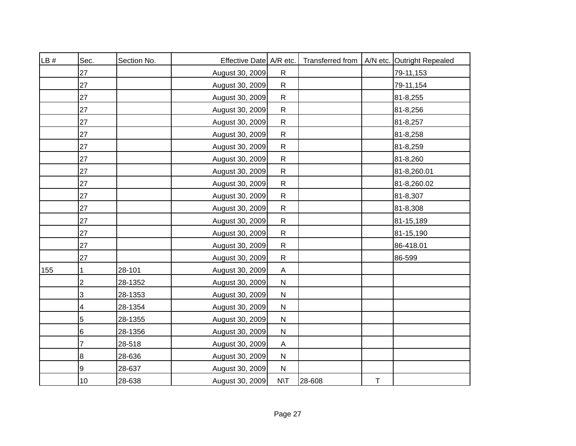| LB # | Sec. | Section No. | Effective Date A/R etc. |                           | Transferred from |             | A/N etc. Outright Repealed |
|------|------|-------------|-------------------------|---------------------------|------------------|-------------|----------------------------|
|      | 27   |             | August 30, 2009         | $\mathsf{R}$              |                  |             | 79-11,153                  |
|      | 27   |             | August 30, 2009         | $\mathsf{R}$              |                  |             | 79-11,154                  |
|      | 27   |             | August 30, 2009         | $\mathsf{R}$              |                  |             | 81-8,255                   |
|      | 27   |             | August 30, 2009         | $\mathsf{R}$              |                  |             | 81-8,256                   |
|      | 27   |             | August 30, 2009         | $\mathsf{R}$              |                  |             | 81-8,257                   |
|      | 27   |             | August 30, 2009         | $\mathsf{R}$              |                  |             | 81-8,258                   |
|      | 27   |             | August 30, 2009         | ${\sf R}$                 |                  |             | 81-8,259                   |
|      | 27   |             | August 30, 2009         | $\mathsf{R}$              |                  |             | 81-8,260                   |
|      | 27   |             | August 30, 2009         | ${\sf R}$                 |                  |             | 81-8,260.01                |
|      | 27   |             | August 30, 2009         | $\mathsf{R}$              |                  |             | 81-8,260.02                |
|      | 27   |             | August 30, 2009         | ${\sf R}$                 |                  |             | 81-8,307                   |
|      | 27   |             | August 30, 2009         | ${\sf R}$                 |                  |             | 81-8,308                   |
|      | 27   |             | August 30, 2009         | ${\sf R}$                 |                  |             | 81-15,189                  |
|      | 27   |             | August 30, 2009         | $\mathsf{R}$              |                  |             | 81-15,190                  |
|      | 27   |             | August 30, 2009         | ${\sf R}$                 |                  |             | 86-418.01                  |
|      | 27   |             | August 30, 2009         | $\mathsf{R}$              |                  |             | 86-599                     |
| 155  | 1    | 28-101      | August 30, 2009         | $\boldsymbol{\mathsf{A}}$ |                  |             |                            |
|      | 2    | 28-1352     | August 30, 2009         | ${\sf N}$                 |                  |             |                            |
|      | 3    | 28-1353     | August 30, 2009         | $\mathsf{N}$              |                  |             |                            |
|      | 4    | 28-1354     | August 30, 2009         | $\mathsf{N}$              |                  |             |                            |
|      | 5    | 28-1355     | August 30, 2009         | $\mathsf{N}$              |                  |             |                            |
|      | 6    | 28-1356     | August 30, 2009         | ${\sf N}$                 |                  |             |                            |
|      | 7    | 28-518      | August 30, 2009         | $\mathsf{A}$              |                  |             |                            |
|      | 8    | 28-636      | August 30, 2009         | ${\sf N}$                 |                  |             |                            |
|      | 9    | 28-637      | August 30, 2009         | $\mathsf{N}$              |                  |             |                            |
|      | 10   | 28-638      | August 30, 2009         | $N\setminus T$            | 28-608           | $\mathsf T$ |                            |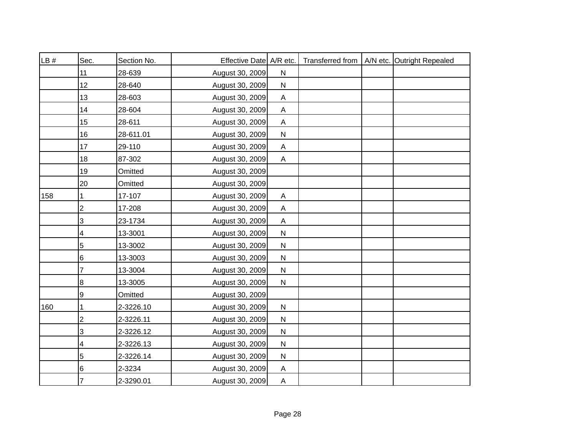| LB # | Sec.            | Section No. | Effective Date A/R etc. |                |  | Transferred from   A/N etc. Outright Repealed |
|------|-----------------|-------------|-------------------------|----------------|--|-----------------------------------------------|
|      | 11              | 28-639      | August 30, 2009         | ${\sf N}$      |  |                                               |
|      | 12 <sup>2</sup> | 28-640      | August 30, 2009         | ${\sf N}$      |  |                                               |
|      | 13              | 28-603      | August 30, 2009         | A              |  |                                               |
|      | 14              | 28-604      | August 30, 2009         | $\mathsf{A}$   |  |                                               |
|      | 15              | 28-611      | August 30, 2009         | A              |  |                                               |
|      | 16              | 28-611.01   | August 30, 2009         | ${\sf N}$      |  |                                               |
|      | 17              | 29-110      | August 30, 2009         | A              |  |                                               |
|      | 18              | 87-302      | August 30, 2009         | A              |  |                                               |
|      | 19              | Omitted     | August 30, 2009         |                |  |                                               |
|      | 20              | Omitted     | August 30, 2009         |                |  |                                               |
| 158  | 1               | 17-107      | August 30, 2009         | Α              |  |                                               |
|      | 2               | 17-208      | August 30, 2009         | $\mathsf{A}$   |  |                                               |
|      | 3               | 23-1734     | August 30, 2009         | $\mathsf{A}$   |  |                                               |
|      | 4               | 13-3001     | August 30, 2009         | ${\sf N}$      |  |                                               |
|      | 5               | 13-3002     | August 30, 2009         | ${\sf N}$      |  |                                               |
|      | 6               | 13-3003     | August 30, 2009         | ${\sf N}$      |  |                                               |
|      | 7               | 13-3004     | August 30, 2009         | ${\sf N}$      |  |                                               |
|      | 8               | 13-3005     | August 30, 2009         | ${\sf N}$      |  |                                               |
|      | 9               | Omitted     | August 30, 2009         |                |  |                                               |
| 160  | 1               | 2-3226.10   | August 30, 2009         | $\mathsf{N}$   |  |                                               |
|      | $\overline{c}$  | 2-3226.11   | August 30, 2009         | ${\sf N}$      |  |                                               |
|      | 3               | 2-3226.12   | August 30, 2009         | ${\sf N}$      |  |                                               |
|      | 4               | 2-3226.13   | August 30, 2009         | $\mathsf{N}$   |  |                                               |
|      | 5               | 2-3226.14   | August 30, 2009         | $\mathsf{N}$   |  |                                               |
|      | 6               | 2-3234      | August 30, 2009         | A              |  |                                               |
|      | 7               | 2-3290.01   | August 30, 2009         | $\overline{A}$ |  |                                               |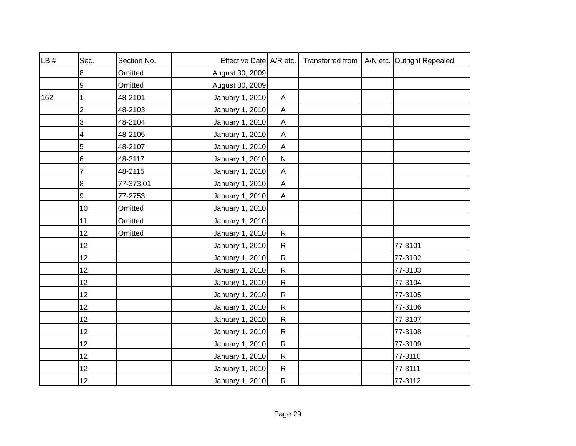| LB# | Sec.           | Section No. | Effective Date A/R etc. |                           |  | Transferred from   A/N etc. Outright Repealed |
|-----|----------------|-------------|-------------------------|---------------------------|--|-----------------------------------------------|
|     | 8              | Omitted     | August 30, 2009         |                           |  |                                               |
|     | $\overline{9}$ | Omitted     | August 30, 2009         |                           |  |                                               |
| 162 | 1              | 48-2101     | January 1, 2010         | A                         |  |                                               |
|     | $\overline{2}$ | 48-2103     | January 1, 2010         | $\mathsf A$               |  |                                               |
|     | 3              | 48-2104     | January 1, 2010         | $\mathsf A$               |  |                                               |
|     | 4              | 48-2105     | January 1, 2010         | $\mathsf A$               |  |                                               |
|     | 5              | 48-2107     | January 1, 2010         | A                         |  |                                               |
|     | 6              | 48-2117     | January 1, 2010         | ${\sf N}$                 |  |                                               |
|     | 7              | 48-2115     | January 1, 2010         | $\boldsymbol{\mathsf{A}}$ |  |                                               |
|     | 8              | 77-373.01   | January 1, 2010         | $\boldsymbol{\mathsf{A}}$ |  |                                               |
|     | 9              | 77-2753     | January 1, 2010         | A                         |  |                                               |
|     | 10             | Omitted     | January 1, 2010         |                           |  |                                               |
|     | 11             | Omitted     | January 1, 2010         |                           |  |                                               |
|     | 12             | Omitted     | January 1, 2010         | $\mathsf{R}$              |  |                                               |
|     | 12             |             | January 1, 2010         | $\mathsf{R}$              |  | 77-3101                                       |
|     | 12             |             | January 1, 2010         | $\mathsf{R}$              |  | 77-3102                                       |
|     | 12             |             | January 1, 2010         | ${\sf R}$                 |  | 77-3103                                       |
|     | 12             |             | January 1, 2010         | $\mathsf{R}$              |  | 77-3104                                       |
|     | 12             |             | January 1, 2010         | $\mathsf{R}$              |  | 77-3105                                       |
|     | 12             |             | January 1, 2010         | $\mathsf{R}$              |  | 77-3106                                       |
|     | 12             |             | January 1, 2010         | $\mathsf{R}$              |  | 77-3107                                       |
|     | 12             |             | January 1, 2010         | ${\sf R}$                 |  | 77-3108                                       |
|     | 12             |             | January 1, 2010         | ${\sf R}$                 |  | 77-3109                                       |
|     | 12             |             | January 1, 2010         | ${\sf R}$                 |  | 77-3110                                       |
|     | 12             |             | January 1, 2010         | $\mathsf{R}$              |  | 77-3111                                       |
|     | 12             |             | January 1, 2010         | ${\sf R}$                 |  | 77-3112                                       |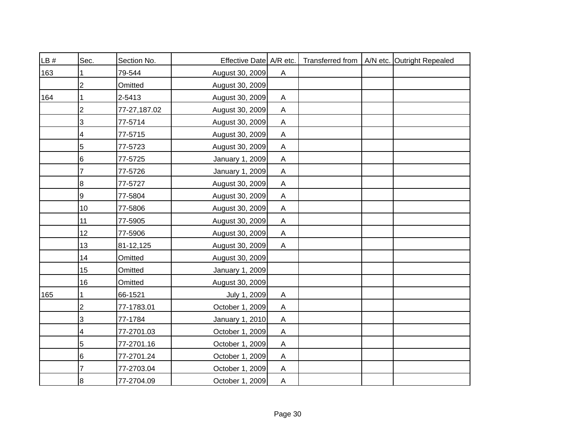| LB# | Sec.            | Section No.  | Effective Date A/R etc. |                |  | Transferred from   A/N etc. Outright Repealed |
|-----|-----------------|--------------|-------------------------|----------------|--|-----------------------------------------------|
| 163 |                 | 79-544       | August 30, 2009         | $\mathsf{A}$   |  |                                               |
|     | 2               | Omitted      | August 30, 2009         |                |  |                                               |
| 164 |                 | 2-5413       | August 30, 2009         | A              |  |                                               |
|     | 2               | 77-27,187.02 | August 30, 2009         | $\mathsf{A}$   |  |                                               |
|     | 3               | 77-5714      | August 30, 2009         | $\mathsf{A}$   |  |                                               |
|     | 4               | 77-5715      | August 30, 2009         | A              |  |                                               |
|     | 5               | 77-5723      | August 30, 2009         | A              |  |                                               |
|     | $6\phantom{1}6$ | 77-5725      | January 1, 2009         | A              |  |                                               |
|     | 7               | 77-5726      | January 1, 2009         | $\mathsf{A}$   |  |                                               |
|     | 8               | 77-5727      | August 30, 2009         | $\mathsf{A}$   |  |                                               |
|     | 9               | 77-5804      | August 30, 2009         | A              |  |                                               |
|     | 10              | 77-5806      | August 30, 2009         | $\mathsf{A}$   |  |                                               |
|     | 11              | 77-5905      | August 30, 2009         | $\mathsf{A}$   |  |                                               |
|     | 12              | 77-5906      | August 30, 2009         | A              |  |                                               |
|     | 13              | 81-12,125    | August 30, 2009         | A              |  |                                               |
|     | 14              | Omitted      | August 30, 2009         |                |  |                                               |
|     | 15              | Omitted      | January 1, 2009         |                |  |                                               |
|     | 16              | Omitted      | August 30, 2009         |                |  |                                               |
| 165 | 1               | 66-1521      | July 1, 2009            | $\mathsf{A}$   |  |                                               |
|     | $\overline{c}$  | 77-1783.01   | October 1, 2009         | $\mathsf{A}$   |  |                                               |
|     | 3               | 77-1784      | January 1, 2010         | $\mathsf{A}$   |  |                                               |
|     | 4               | 77-2701.03   | October 1, 2009         | A              |  |                                               |
|     | 5               | 77-2701.16   | October 1, 2009         | $\mathsf{A}$   |  |                                               |
|     | 6               | 77-2701.24   | October 1, 2009         | A              |  |                                               |
|     |                 | 77-2703.04   | October 1, 2009         | $\mathsf{A}$   |  |                                               |
|     | 8               | 77-2704.09   | October 1, 2009         | $\overline{A}$ |  |                                               |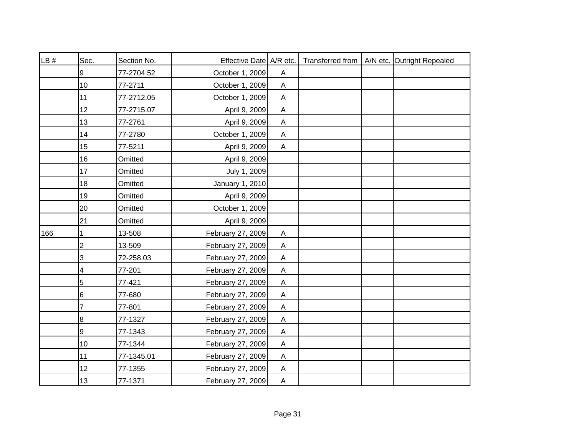| LB# | Sec.                      | Section No. | Effective Date A/R etc. |                           |  | Transferred from   A/N etc. Outright Repealed |
|-----|---------------------------|-------------|-------------------------|---------------------------|--|-----------------------------------------------|
|     | 9                         | 77-2704.52  | October 1, 2009         | A                         |  |                                               |
|     | $10$                      | 77-2711     | October 1, 2009         | $\boldsymbol{\mathsf{A}}$ |  |                                               |
|     | 11                        | 77-2712.05  | October 1, 2009         | A                         |  |                                               |
|     | 12                        | 77-2715.07  | April 9, 2009           | $\boldsymbol{\mathsf{A}}$ |  |                                               |
|     | 13                        | 77-2761     | April 9, 2009           | A                         |  |                                               |
|     | 14                        | 77-2780     | October 1, 2009         | $\mathsf{A}$              |  |                                               |
|     | 15                        | 77-5211     | April 9, 2009           | A                         |  |                                               |
|     | 16                        | Omitted     | April 9, 2009           |                           |  |                                               |
|     | 17                        | Omitted     | July 1, 2009            |                           |  |                                               |
|     | 18                        | Omitted     | January 1, 2010         |                           |  |                                               |
|     | 19                        | Omitted     | April 9, 2009           |                           |  |                                               |
|     | 20                        | Omitted     | October 1, 2009         |                           |  |                                               |
|     | 21                        | Omitted     | April 9, 2009           |                           |  |                                               |
| 166 | 1                         | 13-508      | February 27, 2009       | A                         |  |                                               |
|     | $\overline{2}$            | 13-509      | February 27, 2009       | A                         |  |                                               |
|     | $\ensuremath{\mathsf{3}}$ | 72-258.03   | February 27, 2009       | $\mathsf{A}$              |  |                                               |
|     | 4                         | 77-201      | February 27, 2009       | $\boldsymbol{\mathsf{A}}$ |  |                                               |
|     | 5                         | 77-421      | February 27, 2009       | $\boldsymbol{\mathsf{A}}$ |  |                                               |
|     | 6                         | 77-680      | February 27, 2009       | A                         |  |                                               |
|     | 7                         | 77-801      | February 27, 2009       | Α                         |  |                                               |
|     | $\bf 8$                   | 77-1327     | February 27, 2009       | A                         |  |                                               |
|     | 9                         | 77-1343     | February 27, 2009       | Α                         |  |                                               |
|     | 10                        | 77-1344     | February 27, 2009       | A                         |  |                                               |
|     | 11                        | 77-1345.01  | February 27, 2009       | A                         |  |                                               |
|     | 12                        | 77-1355     | February 27, 2009       | A                         |  |                                               |
|     | 13                        | 77-1371     | February 27, 2009       | A                         |  |                                               |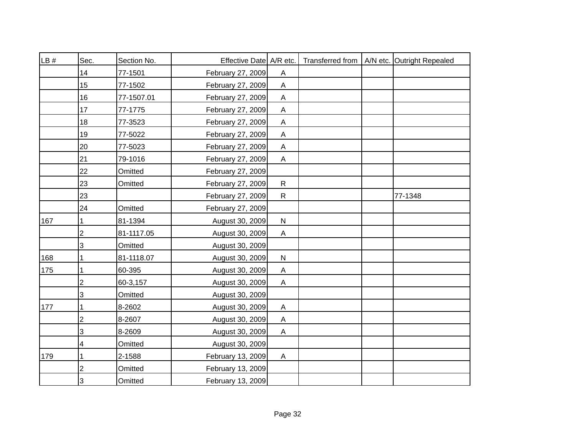| LB# | Sec.           | Section No. | Effective Date A/R etc. |                           |  | Transferred from   A/N etc. Outright Repealed |
|-----|----------------|-------------|-------------------------|---------------------------|--|-----------------------------------------------|
|     | 14             | 77-1501     | February 27, 2009       | $\boldsymbol{\mathsf{A}}$ |  |                                               |
|     | 15             | 77-1502     | February 27, 2009       | $\boldsymbol{\mathsf{A}}$ |  |                                               |
|     | 16             | 77-1507.01  | February 27, 2009       | $\boldsymbol{\mathsf{A}}$ |  |                                               |
|     | 17             | 77-1775     | February 27, 2009       | $\mathsf A$               |  |                                               |
|     | 18             | 77-3523     | February 27, 2009       | $\mathsf A$               |  |                                               |
|     | 19             | 77-5022     | February 27, 2009       | $\boldsymbol{\mathsf{A}}$ |  |                                               |
|     | 20             | 77-5023     | February 27, 2009       | $\mathsf A$               |  |                                               |
|     | 21             | 79-1016     | February 27, 2009       | $\mathsf A$               |  |                                               |
|     | 22             | Omitted     | February 27, 2009       |                           |  |                                               |
|     | 23             | Omitted     | February 27, 2009       | $\mathsf{R}$              |  |                                               |
|     | 23             |             | February 27, 2009       | $\mathsf{R}$              |  | 77-1348                                       |
|     | 24             | Omitted     | February 27, 2009       |                           |  |                                               |
| 167 |                | 81-1394     | August 30, 2009         | ${\sf N}$                 |  |                                               |
|     | $\overline{2}$ | 81-1117.05  | August 30, 2009         | A                         |  |                                               |
|     | 3              | Omitted     | August 30, 2009         |                           |  |                                               |
| 168 |                | 81-1118.07  | August 30, 2009         | ${\sf N}$                 |  |                                               |
| 175 |                | 60-395      | August 30, 2009         | A                         |  |                                               |
|     | 2              | 60-3,157    | August 30, 2009         | A                         |  |                                               |
|     | 3              | Omitted     | August 30, 2009         |                           |  |                                               |
| 177 |                | 8-2602      | August 30, 2009         | A                         |  |                                               |
|     | $\overline{2}$ | 8-2607      | August 30, 2009         | A                         |  |                                               |
|     | 3              | 8-2609      | August 30, 2009         | A                         |  |                                               |
|     | 4              | Omitted     | August 30, 2009         |                           |  |                                               |
| 179 | 1              | 2-1588      | February 13, 2009       | A                         |  |                                               |
|     | $\overline{2}$ | Omitted     | February 13, 2009       |                           |  |                                               |
|     | 3              | Omitted     | February 13, 2009       |                           |  |                                               |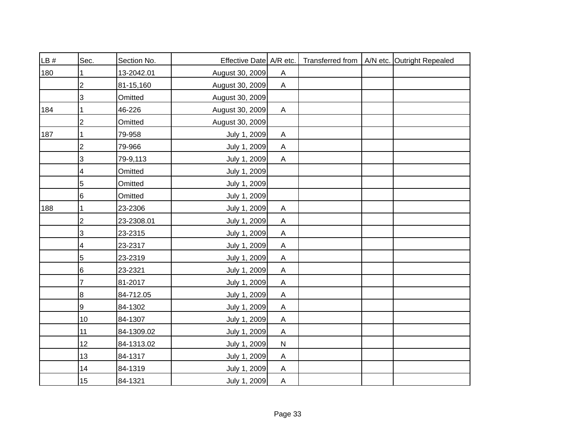| LB # | Sec.           | Section No. | Effective Date A/R etc. |                           |  | Transferred from   A/N etc. Outright Repealed |
|------|----------------|-------------|-------------------------|---------------------------|--|-----------------------------------------------|
| 180  |                | 13-2042.01  | August 30, 2009         | Α                         |  |                                               |
|      | $\overline{2}$ | 81-15,160   | August 30, 2009         | $\mathsf{A}$              |  |                                               |
|      | 3              | Omitted     | August 30, 2009         |                           |  |                                               |
| 184  |                | 46-226      | August 30, 2009         | $\mathsf{A}$              |  |                                               |
|      | $\overline{2}$ | Omitted     | August 30, 2009         |                           |  |                                               |
| 187  | 1              | 79-958      | July 1, 2009            | A                         |  |                                               |
|      | $\overline{2}$ | 79-966      | July 1, 2009            | $\mathsf{A}$              |  |                                               |
|      | 3              | 79-9,113    | July 1, 2009            | $\mathsf{A}$              |  |                                               |
|      | 4              | Omitted     | July 1, 2009            |                           |  |                                               |
|      | 5              | Omitted     | July 1, 2009            |                           |  |                                               |
|      | 6              | Omitted     | July 1, 2009            |                           |  |                                               |
| 188  |                | 23-2306     | July 1, 2009            | $\boldsymbol{\mathsf{A}}$ |  |                                               |
|      | $\mathbf 2$    | 23-2308.01  | July 1, 2009            | $\mathsf{A}$              |  |                                               |
|      | 3              | 23-2315     | July 1, 2009            | $\boldsymbol{\mathsf{A}}$ |  |                                               |
|      | 4              | 23-2317     | July 1, 2009            | $\boldsymbol{\mathsf{A}}$ |  |                                               |
|      | 5              | 23-2319     | July 1, 2009            | $\mathsf{A}$              |  |                                               |
|      | 6              | 23-2321     | July 1, 2009            | $\mathsf{A}$              |  |                                               |
|      | $\overline{7}$ | 81-2017     | July 1, 2009            | $\mathsf{A}$              |  |                                               |
|      | 8              | 84-712.05   | July 1, 2009            | A                         |  |                                               |
|      | 9              | 84-1302     | July 1, 2009            | Α                         |  |                                               |
|      | 10             | 84-1307     | July 1, 2009            | A                         |  |                                               |
|      | 11             | 84-1309.02  | July 1, 2009            | A                         |  |                                               |
|      | 12             | 84-1313.02  | July 1, 2009            | $\mathsf{N}$              |  |                                               |
|      | 13             | 84-1317     | July 1, 2009            | A                         |  |                                               |
|      | 14             | 84-1319     | July 1, 2009            | A                         |  |                                               |
|      | 15             | 84-1321     | July 1, 2009            | $\mathsf{A}$              |  |                                               |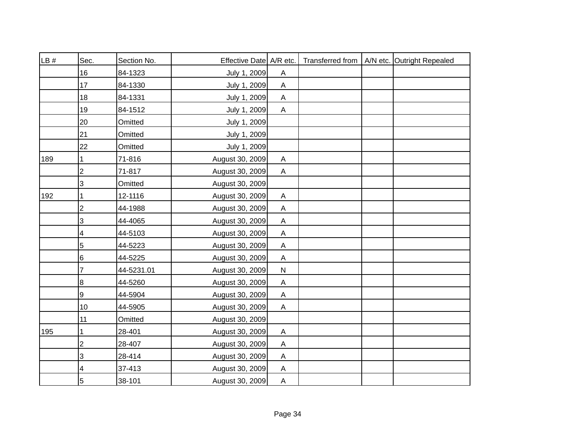| LB# | Sec.                      | Section No. | Effective Date A/R etc. |                           |  | Transferred from   A/N etc. Outright Repealed |
|-----|---------------------------|-------------|-------------------------|---------------------------|--|-----------------------------------------------|
|     | 16                        | 84-1323     | July 1, 2009            | A                         |  |                                               |
|     | 17                        | 84-1330     | July 1, 2009            | $\mathsf{A}$              |  |                                               |
|     | 18                        | 84-1331     | July 1, 2009            | A                         |  |                                               |
|     | 19                        | 84-1512     | July 1, 2009            | $\mathsf{A}$              |  |                                               |
|     | 20                        | Omitted     | July 1, 2009            |                           |  |                                               |
|     | 21                        | Omitted     | July 1, 2009            |                           |  |                                               |
|     | 22                        | Omitted     | July 1, 2009            |                           |  |                                               |
| 189 | 1                         | 71-816      | August 30, 2009         | $\mathsf{A}$              |  |                                               |
|     | $\overline{c}$            | 71-817      | August 30, 2009         | $\mathsf{A}$              |  |                                               |
|     | 3                         | Omitted     | August 30, 2009         |                           |  |                                               |
| 192 | 1                         | 12-1116     | August 30, 2009         | A                         |  |                                               |
|     | 2                         | 44-1988     | August 30, 2009         | $\mathsf{A}$              |  |                                               |
|     | $\ensuremath{\mathsf{3}}$ | 44-4065     | August 30, 2009         | $\mathsf{A}$              |  |                                               |
|     | 4                         | 44-5103     | August 30, 2009         | $\boldsymbol{\mathsf{A}}$ |  |                                               |
|     | 5                         | 44-5223     | August 30, 2009         | $\boldsymbol{\mathsf{A}}$ |  |                                               |
|     | $\,6$                     | 44-5225     | August 30, 2009         | A                         |  |                                               |
|     | 7                         | 44-5231.01  | August 30, 2009         | ${\sf N}$                 |  |                                               |
|     | 8                         | 44-5260     | August 30, 2009         | $\mathsf{A}$              |  |                                               |
|     | 9                         | 44-5904     | August 30, 2009         | A                         |  |                                               |
|     | 10                        | 44-5905     | August 30, 2009         | $\mathsf{A}$              |  |                                               |
|     | 11                        | Omitted     | August 30, 2009         |                           |  |                                               |
| 195 |                           | 28-401      | August 30, 2009         | A                         |  |                                               |
|     | $\overline{2}$            | 28-407      | August 30, 2009         | A                         |  |                                               |
|     | 3                         | 28-414      | August 30, 2009         | A                         |  |                                               |
|     | 4                         | 37-413      | August 30, 2009         | A                         |  |                                               |
|     | 5                         | 38-101      | August 30, 2009         | $\overline{A}$            |  |                                               |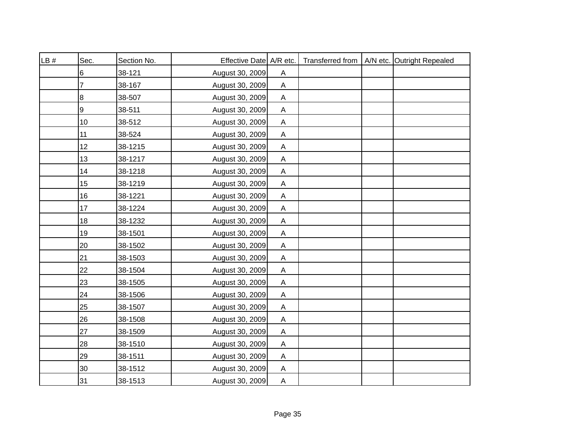| LB# | Sec. | Section No. | Effective Date A/R etc. |                           |  | Transferred from   A/N etc. Outright Repealed |
|-----|------|-------------|-------------------------|---------------------------|--|-----------------------------------------------|
|     | 6    | 38-121      | August 30, 2009         | A                         |  |                                               |
|     | 7    | 38-167      | August 30, 2009         | $\mathsf{A}$              |  |                                               |
|     | 8    | 38-507      | August 30, 2009         | A                         |  |                                               |
|     | 9    | 38-511      | August 30, 2009         | $\mathsf{A}$              |  |                                               |
|     | 10   | 38-512      | August 30, 2009         | A                         |  |                                               |
|     | 11   | 38-524      | August 30, 2009         | A                         |  |                                               |
|     | 12   | 38-1215     | August 30, 2009         | A                         |  |                                               |
|     | 13   | 38-1217     | August 30, 2009         | $\mathsf{A}$              |  |                                               |
|     | 14   | 38-1218     | August 30, 2009         | $\mathsf{A}$              |  |                                               |
|     | 15   | 38-1219     | August 30, 2009         | Α                         |  |                                               |
|     | 16   | 38-1221     | August 30, 2009         | Α                         |  |                                               |
|     | 17   | 38-1224     | August 30, 2009         | $\mathsf A$               |  |                                               |
|     | 18   | 38-1232     | August 30, 2009         | $\mathsf{A}$              |  |                                               |
|     | 19   | 38-1501     | August 30, 2009         | $\boldsymbol{\mathsf{A}}$ |  |                                               |
|     | 20   | 38-1502     | August 30, 2009         | $\boldsymbol{\mathsf{A}}$ |  |                                               |
|     | 21   | 38-1503     | August 30, 2009         | $\mathsf{A}$              |  |                                               |
|     | 22   | 38-1504     | August 30, 2009         | $\mathsf{A}$              |  |                                               |
|     | 23   | 38-1505     | August 30, 2009         | $\mathsf{A}$              |  |                                               |
|     | 24   | 38-1506     | August 30, 2009         | Α                         |  |                                               |
|     | 25   | 38-1507     | August 30, 2009         | Α                         |  |                                               |
|     | 26   | 38-1508     | August 30, 2009         | $\boldsymbol{\mathsf{A}}$ |  |                                               |
|     | 27   | 38-1509     | August 30, 2009         | Α                         |  |                                               |
|     | 28   | 38-1510     | August 30, 2009         | A                         |  |                                               |
|     | 29   | 38-1511     | August 30, 2009         | A                         |  |                                               |
|     | 30   | 38-1512     | August 30, 2009         | A                         |  |                                               |
|     | 31   | 38-1513     | August 30, 2009         | $\overline{A}$            |  |                                               |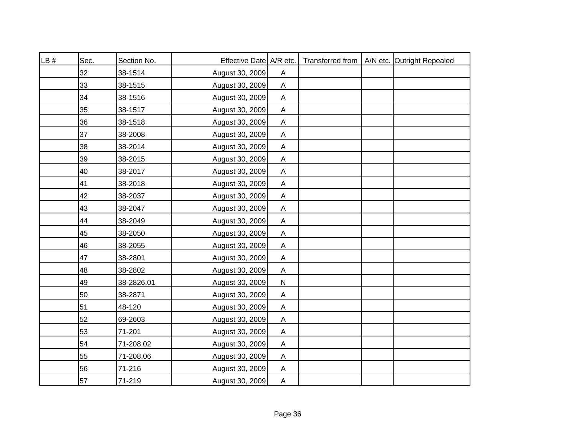| LB# | Sec. | Section No. | Effective Date A/R etc. |                           |  | Transferred from   A/N etc. Outright Repealed |
|-----|------|-------------|-------------------------|---------------------------|--|-----------------------------------------------|
|     | 32   | 38-1514     | August 30, 2009         | A                         |  |                                               |
|     | 33   | 38-1515     | August 30, 2009         | $\mathsf{A}$              |  |                                               |
|     | 34   | 38-1516     | August 30, 2009         | A                         |  |                                               |
|     | 35   | 38-1517     | August 30, 2009         | $\mathsf{A}$              |  |                                               |
|     | 36   | 38-1518     | August 30, 2009         | A                         |  |                                               |
|     | 37   | 38-2008     | August 30, 2009         | A                         |  |                                               |
|     | 38   | 38-2014     | August 30, 2009         | A                         |  |                                               |
|     | 39   | 38-2015     | August 30, 2009         | A                         |  |                                               |
|     | 40   | 38-2017     | August 30, 2009         | $\mathsf{A}$              |  |                                               |
|     | 41   | 38-2018     | August 30, 2009         | Α                         |  |                                               |
|     | 42   | 38-2037     | August 30, 2009         | Α                         |  |                                               |
|     | 43   | 38-2047     | August 30, 2009         | $\mathsf A$               |  |                                               |
|     | 44   | 38-2049     | August 30, 2009         | $\mathsf{A}$              |  |                                               |
|     | 45   | 38-2050     | August 30, 2009         | $\boldsymbol{\mathsf{A}}$ |  |                                               |
|     | 46   | 38-2055     | August 30, 2009         | $\mathsf{A}$              |  |                                               |
|     | 47   | 38-2801     | August 30, 2009         | $\mathsf{A}$              |  |                                               |
|     | 48   | 38-2802     | August 30, 2009         | $\mathsf{A}$              |  |                                               |
|     | 49   | 38-2826.01  | August 30, 2009         | ${\sf N}$                 |  |                                               |
|     | 50   | 38-2871     | August 30, 2009         | Α                         |  |                                               |
|     | 51   | 48-120      | August 30, 2009         | Α                         |  |                                               |
|     | 52   | 69-2603     | August 30, 2009         | $\boldsymbol{\mathsf{A}}$ |  |                                               |
|     | 53   | 71-201      | August 30, 2009         | Α                         |  |                                               |
|     | 54   | 71-208.02   | August 30, 2009         | A                         |  |                                               |
|     | 55   | 71-208.06   | August 30, 2009         | A                         |  |                                               |
|     | 56   | 71-216      | August 30, 2009         | A                         |  |                                               |
|     | 57   | 71-219      | August 30, 2009         | A                         |  |                                               |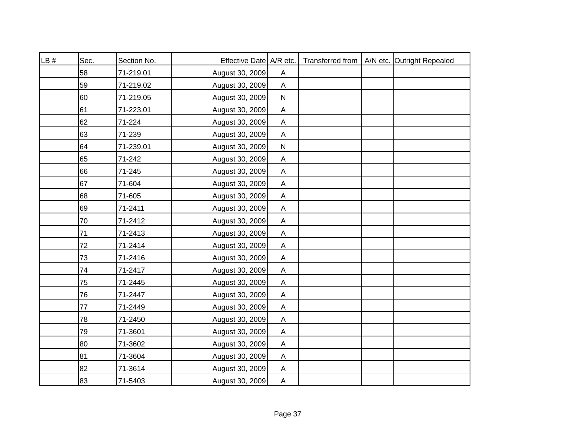| LB # | Sec. | Section No. | Effective Date A/R etc. |                           |  | Transferred from   A/N etc. Outright Repealed |
|------|------|-------------|-------------------------|---------------------------|--|-----------------------------------------------|
|      | 58   | 71-219.01   | August 30, 2009         | A                         |  |                                               |
|      | 59   | 71-219.02   | August 30, 2009         | $\mathsf{A}$              |  |                                               |
|      | 60   | 71-219.05   | August 30, 2009         | ${\sf N}$                 |  |                                               |
|      | 61   | 71-223.01   | August 30, 2009         | $\boldsymbol{\mathsf{A}}$ |  |                                               |
|      | 62   | 71-224      | August 30, 2009         | A                         |  |                                               |
|      | 63   | 71-239      | August 30, 2009         | A                         |  |                                               |
|      | 64   | 71-239.01   | August 30, 2009         | ${\sf N}$                 |  |                                               |
|      | 65   | 71-242      | August 30, 2009         | A                         |  |                                               |
|      | 66   | 71-245      | August 30, 2009         | $\mathsf{A}$              |  |                                               |
|      | 67   | 71-604      | August 30, 2009         | Α                         |  |                                               |
|      | 68   | 71-605      | August 30, 2009         | A                         |  |                                               |
|      | 69   | 71-2411     | August 30, 2009         | $\mathsf A$               |  |                                               |
|      | 70   | 71-2412     | August 30, 2009         | $\mathsf{A}$              |  |                                               |
|      | 71   | 71-2413     | August 30, 2009         | $\boldsymbol{\mathsf{A}}$ |  |                                               |
|      | 72   | 71-2414     | August 30, 2009         | $\boldsymbol{\mathsf{A}}$ |  |                                               |
|      | 73   | 71-2416     | August 30, 2009         | $\boldsymbol{\mathsf{A}}$ |  |                                               |
|      | 74   | 71-2417     | August 30, 2009         | $\mathsf{A}$              |  |                                               |
|      | 75   | 71-2445     | August 30, 2009         | $\mathsf{A}$              |  |                                               |
|      | 76   | 71-2447     | August 30, 2009         | Α                         |  |                                               |
|      | 77   | 71-2449     | August 30, 2009         | Α                         |  |                                               |
|      | 78   | 71-2450     | August 30, 2009         | $\mathsf{A}$              |  |                                               |
|      | 79   | 71-3601     | August 30, 2009         | Α                         |  |                                               |
|      | 80   | 71-3602     | August 30, 2009         | A                         |  |                                               |
|      | 81   | 71-3604     | August 30, 2009         | A                         |  |                                               |
|      | 82   | 71-3614     | August 30, 2009         | $\boldsymbol{\mathsf{A}}$ |  |                                               |
|      | 83   | 71-5403     | August 30, 2009         | $\overline{A}$            |  |                                               |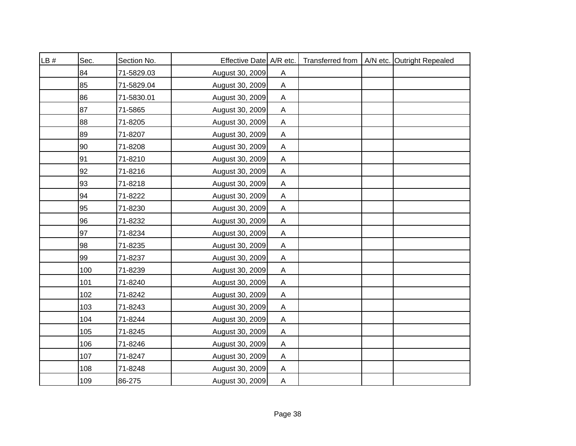| LB # | Sec. | Section No. | Effective Date A/R etc. |                           |  | Transferred from   A/N etc. Outright Repealed |
|------|------|-------------|-------------------------|---------------------------|--|-----------------------------------------------|
|      | 84   | 71-5829.03  | August 30, 2009         | A                         |  |                                               |
|      | 85   | 71-5829.04  | August 30, 2009         | $\mathsf{A}$              |  |                                               |
|      | 86   | 71-5830.01  | August 30, 2009         | A                         |  |                                               |
|      | 87   | 71-5865     | August 30, 2009         | $\mathsf{A}$              |  |                                               |
|      | 88   | 71-8205     | August 30, 2009         | $\mathsf{A}$              |  |                                               |
|      | 89   | 71-8207     | August 30, 2009         | A                         |  |                                               |
|      | 90   | 71-8208     | August 30, 2009         | A                         |  |                                               |
|      | 91   | 71-8210     | August 30, 2009         | A                         |  |                                               |
|      | 92   | 71-8216     | August 30, 2009         | $\mathsf{A}$              |  |                                               |
|      | 93   | 71-8218     | August 30, 2009         | Α                         |  |                                               |
|      | 94   | 71-8222     | August 30, 2009         | A                         |  |                                               |
|      | 95   | 71-8230     | August 30, 2009         | $\boldsymbol{\mathsf{A}}$ |  |                                               |
|      | 96   | 71-8232     | August 30, 2009         | $\mathsf{A}$              |  |                                               |
|      | 97   | 71-8234     | August 30, 2009         | $\boldsymbol{\mathsf{A}}$ |  |                                               |
|      | 98   | 71-8235     | August 30, 2009         | Α                         |  |                                               |
|      | 99   | 71-8237     | August 30, 2009         | $\boldsymbol{\mathsf{A}}$ |  |                                               |
|      | 100  | 71-8239     | August 30, 2009         | $\mathsf{A}$              |  |                                               |
|      | 101  | 71-8240     | August 30, 2009         | $\mathsf{A}$              |  |                                               |
|      | 102  | 71-8242     | August 30, 2009         | Α                         |  |                                               |
|      | 103  | 71-8243     | August 30, 2009         | Α                         |  |                                               |
|      | 104  | 71-8244     | August 30, 2009         | $\mathsf{A}$              |  |                                               |
|      | 105  | 71-8245     | August 30, 2009         | Α                         |  |                                               |
|      | 106  | 71-8246     | August 30, 2009         | A                         |  |                                               |
|      | 107  | 71-8247     | August 30, 2009         | A                         |  |                                               |
|      | 108  | 71-8248     | August 30, 2009         | A                         |  |                                               |
|      | 109  | 86-275      | August 30, 2009         | $\overline{A}$            |  |                                               |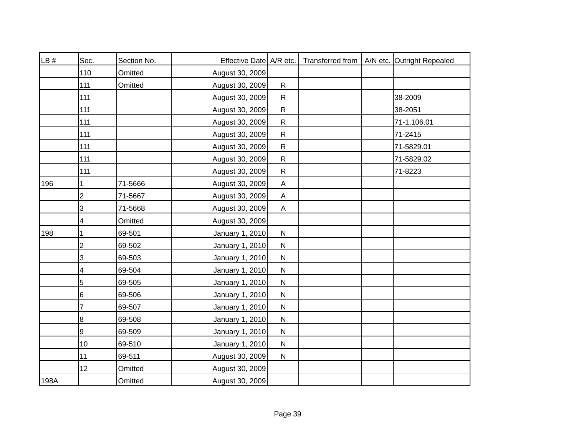| LB#  | Sec.                      | Section No. | Effective Date A/R etc. |                | Transferred from | A/N etc. Outright Repealed |
|------|---------------------------|-------------|-------------------------|----------------|------------------|----------------------------|
|      | 110                       | Omitted     | August 30, 2009         |                |                  |                            |
|      | 111                       | Omitted     | August 30, 2009         | $\mathsf{R}$   |                  |                            |
|      | 111                       |             | August 30, 2009         | $\mathsf{R}$   |                  | 38-2009                    |
|      | 111                       |             | August 30, 2009         | $\mathsf{R}$   |                  | 38-2051                    |
|      | 111                       |             | August 30, 2009         | $\mathsf{R}$   |                  | 71-1,106.01                |
|      | 111                       |             | August 30, 2009         | ${\sf R}$      |                  | 71-2415                    |
|      | 111                       |             | August 30, 2009         | ${\sf R}$      |                  | 71-5829.01                 |
|      | 111                       |             | August 30, 2009         | $\mathsf{R}$   |                  | 71-5829.02                 |
|      | 111                       |             | August 30, 2009         | ${\sf R}$      |                  | 71-8223                    |
| 196  | 1                         | 71-5666     | August 30, 2009         | $\overline{A}$ |                  |                            |
|      | $\boldsymbol{2}$          | 71-5667     | August 30, 2009         | A              |                  |                            |
|      | 3                         | 71-5668     | August 30, 2009         | $\mathsf{A}$   |                  |                            |
|      | 4                         | Omitted     | August 30, 2009         |                |                  |                            |
| 198  | 1                         | 69-501      | January 1, 2010         | ${\sf N}$      |                  |                            |
|      | $\overline{2}$            | 69-502      | January 1, 2010         | $\mathsf{N}$   |                  |                            |
|      | $\ensuremath{\mathsf{3}}$ | 69-503      | January 1, 2010         | $\mathsf{N}$   |                  |                            |
|      | 4                         | 69-504      | January 1, 2010         | $\mathsf{N}$   |                  |                            |
|      | 5                         | 69-505      | January 1, 2010         | ${\sf N}$      |                  |                            |
|      | 6                         | 69-506      | January 1, 2010         | $\mathsf{N}$   |                  |                            |
|      | 7                         | 69-507      | January 1, 2010         | $\mathsf{N}$   |                  |                            |
|      | $\bf{8}$                  | 69-508      | January 1, 2010         | $\mathsf{N}$   |                  |                            |
|      | 9                         | 69-509      | January 1, 2010         | $\mathsf{N}$   |                  |                            |
|      | 10                        | 69-510      | January 1, 2010         | $\mathsf{N}$   |                  |                            |
|      | 11                        | 69-511      | August 30, 2009         | ${\sf N}$      |                  |                            |
|      | 12                        | Omitted     | August 30, 2009         |                |                  |                            |
| 198A |                           | Omitted     | August 30, 2009         |                |                  |                            |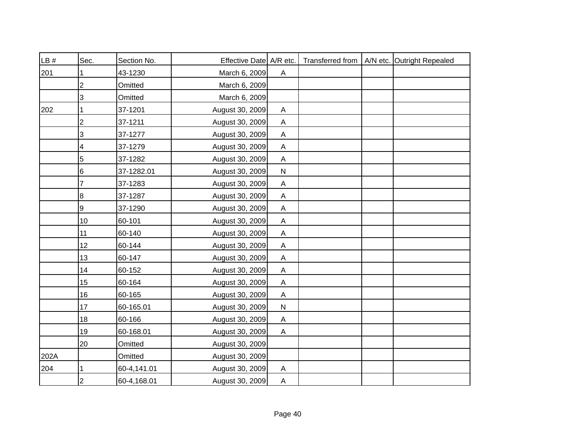| LB # | Sec.            | Section No. | Effective Date A/R etc. |                           |  | Transferred from   A/N etc. Outright Repealed |
|------|-----------------|-------------|-------------------------|---------------------------|--|-----------------------------------------------|
| 201  | 1               | 43-1230     | March 6, 2009           | A                         |  |                                               |
|      | $\overline{2}$  | Omitted     | March 6, 2009           |                           |  |                                               |
|      | 3               | Omitted     | March 6, 2009           |                           |  |                                               |
| 202  |                 | 37-1201     | August 30, 2009         | Α                         |  |                                               |
|      | $\overline{2}$  | 37-1211     | August 30, 2009         | $\mathsf{A}$              |  |                                               |
|      | 3               | 37-1277     | August 30, 2009         | $\boldsymbol{\mathsf{A}}$ |  |                                               |
|      | 4               | 37-1279     | August 30, 2009         | $\boldsymbol{\mathsf{A}}$ |  |                                               |
|      | 5               | 37-1282     | August 30, 2009         | A                         |  |                                               |
|      | 6               | 37-1282.01  | August 30, 2009         | ${\sf N}$                 |  |                                               |
|      | 7               | 37-1283     | August 30, 2009         | $\mathsf{A}$              |  |                                               |
|      | 8               | 37-1287     | August 30, 2009         | A                         |  |                                               |
|      | 9               | 37-1290     | August 30, 2009         | $\mathsf{A}$              |  |                                               |
|      | 10 <sub>1</sub> | 60-101      | August 30, 2009         | $\mathsf{A}$              |  |                                               |
|      | 11              | 60-140      | August 30, 2009         | $\mathsf{A}$              |  |                                               |
|      | 12 <sup>°</sup> | 60-144      | August 30, 2009         | A                         |  |                                               |
|      | 13              | 60-147      | August 30, 2009         | A                         |  |                                               |
|      | 14              | 60-152      | August 30, 2009         | A                         |  |                                               |
|      | 15              | 60-164      | August 30, 2009         | A                         |  |                                               |
|      | 16              | 60-165      | August 30, 2009         | A                         |  |                                               |
|      | 17              | 60-165.01   | August 30, 2009         | $\mathsf{N}$              |  |                                               |
|      | 18              | 60-166      | August 30, 2009         | A                         |  |                                               |
|      | 19              | 60-168.01   | August 30, 2009         | $\mathsf{A}$              |  |                                               |
|      | 20              | Omitted     | August 30, 2009         |                           |  |                                               |
| 202A |                 | Omitted     | August 30, 2009         |                           |  |                                               |
| 204  |                 | 60-4,141.01 | August 30, 2009         | $\mathsf{A}$              |  |                                               |
|      | $\overline{2}$  | 60-4,168.01 | August 30, 2009         | $\overline{A}$            |  |                                               |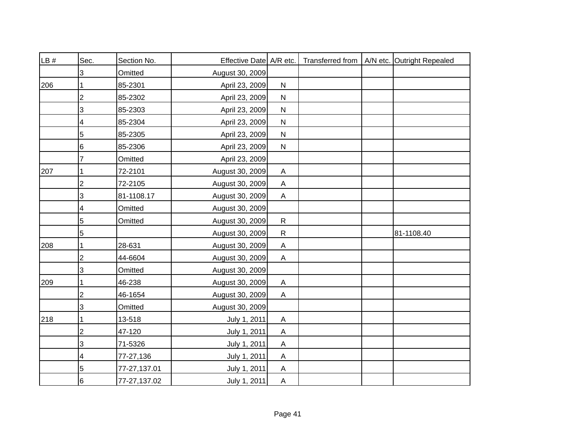| LB # | Sec.           | Section No.  | Effective Date A/R etc. |                           | Transferred from | A/N etc. Outright Repealed |
|------|----------------|--------------|-------------------------|---------------------------|------------------|----------------------------|
|      | 3              | Omitted      | August 30, 2009         |                           |                  |                            |
| 206  |                | 85-2301      | April 23, 2009          | ${\sf N}$                 |                  |                            |
|      | $\overline{2}$ | 85-2302      | April 23, 2009          | ${\sf N}$                 |                  |                            |
|      | 3              | 85-2303      | April 23, 2009          | ${\sf N}$                 |                  |                            |
|      | 4              | 85-2304      | April 23, 2009          | ${\sf N}$                 |                  |                            |
|      | 5              | 85-2305      | April 23, 2009          | ${\sf N}$                 |                  |                            |
|      | 6              | 85-2306      | April 23, 2009          | ${\sf N}$                 |                  |                            |
|      | 7              | Omitted      | April 23, 2009          |                           |                  |                            |
| 207  |                | 72-2101      | August 30, 2009         | $\boldsymbol{\mathsf{A}}$ |                  |                            |
|      | 2              | 72-2105      | August 30, 2009         | A                         |                  |                            |
|      | 3              | 81-1108.17   | August 30, 2009         | A                         |                  |                            |
|      | 4              | Omitted      | August 30, 2009         |                           |                  |                            |
|      | 5              | Omitted      | August 30, 2009         | $\mathsf{R}$              |                  |                            |
|      | 5              |              | August 30, 2009         | $\mathsf{R}$              |                  | 81-1108.40                 |
| 208  |                | 28-631       | August 30, 2009         | A                         |                  |                            |
|      | $\overline{2}$ | 44-6604      | August 30, 2009         | A                         |                  |                            |
|      | 3              | Omitted      | August 30, 2009         |                           |                  |                            |
| 209  |                | 46-238       | August 30, 2009         | A                         |                  |                            |
|      | $\overline{2}$ | 46-1654      | August 30, 2009         | A                         |                  |                            |
|      | 3              | Omitted      | August 30, 2009         |                           |                  |                            |
| 218  |                | 13-518       | July 1, 2011            | A                         |                  |                            |
|      | 2              | 47-120       | July 1, 2011            | A                         |                  |                            |
|      | 3              | 71-5326      | July 1, 2011            | A                         |                  |                            |
|      | 4              | 77-27,136    | July 1, 2011            | A                         |                  |                            |
|      | 5              | 77-27,137.01 | July 1, 2011            | A                         |                  |                            |
|      | 6              | 77-27,137.02 | July 1, 2011            | $\boldsymbol{\mathsf{A}}$ |                  |                            |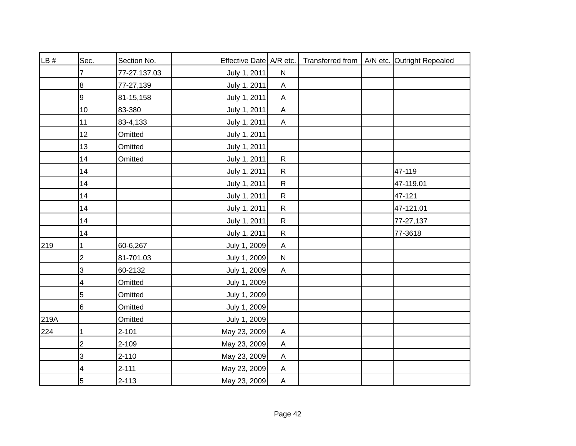| LB#  | Sec.            | Section No.  | Effective Date A/R etc. |                           |  | Transferred from   A/N etc. Outright Repealed |
|------|-----------------|--------------|-------------------------|---------------------------|--|-----------------------------------------------|
|      |                 | 77-27,137.03 | July 1, 2011            | ${\sf N}$                 |  |                                               |
|      | $\bf 8$         | 77-27,139    | July 1, 2011            | A                         |  |                                               |
|      | 9               | 81-15,158    | July 1, 2011            | $\mathsf A$               |  |                                               |
|      | 10              | 83-380       | July 1, 2011            | $\mathsf A$               |  |                                               |
|      | 11              | 83-4,133     | July 1, 2011            | A                         |  |                                               |
|      | 12              | Omitted      | July 1, 2011            |                           |  |                                               |
|      | 13              | Omitted      | July 1, 2011            |                           |  |                                               |
|      | 14              | Omitted      | July 1, 2011            | $\mathsf{R}$              |  |                                               |
|      | 14              |              | July 1, 2011            | $\mathsf{R}$              |  | 47-119                                        |
|      | 14              |              | July 1, 2011            | $\mathsf{R}$              |  | 47-119.01                                     |
|      | 14              |              | July 1, 2011            | ${\sf R}$                 |  | 47-121                                        |
|      | 14              |              | July 1, 2011            | ${\sf R}$                 |  | 47-121.01                                     |
|      | 14              |              | July 1, 2011            | $\mathsf{R}$              |  | 77-27,137                                     |
|      | 14              |              | July 1, 2011            | $\mathsf{R}$              |  | 77-3618                                       |
| 219  | 1               | 60-6,267     | July 1, 2009            | $\boldsymbol{\mathsf{A}}$ |  |                                               |
|      | $\overline{2}$  | 81-701.03    | July 1, 2009            | ${\sf N}$                 |  |                                               |
|      | 3               | 60-2132      | July 1, 2009            | $\boldsymbol{\mathsf{A}}$ |  |                                               |
|      | 4               | Omitted      | July 1, 2009            |                           |  |                                               |
|      | $\overline{5}$  | Omitted      | July 1, 2009            |                           |  |                                               |
|      | $6\overline{6}$ | Omitted      | July 1, 2009            |                           |  |                                               |
| 219A |                 | Omitted      | July 1, 2009            |                           |  |                                               |
| 224  | 1               | $2 - 101$    | May 23, 2009            | A                         |  |                                               |
|      | $\overline{c}$  | 2-109        | May 23, 2009            | A                         |  |                                               |
|      | 3               | $2 - 110$    | May 23, 2009            | A                         |  |                                               |
|      | 4               | $2 - 111$    | May 23, 2009            | $\boldsymbol{\mathsf{A}}$ |  |                                               |
|      | $\overline{5}$  | $2 - 113$    | May 23, 2009            | $\boldsymbol{\mathsf{A}}$ |  |                                               |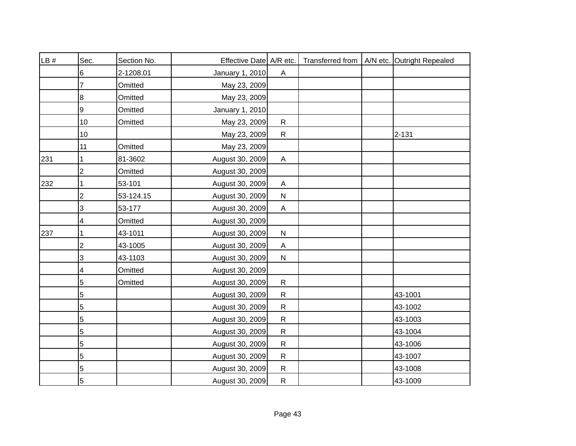| LB# | Sec.           | Section No. | Effective Date A/R etc. |                           |  | Transferred from   A/N etc. Outright Repealed |
|-----|----------------|-------------|-------------------------|---------------------------|--|-----------------------------------------------|
|     | 6              | 2-1208.01   | January 1, 2010         | A                         |  |                                               |
|     | 7              | Omitted     | May 23, 2009            |                           |  |                                               |
|     | 8              | Omitted     | May 23, 2009            |                           |  |                                               |
|     | 9              | Omitted     | January 1, 2010         |                           |  |                                               |
|     | 10             | Omitted     | May 23, 2009            | $\mathsf{R}$              |  |                                               |
|     | 10             |             | May 23, 2009            | $\mathsf{R}$              |  | 2-131                                         |
|     | 11             | Omitted     | May 23, 2009            |                           |  |                                               |
| 231 | 1              | 81-3602     | August 30, 2009         | $\boldsymbol{\mathsf{A}}$ |  |                                               |
|     | $\overline{2}$ | Omitted     | August 30, 2009         |                           |  |                                               |
| 232 | 1              | 53-101      | August 30, 2009         | A                         |  |                                               |
|     | 2              | 53-124.15   | August 30, 2009         | ${\sf N}$                 |  |                                               |
|     | 3              | 53-177      | August 30, 2009         | $\boldsymbol{\mathsf{A}}$ |  |                                               |
|     | 4              | Omitted     | August 30, 2009         |                           |  |                                               |
| 237 | 1              | 43-1011     | August 30, 2009         | ${\sf N}$                 |  |                                               |
|     | 2              | 43-1005     | August 30, 2009         | A                         |  |                                               |
|     | 3              | 43-1103     | August 30, 2009         | ${\sf N}$                 |  |                                               |
|     | 4              | Omitted     | August 30, 2009         |                           |  |                                               |
|     | 5              | Omitted     | August 30, 2009         | $\mathsf{R}$              |  |                                               |
|     | 5              |             | August 30, 2009         | $\mathsf{R}$              |  | 43-1001                                       |
|     | $\mathbf 5$    |             | August 30, 2009         | $\mathsf{R}$              |  | 43-1002                                       |
|     | 5              |             | August 30, 2009         | $\mathsf{R}$              |  | 43-1003                                       |
|     | $\mathbf 5$    |             | August 30, 2009         | ${\sf R}$                 |  | 43-1004                                       |
|     | 5              |             | August 30, 2009         | $\mathsf{R}$              |  | 43-1006                                       |
|     | 5              |             | August 30, 2009         | $\mathsf{R}$              |  | 43-1007                                       |
|     | 5              |             | August 30, 2009         | $\mathsf{R}$              |  | 43-1008                                       |
|     | 5              |             | August 30, 2009         | ${\sf R}$                 |  | 43-1009                                       |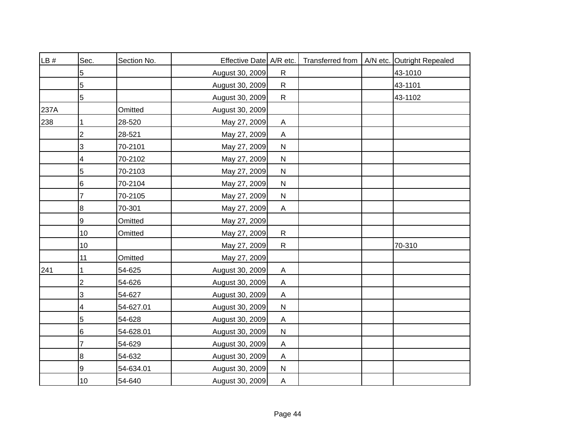| LB # | Sec.           | Section No. | Effective Date A/R etc. |                           |  | Transferred from   A/N etc. Outright Repealed |
|------|----------------|-------------|-------------------------|---------------------------|--|-----------------------------------------------|
|      | 5              |             | August 30, 2009         | $\mathsf{R}$              |  | 43-1010                                       |
|      | 5              |             | August 30, 2009         | $\mathsf{R}$              |  | 43-1101                                       |
|      | 5              |             | August 30, 2009         | $\mathsf{R}$              |  | 43-1102                                       |
| 237A |                | Omitted     | August 30, 2009         |                           |  |                                               |
| 238  |                | 28-520      | May 27, 2009            | A                         |  |                                               |
|      | $\overline{c}$ | 28-521      | May 27, 2009            | $\boldsymbol{\mathsf{A}}$ |  |                                               |
|      | 3              | 70-2101     | May 27, 2009            | ${\sf N}$                 |  |                                               |
|      | 4              | 70-2102     | May 27, 2009            | ${\sf N}$                 |  |                                               |
|      | 5              | 70-2103     | May 27, 2009            | $\mathsf{N}$              |  |                                               |
|      | 6              | 70-2104     | May 27, 2009            | $\mathsf{N}$              |  |                                               |
|      | 7              | 70-2105     | May 27, 2009            | ${\sf N}$                 |  |                                               |
|      | 8              | 70-301      | May 27, 2009            | $\mathsf{A}$              |  |                                               |
|      | 9              | Omitted     | May 27, 2009            |                           |  |                                               |
|      | 10             | Omitted     | May 27, 2009            | $\mathsf{R}$              |  |                                               |
|      | 10             |             | May 27, 2009            | $\mathsf{R}$              |  | 70-310                                        |
|      | 11             | Omitted     | May 27, 2009            |                           |  |                                               |
| 241  | 1              | 54-625      | August 30, 2009         | A                         |  |                                               |
|      | 2              | 54-626      | August 30, 2009         | A                         |  |                                               |
|      | 3              | 54-627      | August 30, 2009         | Α                         |  |                                               |
|      | 4              | 54-627.01   | August 30, 2009         | $\mathsf{N}$              |  |                                               |
|      | 5              | 54-628      | August 30, 2009         | A                         |  |                                               |
|      | 6              | 54-628.01   | August 30, 2009         | ${\sf N}$                 |  |                                               |
|      | 7              | 54-629      | August 30, 2009         | A                         |  |                                               |
|      | 8              | 54-632      | August 30, 2009         | $\boldsymbol{\mathsf{A}}$ |  |                                               |
|      | 9              | 54-634.01   | August 30, 2009         | $\mathsf{N}$              |  |                                               |
|      | 10             | 54-640      | August 30, 2009         | $\mathsf{A}$              |  |                                               |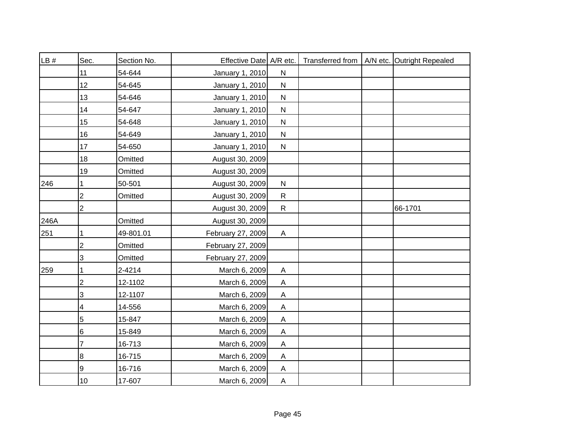| LB#  | Sec.           | Section No. | Effective Date A/R etc. |                         |  | Transferred from   A/N etc. Outright Repealed |
|------|----------------|-------------|-------------------------|-------------------------|--|-----------------------------------------------|
|      | 11             | 54-644      | January 1, 2010         | $\mathsf{N}$            |  |                                               |
|      | 12             | 54-645      | January 1, 2010         | $\mathsf{N}$            |  |                                               |
|      | 13             | 54-646      | January 1, 2010         | $\mathsf{N}$            |  |                                               |
|      | 14             | 54-647      | January 1, 2010         | $\mathsf{N}$            |  |                                               |
|      | 15             | 54-648      | January 1, 2010         | $\mathsf{N}$            |  |                                               |
|      | 16             | 54-649      | January 1, 2010         | ${\sf N}$               |  |                                               |
|      | 17             | 54-650      | January 1, 2010         | $\mathsf{N}$            |  |                                               |
|      | 18             | Omitted     | August 30, 2009         |                         |  |                                               |
|      | 19             | Omitted     | August 30, 2009         |                         |  |                                               |
| 246  | 1              | 50-501      | August 30, 2009         | $\mathsf{N}$            |  |                                               |
|      | 2              | Omitted     | August 30, 2009         | $\mathsf{R}$            |  |                                               |
|      | 2              |             | August 30, 2009         | $\mathsf{R}$            |  | 66-1701                                       |
| 246A |                | Omitted     | August 30, 2009         |                         |  |                                               |
| 251  | 1              | 49-801.01   | February 27, 2009       | A                       |  |                                               |
|      | 2              | Omitted     | February 27, 2009       |                         |  |                                               |
|      | 3              | Omitted     | February 27, 2009       |                         |  |                                               |
| 259  |                | 2-4214      | March 6, 2009           | $\overline{\mathsf{A}}$ |  |                                               |
|      | $\overline{2}$ | 12-1102     | March 6, 2009           | $\overline{\mathsf{A}}$ |  |                                               |
|      | 3              | 12-1107     | March 6, 2009           | A                       |  |                                               |
|      | 4              | 14-556      | March 6, 2009           | $\overline{\mathsf{A}}$ |  |                                               |
|      | $\overline{5}$ | 15-847      | March 6, 2009           | A                       |  |                                               |
|      | 6              | 15-849      | March 6, 2009           | A                       |  |                                               |
|      |                | 16-713      | March 6, 2009           | A                       |  |                                               |
|      | 8              | 16-715      | March 6, 2009           | A                       |  |                                               |
|      | 9              | 16-716      | March 6, 2009           | A                       |  |                                               |
|      | 10             | 17-607      | March 6, 2009           | $\mathsf{A}$            |  |                                               |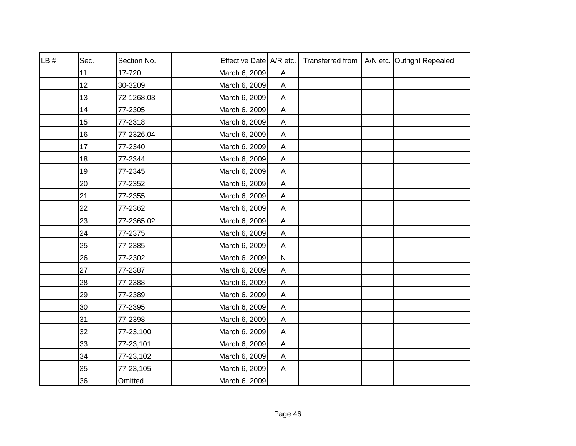| LB# | Sec. | Section No. | Effective Date A/R etc. |                           |  | Transferred from   A/N etc. Outright Repealed |
|-----|------|-------------|-------------------------|---------------------------|--|-----------------------------------------------|
|     | 11   | 17-720      | March 6, 2009           | A                         |  |                                               |
|     | 12   | 30-3209     | March 6, 2009           | $\mathsf{A}$              |  |                                               |
|     | 13   | 72-1268.03  | March 6, 2009           | A                         |  |                                               |
|     | 14   | 77-2305     | March 6, 2009           | $\mathsf{A}$              |  |                                               |
|     | 15   | 77-2318     | March 6, 2009           | A                         |  |                                               |
|     | 16   | 77-2326.04  | March 6, 2009           | Α                         |  |                                               |
|     | 17   | 77-2340     | March 6, 2009           | A                         |  |                                               |
|     | 18   | 77-2344     | March 6, 2009           | A                         |  |                                               |
|     | 19   | 77-2345     | March 6, 2009           | A                         |  |                                               |
|     | 20   | 77-2352     | March 6, 2009           | Α                         |  |                                               |
|     | 21   | 77-2355     | March 6, 2009           | Α                         |  |                                               |
|     | 22   | 77-2362     | March 6, 2009           | $\boldsymbol{\mathsf{A}}$ |  |                                               |
|     | 23   | 77-2365.02  | March 6, 2009           | A                         |  |                                               |
|     | 24   | 77-2375     | March 6, 2009           | Α                         |  |                                               |
|     | 25   | 77-2385     | March 6, 2009           | A                         |  |                                               |
|     | 26   | 77-2302     | March 6, 2009           | ${\sf N}$                 |  |                                               |
|     | 27   | 77-2387     | March 6, 2009           | Α                         |  |                                               |
|     | 28   | 77-2388     | March 6, 2009           | Α                         |  |                                               |
|     | 29   | 77-2389     | March 6, 2009           | Α                         |  |                                               |
|     | 30   | 77-2395     | March 6, 2009           | Α                         |  |                                               |
|     | 31   | 77-2398     | March 6, 2009           | Α                         |  |                                               |
|     | 32   | 77-23,100   | March 6, 2009           | Α                         |  |                                               |
|     | 33   | 77-23,101   | March 6, 2009           | Α                         |  |                                               |
|     | 34   | 77-23,102   | March 6, 2009           | A                         |  |                                               |
|     | 35   | 77-23,105   | March 6, 2009           | $\mathsf{A}$              |  |                                               |
|     | 36   | Omitted     | March 6, 2009           |                           |  |                                               |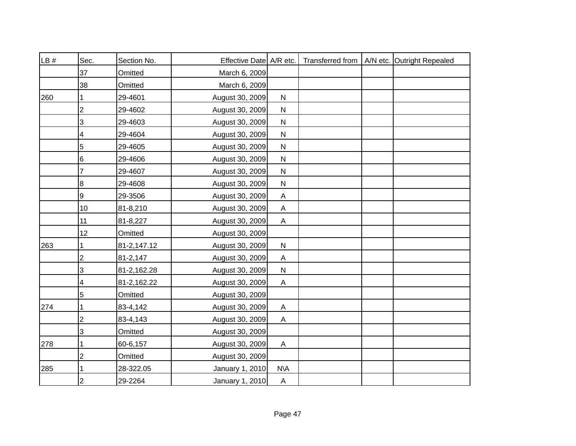| LB # | Sec.           | Section No. | Effective Date A/R etc. |                           |  | Transferred from   A/N etc. Outright Repealed |
|------|----------------|-------------|-------------------------|---------------------------|--|-----------------------------------------------|
|      | 37             | Omitted     | March 6, 2009           |                           |  |                                               |
|      | 38             | Omitted     | March 6, 2009           |                           |  |                                               |
| 260  |                | 29-4601     | August 30, 2009         | ${\sf N}$                 |  |                                               |
|      | 2              | 29-4602     | August 30, 2009         | $\mathsf{N}$              |  |                                               |
|      | 3              | 29-4603     | August 30, 2009         | ${\sf N}$                 |  |                                               |
|      | 4              | 29-4604     | August 30, 2009         | ${\sf N}$                 |  |                                               |
|      | 5              | 29-4605     | August 30, 2009         | $\mathsf{N}$              |  |                                               |
|      | 6              | 29-4606     | August 30, 2009         | $\mathsf{N}$              |  |                                               |
|      | 7              | 29-4607     | August 30, 2009         | ${\sf N}$                 |  |                                               |
|      | 8              | 29-4608     | August 30, 2009         | ${\sf N}$                 |  |                                               |
|      | 9              | 29-3506     | August 30, 2009         | A                         |  |                                               |
|      | 10             | 81-8,210    | August 30, 2009         | $\boldsymbol{\mathsf{A}}$ |  |                                               |
|      | 11             | 81-8,227    | August 30, 2009         | $\mathsf{A}$              |  |                                               |
|      | 12             | Omitted     | August 30, 2009         |                           |  |                                               |
| 263  |                | 81-2,147.12 | August 30, 2009         | ${\sf N}$                 |  |                                               |
|      | 2              | 81-2,147    | August 30, 2009         | A                         |  |                                               |
|      | 3              | 81-2,162.28 | August 30, 2009         | ${\sf N}$                 |  |                                               |
|      | 4              | 81-2,162.22 | August 30, 2009         | A                         |  |                                               |
|      | 5              | Omitted     | August 30, 2009         |                           |  |                                               |
| 274  |                | 83-4,142    | August 30, 2009         | A                         |  |                                               |
|      | $\overline{c}$ | 83-4,143    | August 30, 2009         | A                         |  |                                               |
|      | 3              | Omitted     | August 30, 2009         |                           |  |                                               |
| 278  |                | 60-6,157    | August 30, 2009         | A                         |  |                                               |
|      | 2              | Omitted     | August 30, 2009         |                           |  |                                               |
| 285  |                | 28-322.05   | January 1, 2010         | N\A                       |  |                                               |
|      | $\overline{2}$ | 29-2264     | January 1, 2010         | A                         |  |                                               |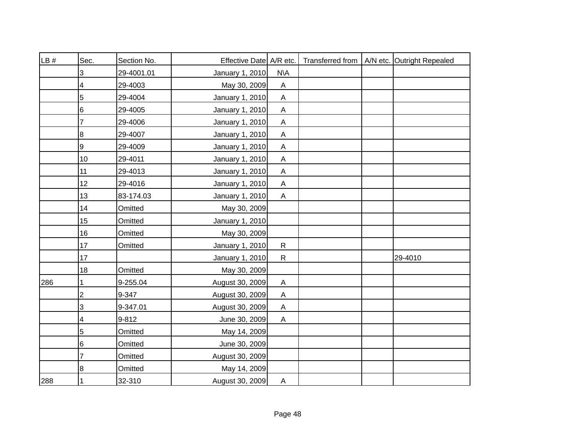| LB# | Sec.            | Section No. | Effective Date A/R etc. |                           |  | Transferred from   A/N etc. Outright Repealed |
|-----|-----------------|-------------|-------------------------|---------------------------|--|-----------------------------------------------|
|     | 3               | 29-4001.01  | January 1, 2010         | N\A                       |  |                                               |
|     | 4               | 29-4003     | May 30, 2009            | A                         |  |                                               |
|     | 5               | 29-4004     | January 1, 2010         | A                         |  |                                               |
|     | $6\phantom{1}6$ | 29-4005     | January 1, 2010         | $\boldsymbol{\mathsf{A}}$ |  |                                               |
|     | 7               | 29-4006     | January 1, 2010         | $\mathsf{A}$              |  |                                               |
|     | 8               | 29-4007     | January 1, 2010         | A                         |  |                                               |
|     | 9               | 29-4009     | January 1, 2010         | $\boldsymbol{\mathsf{A}}$ |  |                                               |
|     | 10              | 29-4011     | January 1, 2010         | $\mathsf{A}$              |  |                                               |
|     | 11              | 29-4013     | January 1, 2010         | $\boldsymbol{\mathsf{A}}$ |  |                                               |
|     | 12              | 29-4016     | January 1, 2010         | $\mathsf{A}$              |  |                                               |
|     | 13              | 83-174.03   | January 1, 2010         | A                         |  |                                               |
|     | 14              | Omitted     | May 30, 2009            |                           |  |                                               |
|     | 15              | Omitted     | January 1, 2010         |                           |  |                                               |
|     | 16              | Omitted     | May 30, 2009            |                           |  |                                               |
|     | 17              | Omitted     | January 1, 2010         | $\mathsf{R}$              |  |                                               |
|     | 17              |             | January 1, 2010         | $\mathsf{R}$              |  | 29-4010                                       |
|     | 18              | Omitted     | May 30, 2009            |                           |  |                                               |
| 286 | 1               | 9-255.04    | August 30, 2009         | $\overline{A}$            |  |                                               |
|     | $\overline{2}$  | 9-347       | August 30, 2009         | A                         |  |                                               |
|     | 3               | 9-347.01    | August 30, 2009         | $\boldsymbol{\mathsf{A}}$ |  |                                               |
|     | 4               | 9-812       | June 30, 2009           | $\mathsf{A}$              |  |                                               |
|     | $\sqrt{5}$      | Omitted     | May 14, 2009            |                           |  |                                               |
|     | $\,6$           | Omitted     | June 30, 2009           |                           |  |                                               |
|     | 7               | Omitted     | August 30, 2009         |                           |  |                                               |
|     | 8               | Omitted     | May 14, 2009            |                           |  |                                               |
| 288 | 1               | 32-310      | August 30, 2009         | $\mathsf{A}$              |  |                                               |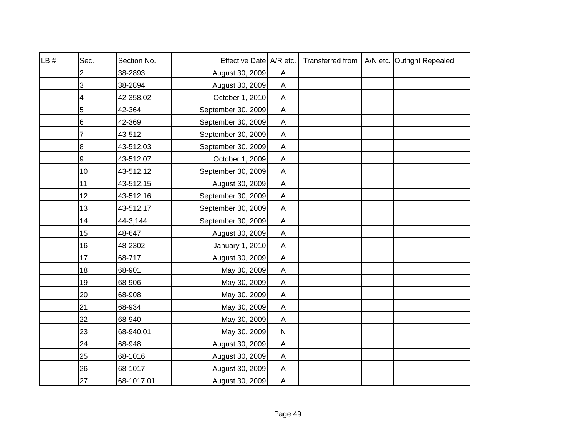| LB# | Sec.             | Section No. | Effective Date A/R etc. |                           | Transferred from | A/N etc. Outright Repealed |
|-----|------------------|-------------|-------------------------|---------------------------|------------------|----------------------------|
|     | 2                | 38-2893     | August 30, 2009         | A                         |                  |                            |
|     | 3                | 38-2894     | August 30, 2009         | A                         |                  |                            |
|     | 4                | 42-358.02   | October 1, 2010         | A                         |                  |                            |
|     | $\overline{5}$   | 42-364      | September 30, 2009      | $\boldsymbol{\mathsf{A}}$ |                  |                            |
|     | 6                | 42-369      | September 30, 2009      | A                         |                  |                            |
|     | 7                | 43-512      | September 30, 2009      | $\mathsf A$               |                  |                            |
|     | 8                | 43-512.03   | September 30, 2009      | $\mathsf A$               |                  |                            |
|     | $\boldsymbol{9}$ | 43-512.07   | October 1, 2009         | $\boldsymbol{\mathsf{A}}$ |                  |                            |
|     | 10               | 43-512.12   | September 30, 2009      | $\boldsymbol{\mathsf{A}}$ |                  |                            |
|     | 11               | 43-512.15   | August 30, 2009         | $\boldsymbol{\mathsf{A}}$ |                  |                            |
|     | 12               | 43-512.16   | September 30, 2009      | A                         |                  |                            |
|     | 13               | 43-512.17   | September 30, 2009      | $\boldsymbol{\mathsf{A}}$ |                  |                            |
|     | 14               | 44-3,144    | September 30, 2009      | A                         |                  |                            |
|     | 15               | 48-647      | August 30, 2009         | A                         |                  |                            |
|     | 16               | 48-2302     | January 1, 2010         | A                         |                  |                            |
|     | 17               | 68-717      | August 30, 2009         | A                         |                  |                            |
|     | 18               | 68-901      | May 30, 2009            | $\boldsymbol{\mathsf{A}}$ |                  |                            |
|     | 19               | 68-906      | May 30, 2009            | A                         |                  |                            |
|     | 20               | 68-908      | May 30, 2009            | $\boldsymbol{\mathsf{A}}$ |                  |                            |
|     | 21               | 68-934      | May 30, 2009            | $\boldsymbol{\mathsf{A}}$ |                  |                            |
|     | 22               | 68-940      | May 30, 2009            | A                         |                  |                            |
|     | 23               | 68-940.01   | May 30, 2009            | ${\sf N}$                 |                  |                            |
|     | 24               | 68-948      | August 30, 2009         | A                         |                  |                            |
|     | 25               | 68-1016     | August 30, 2009         | $\mathsf A$               |                  |                            |
|     | 26               | 68-1017     | August 30, 2009         | A                         |                  |                            |
|     | 27               | 68-1017.01  | August 30, 2009         | A                         |                  |                            |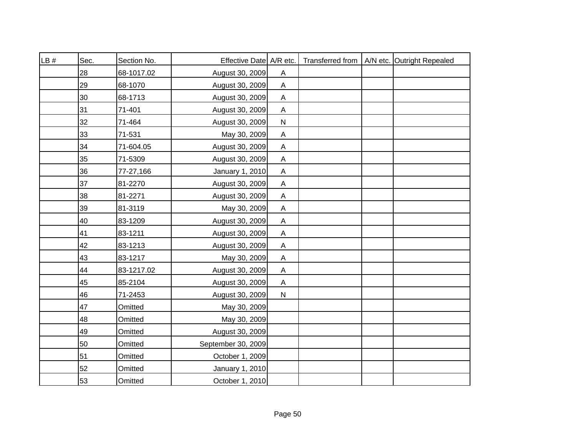| LB # | Sec. | Section No. | Effective Date A/R etc. |                           |  | Transferred from   A/N etc. Outright Repealed |
|------|------|-------------|-------------------------|---------------------------|--|-----------------------------------------------|
|      | 28   | 68-1017.02  | August 30, 2009         | A                         |  |                                               |
|      | 29   | 68-1070     | August 30, 2009         | $\mathsf{A}$              |  |                                               |
|      | 30   | 68-1713     | August 30, 2009         | A                         |  |                                               |
|      | 31   | 71-401      | August 30, 2009         | $\mathsf{A}$              |  |                                               |
|      | 32   | 71-464      | August 30, 2009         | ${\sf N}$                 |  |                                               |
|      | 33   | 71-531      | May 30, 2009            | Α                         |  |                                               |
|      | 34   | 71-604.05   | August 30, 2009         | $\mathsf{A}$              |  |                                               |
|      | 35   | 71-5309     | August 30, 2009         | $\mathsf{A}$              |  |                                               |
|      | 36   | 77-27,166   | January 1, 2010         | $\mathsf{A}$              |  |                                               |
|      | 37   | 81-2270     | August 30, 2009         | $\boldsymbol{\mathsf{A}}$ |  |                                               |
|      | 38   | 81-2271     | August 30, 2009         | Α                         |  |                                               |
|      | 39   | 81-3119     | May 30, 2009            | $\mathsf A$               |  |                                               |
|      | 40   | 83-1209     | August 30, 2009         | $\mathsf{A}$              |  |                                               |
|      | 41   | 83-1211     | August 30, 2009         | $\boldsymbol{\mathsf{A}}$ |  |                                               |
|      | 42   | 83-1213     | August 30, 2009         | $\boldsymbol{\mathsf{A}}$ |  |                                               |
|      | 43   | 83-1217     | May 30, 2009            | $\boldsymbol{\mathsf{A}}$ |  |                                               |
|      | 44   | 83-1217.02  | August 30, 2009         | $\boldsymbol{\mathsf{A}}$ |  |                                               |
|      | 45   | 85-2104     | August 30, 2009         | $\mathsf{A}$              |  |                                               |
|      | 46   | 71-2453     | August 30, 2009         | ${\sf N}$                 |  |                                               |
|      | 47   | Omitted     | May 30, 2009            |                           |  |                                               |
|      | 48   | Omitted     | May 30, 2009            |                           |  |                                               |
|      | 49   | Omitted     | August 30, 2009         |                           |  |                                               |
|      | 50   | Omitted     | September 30, 2009      |                           |  |                                               |
|      | 51   | Omitted     | October 1, 2009         |                           |  |                                               |
|      | 52   | Omitted     | January 1, 2010         |                           |  |                                               |
|      | 53   | Omitted     | October 1, 2010         |                           |  |                                               |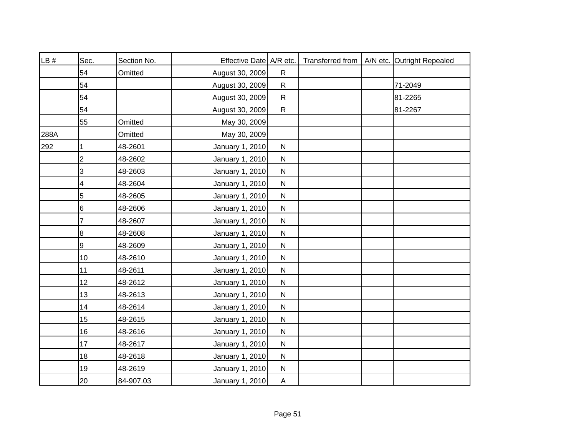| LB#  | Sec.             | Section No. | Effective Date A/R etc. |              |  | Transferred from   A/N etc. Outright Repealed |
|------|------------------|-------------|-------------------------|--------------|--|-----------------------------------------------|
|      | 54               | Omitted     | August 30, 2009         | $\mathsf{R}$ |  |                                               |
|      | 54               |             | August 30, 2009         | $\mathsf{R}$ |  | 71-2049                                       |
|      | 54               |             | August 30, 2009         | $\mathsf{R}$ |  | 81-2265                                       |
|      | 54               |             | August 30, 2009         | $\mathsf{R}$ |  | 81-2267                                       |
|      | 55               | Omitted     | May 30, 2009            |              |  |                                               |
| 288A |                  | Omitted     | May 30, 2009            |              |  |                                               |
| 292  |                  | 48-2601     | January 1, 2010         | ${\sf N}$    |  |                                               |
|      | $\overline{2}$   | 48-2602     | January 1, 2010         | $\mathsf{N}$ |  |                                               |
|      | 3                | 48-2603     | January 1, 2010         | ${\sf N}$    |  |                                               |
|      | 4                | 48-2604     | January 1, 2010         | ${\sf N}$    |  |                                               |
|      | 5                | 48-2605     | January 1, 2010         | ${\sf N}$    |  |                                               |
|      | $\,6$            | 48-2606     | January 1, 2010         | ${\sf N}$    |  |                                               |
|      | $\overline{7}$   | 48-2607     | January 1, 2010         | ${\sf N}$    |  |                                               |
|      | $\bf 8$          | 48-2608     | January 1, 2010         | ${\sf N}$    |  |                                               |
|      | $\boldsymbol{9}$ | 48-2609     | January 1, 2010         | ${\sf N}$    |  |                                               |
|      | 10               | 48-2610     | January 1, 2010         | ${\sf N}$    |  |                                               |
|      | 11               | 48-2611     | January 1, 2010         | ${\sf N}$    |  |                                               |
|      | 12               | 48-2612     | January 1, 2010         | $\mathsf{N}$ |  |                                               |
|      | 13               | 48-2613     | January 1, 2010         | ${\sf N}$    |  |                                               |
|      | 14               | 48-2614     | January 1, 2010         | $\mathsf{N}$ |  |                                               |
|      | 15               | 48-2615     | January 1, 2010         | ${\sf N}$    |  |                                               |
|      | 16               | 48-2616     | January 1, 2010         | ${\sf N}$    |  |                                               |
|      | 17               | 48-2617     | January 1, 2010         | ${\sf N}$    |  |                                               |
|      | 18               | 48-2618     | January 1, 2010         | ${\sf N}$    |  |                                               |
|      | 19               | 48-2619     | January 1, 2010         | ${\sf N}$    |  |                                               |
|      | 20               | 84-907.03   | January 1, 2010         | $\mathsf{A}$ |  |                                               |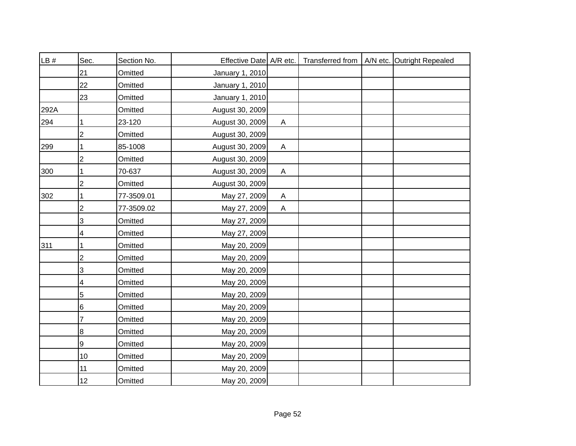| LB # | Sec.           | Section No. | Effective Date A/R etc. |                           |  | Transferred from   A/N etc. Outright Repealed |
|------|----------------|-------------|-------------------------|---------------------------|--|-----------------------------------------------|
|      | 21             | Omitted     | January 1, 2010         |                           |  |                                               |
|      | 22             | Omitted     | January 1, 2010         |                           |  |                                               |
|      | 23             | Omitted     | January 1, 2010         |                           |  |                                               |
| 292A |                | Omitted     | August 30, 2009         |                           |  |                                               |
| 294  |                | 23-120      | August 30, 2009         | $\mathsf{A}$              |  |                                               |
|      | $\overline{2}$ | Omitted     | August 30, 2009         |                           |  |                                               |
| 299  |                | 85-1008     | August 30, 2009         | A                         |  |                                               |
|      | $\overline{2}$ | Omitted     | August 30, 2009         |                           |  |                                               |
| 300  |                | 70-637      | August 30, 2009         | $\boldsymbol{\mathsf{A}}$ |  |                                               |
|      | 2              | Omitted     | August 30, 2009         |                           |  |                                               |
| 302  |                | 77-3509.01  | May 27, 2009            | A                         |  |                                               |
|      | 2              | 77-3509.02  | May 27, 2009            | $\boldsymbol{\mathsf{A}}$ |  |                                               |
|      | 3              | Omitted     | May 27, 2009            |                           |  |                                               |
|      | 4              | Omitted     | May 27, 2009            |                           |  |                                               |
| 311  |                | Omitted     | May 20, 2009            |                           |  |                                               |
|      | $\overline{c}$ | Omitted     | May 20, 2009            |                           |  |                                               |
|      | 3              | Omitted     | May 20, 2009            |                           |  |                                               |
|      | 4              | Omitted     | May 20, 2009            |                           |  |                                               |
|      | 5              | Omitted     | May 20, 2009            |                           |  |                                               |
|      | 6              | Omitted     | May 20, 2009            |                           |  |                                               |
|      | 7              | Omitted     | May 20, 2009            |                           |  |                                               |
|      | 8              | Omitted     | May 20, 2009            |                           |  |                                               |
|      | 9              | Omitted     | May 20, 2009            |                           |  |                                               |
|      | 10             | Omitted     | May 20, 2009            |                           |  |                                               |
|      | 11             | Omitted     | May 20, 2009            |                           |  |                                               |
|      | 12             | Omitted     | May 20, 2009            |                           |  |                                               |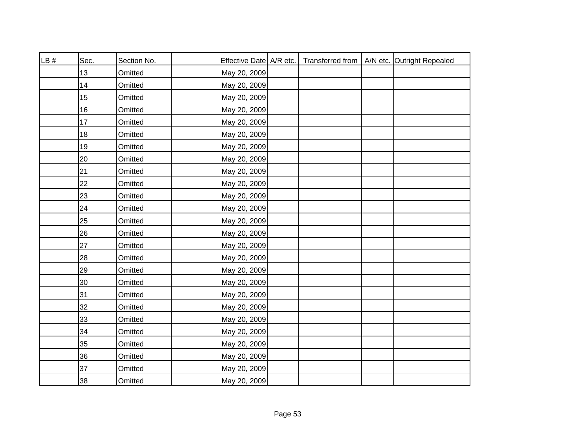| LB# | Sec. | Section No. | Effective Date   A/R etc. |  | Transferred from   A/N etc. Outright Repealed |
|-----|------|-------------|---------------------------|--|-----------------------------------------------|
|     | 13   | Omitted     | May 20, 2009              |  |                                               |
|     | 14   | Omitted     | May 20, 2009              |  |                                               |
|     | 15   | Omitted     | May 20, 2009              |  |                                               |
|     | 16   | Omitted     | May 20, 2009              |  |                                               |
|     | 17   | Omitted     | May 20, 2009              |  |                                               |
|     | 18   | Omitted     | May 20, 2009              |  |                                               |
|     | 19   | Omitted     | May 20, 2009              |  |                                               |
|     | 20   | Omitted     | May 20, 2009              |  |                                               |
|     | 21   | Omitted     | May 20, 2009              |  |                                               |
|     | 22   | Omitted     | May 20, 2009              |  |                                               |
|     | 23   | Omitted     | May 20, 2009              |  |                                               |
|     | 24   | Omitted     | May 20, 2009              |  |                                               |
|     | 25   | Omitted     | May 20, 2009              |  |                                               |
|     | 26   | Omitted     | May 20, 2009              |  |                                               |
|     | 27   | Omitted     | May 20, 2009              |  |                                               |
|     | 28   | Omitted     | May 20, 2009              |  |                                               |
|     | 29   | Omitted     | May 20, 2009              |  |                                               |
|     | 30   | Omitted     | May 20, 2009              |  |                                               |
|     | 31   | Omitted     | May 20, 2009              |  |                                               |
|     | 32   | Omitted     | May 20, 2009              |  |                                               |
|     | 33   | Omitted     | May 20, 2009              |  |                                               |
|     | 34   | Omitted     | May 20, 2009              |  |                                               |
|     | 35   | Omitted     | May 20, 2009              |  |                                               |
|     | 36   | Omitted     | May 20, 2009              |  |                                               |
|     | 37   | Omitted     | May 20, 2009              |  |                                               |
|     | 38   | Omitted     | May 20, 2009              |  |                                               |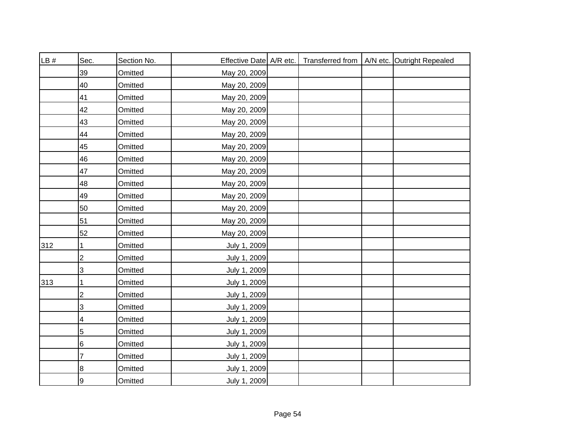| LB# | Sec.           | Section No. | Effective Date   A/R etc. |  | Transferred from   A/N etc. Outright Repealed |
|-----|----------------|-------------|---------------------------|--|-----------------------------------------------|
|     | 39             | Omitted     | May 20, 2009              |  |                                               |
|     | 40             | Omitted     | May 20, 2009              |  |                                               |
|     | 41             | Omitted     | May 20, 2009              |  |                                               |
|     | 42             | Omitted     | May 20, 2009              |  |                                               |
|     | 43             | Omitted     | May 20, 2009              |  |                                               |
|     | 44             | Omitted     | May 20, 2009              |  |                                               |
|     | 45             | Omitted     | May 20, 2009              |  |                                               |
|     | 46             | Omitted     | May 20, 2009              |  |                                               |
|     | 47             | Omitted     | May 20, 2009              |  |                                               |
|     | 48             | Omitted     | May 20, 2009              |  |                                               |
|     | 49             | Omitted     | May 20, 2009              |  |                                               |
|     | 50             | Omitted     | May 20, 2009              |  |                                               |
|     | 51             | Omitted     | May 20, 2009              |  |                                               |
|     | 52             | Omitted     | May 20, 2009              |  |                                               |
| 312 |                | Omitted     | July 1, 2009              |  |                                               |
|     | $\overline{2}$ | Omitted     | July 1, 2009              |  |                                               |
|     | 3              | Omitted     | July 1, 2009              |  |                                               |
| 313 | 1              | Omitted     | July 1, 2009              |  |                                               |
|     | $\overline{c}$ | Omitted     | July 1, 2009              |  |                                               |
|     | 3              | Omitted     | July 1, 2009              |  |                                               |
|     | 4              | Omitted     | July 1, 2009              |  |                                               |
|     | 5              | Omitted     | July 1, 2009              |  |                                               |
|     | 6              | Omitted     | July 1, 2009              |  |                                               |
|     | 7              | Omitted     | July 1, 2009              |  |                                               |
|     | 8              | Omitted     | July 1, 2009              |  |                                               |
|     | 9              | Omitted     | July 1, 2009              |  |                                               |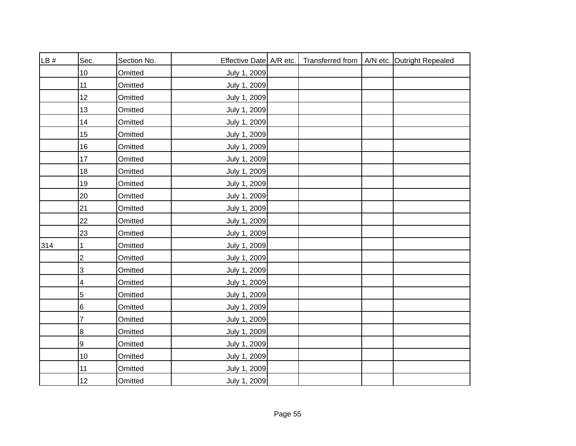| LB# | Sec.                      | Section No. | Effective Date A/R etc. |  | Transferred from   A/N etc. Outright Repealed |
|-----|---------------------------|-------------|-------------------------|--|-----------------------------------------------|
|     | 10                        | Omitted     | July 1, 2009            |  |                                               |
|     | 11                        | Omitted     | July 1, 2009            |  |                                               |
|     | 12                        | Omitted     | July 1, 2009            |  |                                               |
|     | 13                        | Omitted     | July 1, 2009            |  |                                               |
|     | 14                        | Omitted     | July 1, 2009            |  |                                               |
|     | 15                        | Omitted     | July 1, 2009            |  |                                               |
|     | 16                        | Omitted     | July 1, 2009            |  |                                               |
|     | 17                        | Omitted     | July 1, 2009            |  |                                               |
|     | 18                        | Omitted     | July 1, 2009            |  |                                               |
|     | 19                        | Omitted     | July 1, 2009            |  |                                               |
|     | 20                        | Omitted     | July 1, 2009            |  |                                               |
|     | 21                        | Omitted     | July 1, 2009            |  |                                               |
|     | 22                        | Omitted     | July 1, 2009            |  |                                               |
|     | 23                        | Omitted     | July 1, 2009            |  |                                               |
| 314 |                           | Omitted     | July 1, 2009            |  |                                               |
|     | $\boldsymbol{2}$          | Omitted     | July 1, 2009            |  |                                               |
|     | $\ensuremath{\mathsf{3}}$ | Omitted     | July 1, 2009            |  |                                               |
|     | 4                         | Omitted     | July 1, 2009            |  |                                               |
|     | $\overline{5}$            | Omitted     | July 1, 2009            |  |                                               |
|     | $\,6$                     | Omitted     | July 1, 2009            |  |                                               |
|     | 7                         | Omitted     | July 1, 2009            |  |                                               |
|     | 8                         | Omitted     | July 1, 2009            |  |                                               |
|     | 9                         | Omitted     | July 1, 2009            |  |                                               |
|     | 10                        | Omitted     | July 1, 2009            |  |                                               |
|     | 11                        | Omitted     | July 1, 2009            |  |                                               |
|     | 12                        | Omitted     | July 1, 2009            |  |                                               |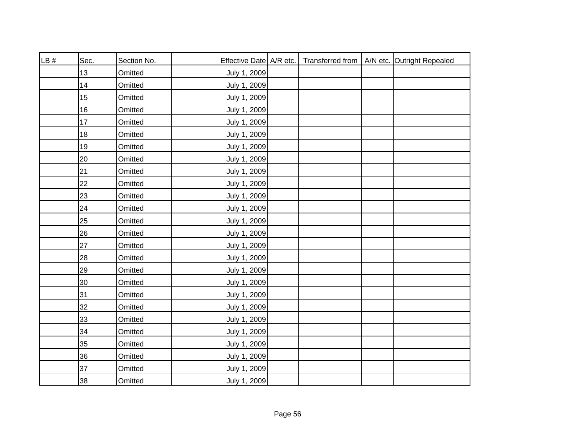| LB# | Sec. | Section No. | Effective Date A/R etc. |  | Transferred from   A/N etc. Outright Repealed |
|-----|------|-------------|-------------------------|--|-----------------------------------------------|
|     | 13   | Omitted     | July 1, 2009            |  |                                               |
|     | 14   | Omitted     | July 1, 2009            |  |                                               |
|     | 15   | Omitted     | July 1, 2009            |  |                                               |
|     | 16   | Omitted     | July 1, 2009            |  |                                               |
|     | 17   | Omitted     | July 1, 2009            |  |                                               |
|     | 18   | Omitted     | July 1, 2009            |  |                                               |
|     | 19   | Omitted     | July 1, 2009            |  |                                               |
|     | 20   | Omitted     | July 1, 2009            |  |                                               |
|     | 21   | Omitted     | July 1, 2009            |  |                                               |
|     | 22   | Omitted     | July 1, 2009            |  |                                               |
|     | 23   | Omitted     | July 1, 2009            |  |                                               |
|     | 24   | Omitted     | July 1, 2009            |  |                                               |
|     | 25   | Omitted     | July 1, 2009            |  |                                               |
|     | 26   | Omitted     | July 1, 2009            |  |                                               |
|     | 27   | Omitted     | July 1, 2009            |  |                                               |
|     | 28   | Omitted     | July 1, 2009            |  |                                               |
|     | 29   | Omitted     | July 1, 2009            |  |                                               |
|     | 30   | Omitted     | July 1, 2009            |  |                                               |
|     | 31   | Omitted     | July 1, 2009            |  |                                               |
|     | 32   | Omitted     | July 1, 2009            |  |                                               |
|     | 33   | Omitted     | July 1, 2009            |  |                                               |
|     | 34   | Omitted     | July 1, 2009            |  |                                               |
|     | 35   | Omitted     | July 1, 2009            |  |                                               |
|     | 36   | Omitted     | July 1, 2009            |  |                                               |
|     | 37   | Omitted     | July 1, 2009            |  |                                               |
|     | 38   | Omitted     | July 1, 2009            |  |                                               |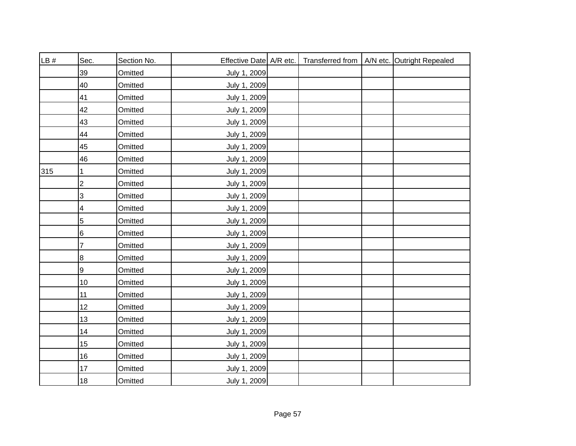| LB# | Sec.           | Section No. | Effective Date A/R etc. |  | Transferred from   A/N etc. Outright Repealed |
|-----|----------------|-------------|-------------------------|--|-----------------------------------------------|
|     | 39             | Omitted     | July 1, 2009            |  |                                               |
|     | 40             | Omitted     | July 1, 2009            |  |                                               |
|     | 41             | Omitted     | July 1, 2009            |  |                                               |
|     | 42             | Omitted     | July 1, 2009            |  |                                               |
|     | 43             | Omitted     | July 1, 2009            |  |                                               |
|     | 44             | Omitted     | July 1, 2009            |  |                                               |
|     | 45             | Omitted     | July 1, 2009            |  |                                               |
|     | 46             | Omitted     | July 1, 2009            |  |                                               |
| 315 |                | Omitted     | July 1, 2009            |  |                                               |
|     | $\overline{2}$ | Omitted     | July 1, 2009            |  |                                               |
|     | 3              | Omitted     | July 1, 2009            |  |                                               |
|     | 4              | Omitted     | July 1, 2009            |  |                                               |
|     | 5              | Omitted     | July 1, 2009            |  |                                               |
|     | $\,6$          | Omitted     | July 1, 2009            |  |                                               |
|     | 7              | Omitted     | July 1, 2009            |  |                                               |
|     | $\bf{8}$       | Omitted     | July 1, 2009            |  |                                               |
|     | 9              | Omitted     | July 1, 2009            |  |                                               |
|     | $10$           | Omitted     | July 1, 2009            |  |                                               |
|     | 11             | Omitted     | July 1, 2009            |  |                                               |
|     | 12             | Omitted     | July 1, 2009            |  |                                               |
|     | 13             | Omitted     | July 1, 2009            |  |                                               |
|     | 14             | Omitted     | July 1, 2009            |  |                                               |
|     | 15             | Omitted     | July 1, 2009            |  |                                               |
|     | 16             | Omitted     | July 1, 2009            |  |                                               |
|     | 17             | Omitted     | July 1, 2009            |  |                                               |
|     | 18             | Omitted     | July 1, 2009            |  |                                               |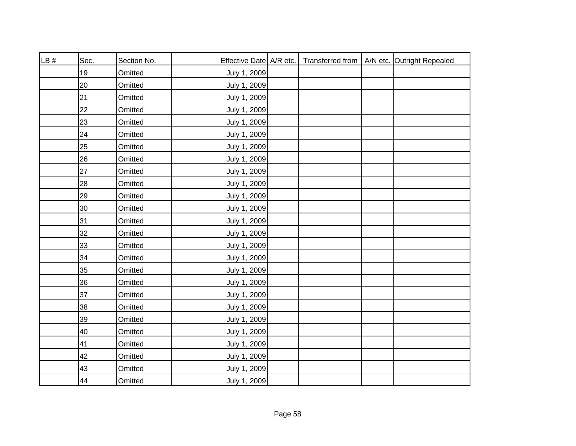| LB# | Sec. | Section No. | Effective Date A/R etc. |  | Transferred from   A/N etc. Outright Repealed |
|-----|------|-------------|-------------------------|--|-----------------------------------------------|
|     | 19   | Omitted     | July 1, 2009            |  |                                               |
|     | 20   | Omitted     | July 1, 2009            |  |                                               |
|     | 21   | Omitted     | July 1, 2009            |  |                                               |
|     | 22   | Omitted     | July 1, 2009            |  |                                               |
|     | 23   | Omitted     | July 1, 2009            |  |                                               |
|     | 24   | Omitted     | July 1, 2009            |  |                                               |
|     | 25   | Omitted     | July 1, 2009            |  |                                               |
|     | 26   | Omitted     | July 1, 2009            |  |                                               |
|     | 27   | Omitted     | July 1, 2009            |  |                                               |
|     | 28   | Omitted     | July 1, 2009            |  |                                               |
|     | 29   | Omitted     | July 1, 2009            |  |                                               |
|     | 30   | Omitted     | July 1, 2009            |  |                                               |
|     | 31   | Omitted     | July 1, 2009            |  |                                               |
|     | 32   | Omitted     | July 1, 2009            |  |                                               |
|     | 33   | Omitted     | July 1, 2009            |  |                                               |
|     | 34   | Omitted     | July 1, 2009            |  |                                               |
|     | 35   | Omitted     | July 1, 2009            |  |                                               |
|     | 36   | Omitted     | July 1, 2009            |  |                                               |
|     | 37   | Omitted     | July 1, 2009            |  |                                               |
|     | 38   | Omitted     | July 1, 2009            |  |                                               |
|     | 39   | Omitted     | July 1, 2009            |  |                                               |
|     | 40   | Omitted     | July 1, 2009            |  |                                               |
|     | 41   | Omitted     | July 1, 2009            |  |                                               |
|     | 42   | Omitted     | July 1, 2009            |  |                                               |
|     | 43   | Omitted     | July 1, 2009            |  |                                               |
|     | 44   | Omitted     | July 1, 2009            |  |                                               |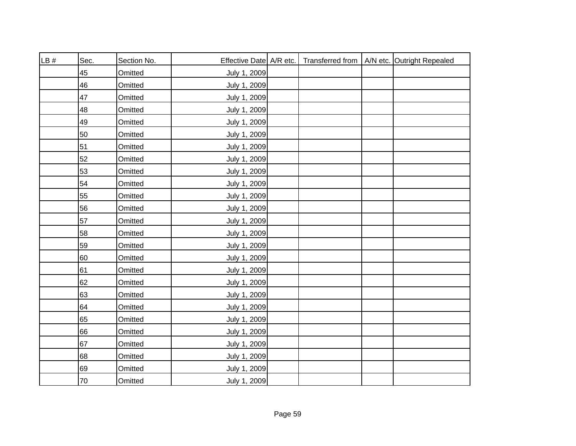| LB# | Sec. | Section No. | Effective Date   A/R etc. |  | Transferred from   A/N etc. Outright Repealed |
|-----|------|-------------|---------------------------|--|-----------------------------------------------|
|     | 45   | Omitted     | July 1, 2009              |  |                                               |
|     | 46   | Omitted     | July 1, 2009              |  |                                               |
|     | 47   | Omitted     | July 1, 2009              |  |                                               |
|     | 48   | Omitted     | July 1, 2009              |  |                                               |
|     | 49   | Omitted     | July 1, 2009              |  |                                               |
|     | 50   | Omitted     | July 1, 2009              |  |                                               |
|     | 51   | Omitted     | July 1, 2009              |  |                                               |
|     | 52   | Omitted     | July 1, 2009              |  |                                               |
|     | 53   | Omitted     | July 1, 2009              |  |                                               |
|     | 54   | Omitted     | July 1, 2009              |  |                                               |
|     | 55   | Omitted     | July 1, 2009              |  |                                               |
|     | 56   | Omitted     | July 1, 2009              |  |                                               |
|     | 57   | Omitted     | July 1, 2009              |  |                                               |
|     | 58   | Omitted     | July 1, 2009              |  |                                               |
|     | 59   | Omitted     | July 1, 2009              |  |                                               |
|     | 60   | Omitted     | July 1, 2009              |  |                                               |
|     | 61   | Omitted     | July 1, 2009              |  |                                               |
|     | 62   | Omitted     | July 1, 2009              |  |                                               |
|     | 63   | Omitted     | July 1, 2009              |  |                                               |
|     | 64   | Omitted     | July 1, 2009              |  |                                               |
|     | 65   | Omitted     | July 1, 2009              |  |                                               |
|     | 66   | Omitted     | July 1, 2009              |  |                                               |
|     | 67   | Omitted     | July 1, 2009              |  |                                               |
|     | 68   | Omitted     | July 1, 2009              |  |                                               |
|     | 69   | Omitted     | July 1, 2009              |  |                                               |
|     | 70   | Omitted     | July 1, 2009              |  |                                               |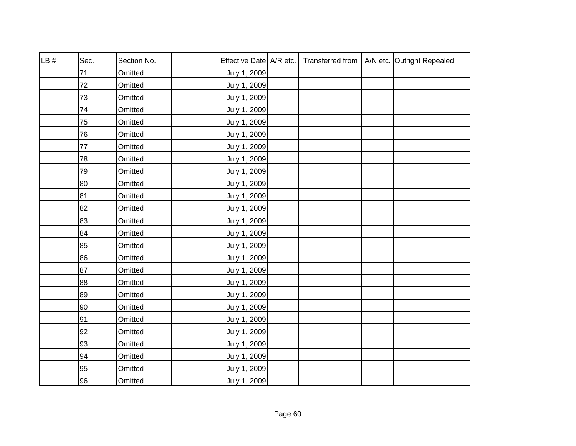| LB# | Sec. | Section No. | Effective Date A/R etc. |  | Transferred from   A/N etc. Outright Repealed |
|-----|------|-------------|-------------------------|--|-----------------------------------------------|
|     | 71   | Omitted     | July 1, 2009            |  |                                               |
|     | 72   | Omitted     | July 1, 2009            |  |                                               |
|     | 73   | Omitted     | July 1, 2009            |  |                                               |
|     | 74   | Omitted     | July 1, 2009            |  |                                               |
|     | 75   | Omitted     | July 1, 2009            |  |                                               |
|     | 76   | Omitted     | July 1, 2009            |  |                                               |
|     | 77   | Omitted     | July 1, 2009            |  |                                               |
|     | 78   | Omitted     | July 1, 2009            |  |                                               |
|     | 79   | Omitted     | July 1, 2009            |  |                                               |
|     | 80   | Omitted     | July 1, 2009            |  |                                               |
|     | 81   | Omitted     | July 1, 2009            |  |                                               |
|     | 82   | Omitted     | July 1, 2009            |  |                                               |
|     | 83   | Omitted     | July 1, 2009            |  |                                               |
|     | 84   | Omitted     | July 1, 2009            |  |                                               |
|     | 85   | Omitted     | July 1, 2009            |  |                                               |
|     | 86   | Omitted     | July 1, 2009            |  |                                               |
|     | 87   | Omitted     | July 1, 2009            |  |                                               |
|     | 88   | Omitted     | July 1, 2009            |  |                                               |
|     | 89   | Omitted     | July 1, 2009            |  |                                               |
|     | 90   | Omitted     | July 1, 2009            |  |                                               |
|     | 91   | Omitted     | July 1, 2009            |  |                                               |
|     | 92   | Omitted     | July 1, 2009            |  |                                               |
|     | 93   | Omitted     | July 1, 2009            |  |                                               |
|     | 94   | Omitted     | July 1, 2009            |  |                                               |
|     | 95   | Omitted     | July 1, 2009            |  |                                               |
|     | 96   | Omitted     | July 1, 2009            |  |                                               |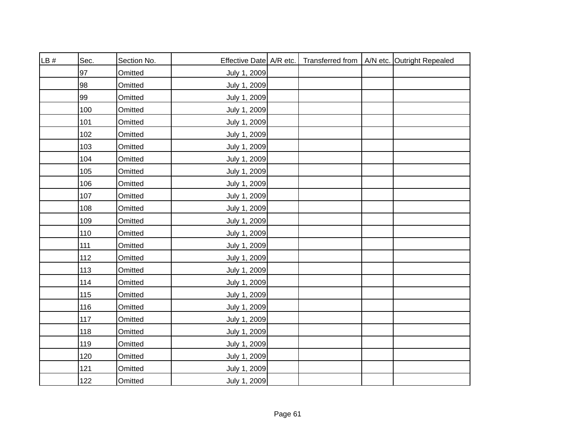| LB# | Sec. | Section No. | Effective Date A/R etc. |  | Transferred from   A/N etc. Outright Repealed |
|-----|------|-------------|-------------------------|--|-----------------------------------------------|
|     | 97   | Omitted     | July 1, 2009            |  |                                               |
|     | 98   | Omitted     | July 1, 2009            |  |                                               |
|     | 99   | Omitted     | July 1, 2009            |  |                                               |
|     | 100  | Omitted     | July 1, 2009            |  |                                               |
|     | 101  | Omitted     | July 1, 2009            |  |                                               |
|     | 102  | Omitted     | July 1, 2009            |  |                                               |
|     | 103  | Omitted     | July 1, 2009            |  |                                               |
|     | 104  | Omitted     | July 1, 2009            |  |                                               |
|     | 105  | Omitted     | July 1, 2009            |  |                                               |
|     | 106  | Omitted     | July 1, 2009            |  |                                               |
|     | 107  | Omitted     | July 1, 2009            |  |                                               |
|     | 108  | Omitted     | July 1, 2009            |  |                                               |
|     | 109  | Omitted     | July 1, 2009            |  |                                               |
|     | 110  | Omitted     | July 1, 2009            |  |                                               |
|     | 111  | Omitted     | July 1, 2009            |  |                                               |
|     | 112  | Omitted     | July 1, 2009            |  |                                               |
|     | 113  | Omitted     | July 1, 2009            |  |                                               |
|     | 114  | Omitted     | July 1, 2009            |  |                                               |
|     | 115  | Omitted     | July 1, 2009            |  |                                               |
|     | 116  | Omitted     | July 1, 2009            |  |                                               |
|     | 117  | Omitted     | July 1, 2009            |  |                                               |
|     | 118  | Omitted     | July 1, 2009            |  |                                               |
|     | 119  | Omitted     | July 1, 2009            |  |                                               |
|     | 120  | Omitted     | July 1, 2009            |  |                                               |
|     | 121  | Omitted     | July 1, 2009            |  |                                               |
|     | 122  | Omitted     | July 1, 2009            |  |                                               |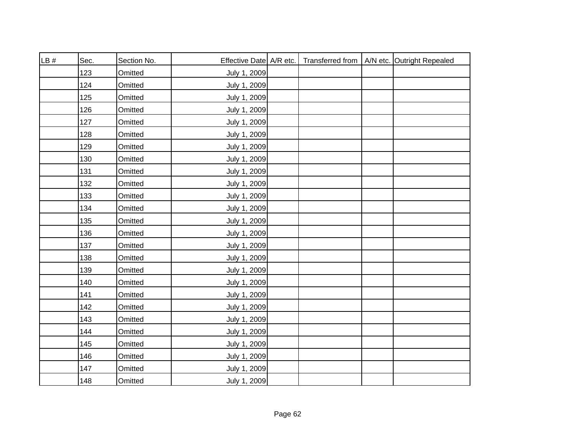| LB# | Sec. | Section No. | Effective Date A/R etc. |  | Transferred from   A/N etc. Outright Repealed |
|-----|------|-------------|-------------------------|--|-----------------------------------------------|
|     | 123  | Omitted     | July 1, 2009            |  |                                               |
|     | 124  | Omitted     | July 1, 2009            |  |                                               |
|     | 125  | Omitted     | July 1, 2009            |  |                                               |
|     | 126  | Omitted     | July 1, 2009            |  |                                               |
|     | 127  | Omitted     | July 1, 2009            |  |                                               |
|     | 128  | Omitted     | July 1, 2009            |  |                                               |
|     | 129  | Omitted     | July 1, 2009            |  |                                               |
|     | 130  | Omitted     | July 1, 2009            |  |                                               |
|     | 131  | Omitted     | July 1, 2009            |  |                                               |
|     | 132  | Omitted     | July 1, 2009            |  |                                               |
|     | 133  | Omitted     | July 1, 2009            |  |                                               |
|     | 134  | Omitted     | July 1, 2009            |  |                                               |
|     | 135  | Omitted     | July 1, 2009            |  |                                               |
|     | 136  | Omitted     | July 1, 2009            |  |                                               |
|     | 137  | Omitted     | July 1, 2009            |  |                                               |
|     | 138  | Omitted     | July 1, 2009            |  |                                               |
|     | 139  | Omitted     | July 1, 2009            |  |                                               |
|     | 140  | Omitted     | July 1, 2009            |  |                                               |
|     | 141  | Omitted     | July 1, 2009            |  |                                               |
|     | 142  | Omitted     | July 1, 2009            |  |                                               |
|     | 143  | Omitted     | July 1, 2009            |  |                                               |
|     | 144  | Omitted     | July 1, 2009            |  |                                               |
|     | 145  | Omitted     | July 1, 2009            |  |                                               |
|     | 146  | Omitted     | July 1, 2009            |  |                                               |
|     | 147  | Omitted     | July 1, 2009            |  |                                               |
|     | 148  | Omitted     | July 1, 2009            |  |                                               |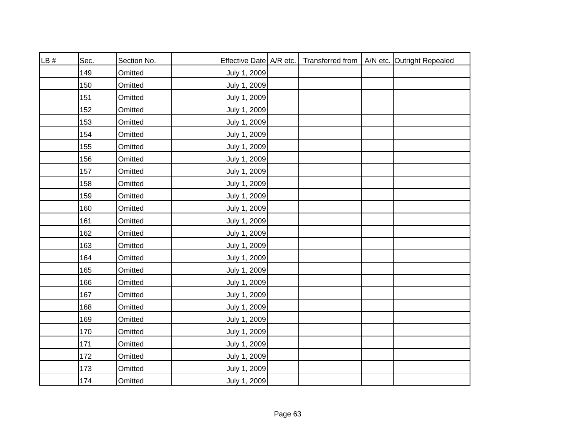| LB# | Sec. | Section No. | Effective Date   A/R etc. |  | Transferred from   A/N etc. Outright Repealed |
|-----|------|-------------|---------------------------|--|-----------------------------------------------|
|     | 149  | Omitted     | July 1, 2009              |  |                                               |
|     | 150  | Omitted     | July 1, 2009              |  |                                               |
|     | 151  | Omitted     | July 1, 2009              |  |                                               |
|     | 152  | Omitted     | July 1, 2009              |  |                                               |
|     | 153  | Omitted     | July 1, 2009              |  |                                               |
|     | 154  | Omitted     | July 1, 2009              |  |                                               |
|     | 155  | Omitted     | July 1, 2009              |  |                                               |
|     | 156  | Omitted     | July 1, 2009              |  |                                               |
|     | 157  | Omitted     | July 1, 2009              |  |                                               |
|     | 158  | Omitted     | July 1, 2009              |  |                                               |
|     | 159  | Omitted     | July 1, 2009              |  |                                               |
|     | 160  | Omitted     | July 1, 2009              |  |                                               |
|     | 161  | Omitted     | July 1, 2009              |  |                                               |
|     | 162  | Omitted     | July 1, 2009              |  |                                               |
|     | 163  | Omitted     | July 1, 2009              |  |                                               |
|     | 164  | Omitted     | July 1, 2009              |  |                                               |
|     | 165  | Omitted     | July 1, 2009              |  |                                               |
|     | 166  | Omitted     | July 1, 2009              |  |                                               |
|     | 167  | Omitted     | July 1, 2009              |  |                                               |
|     | 168  | Omitted     | July 1, 2009              |  |                                               |
|     | 169  | Omitted     | July 1, 2009              |  |                                               |
|     | 170  | Omitted     | July 1, 2009              |  |                                               |
|     | 171  | Omitted     | July 1, 2009              |  |                                               |
|     | 172  | Omitted     | July 1, 2009              |  |                                               |
|     | 173  | Omitted     | July 1, 2009              |  |                                               |
|     | 174  | Omitted     | July 1, 2009              |  |                                               |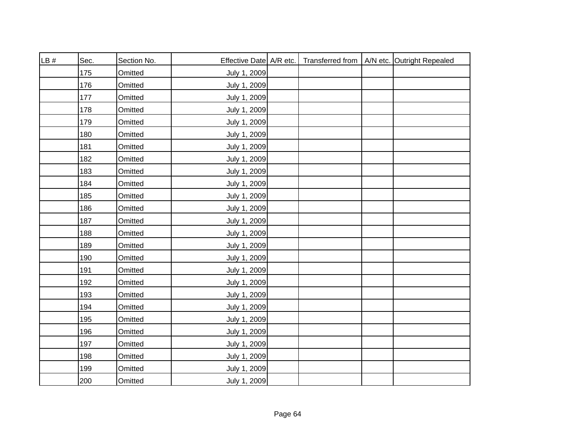| LB# | Sec. | Section No. | Effective Date A/R etc. |  | Transferred from   A/N etc. Outright Repealed |
|-----|------|-------------|-------------------------|--|-----------------------------------------------|
|     | 175  | Omitted     | July 1, 2009            |  |                                               |
|     | 176  | Omitted     | July 1, 2009            |  |                                               |
|     | 177  | Omitted     | July 1, 2009            |  |                                               |
|     | 178  | Omitted     | July 1, 2009            |  |                                               |
|     | 179  | Omitted     | July 1, 2009            |  |                                               |
|     | 180  | Omitted     | July 1, 2009            |  |                                               |
|     | 181  | Omitted     | July 1, 2009            |  |                                               |
|     | 182  | Omitted     | July 1, 2009            |  |                                               |
|     | 183  | Omitted     | July 1, 2009            |  |                                               |
|     | 184  | Omitted     | July 1, 2009            |  |                                               |
|     | 185  | Omitted     | July 1, 2009            |  |                                               |
|     | 186  | Omitted     | July 1, 2009            |  |                                               |
|     | 187  | Omitted     | July 1, 2009            |  |                                               |
|     | 188  | Omitted     | July 1, 2009            |  |                                               |
|     | 189  | Omitted     | July 1, 2009            |  |                                               |
|     | 190  | Omitted     | July 1, 2009            |  |                                               |
|     | 191  | Omitted     | July 1, 2009            |  |                                               |
|     | 192  | Omitted     | July 1, 2009            |  |                                               |
|     | 193  | Omitted     | July 1, 2009            |  |                                               |
|     | 194  | Omitted     | July 1, 2009            |  |                                               |
|     | 195  | Omitted     | July 1, 2009            |  |                                               |
|     | 196  | Omitted     | July 1, 2009            |  |                                               |
|     | 197  | Omitted     | July 1, 2009            |  |                                               |
|     | 198  | Omitted     | July 1, 2009            |  |                                               |
|     | 199  | Omitted     | July 1, 2009            |  |                                               |
|     | 200  | Omitted     | July 1, 2009            |  |                                               |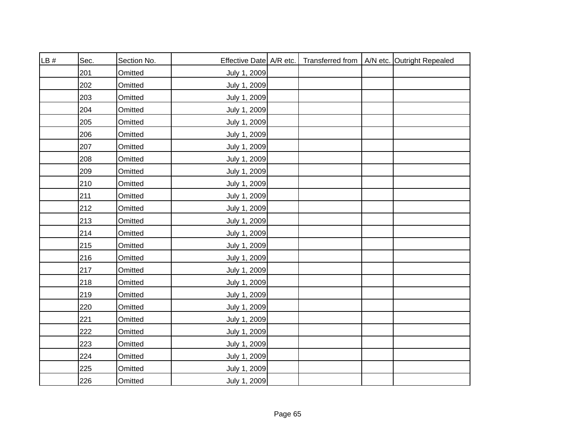| LB# | Sec. | Section No. | Effective Date A/R etc. |  | Transferred from   A/N etc. Outright Repealed |
|-----|------|-------------|-------------------------|--|-----------------------------------------------|
|     | 201  | Omitted     | July 1, 2009            |  |                                               |
|     | 202  | Omitted     | July 1, 2009            |  |                                               |
|     | 203  | Omitted     | July 1, 2009            |  |                                               |
|     | 204  | Omitted     | July 1, 2009            |  |                                               |
|     | 205  | Omitted     | July 1, 2009            |  |                                               |
|     | 206  | Omitted     | July 1, 2009            |  |                                               |
|     | 207  | Omitted     | July 1, 2009            |  |                                               |
|     | 208  | Omitted     | July 1, 2009            |  |                                               |
|     | 209  | Omitted     | July 1, 2009            |  |                                               |
|     | 210  | Omitted     | July 1, 2009            |  |                                               |
|     | 211  | Omitted     | July 1, 2009            |  |                                               |
|     | 212  | Omitted     | July 1, 2009            |  |                                               |
|     | 213  | Omitted     | July 1, 2009            |  |                                               |
|     | 214  | Omitted     | July 1, 2009            |  |                                               |
|     | 215  | Omitted     | July 1, 2009            |  |                                               |
|     | 216  | Omitted     | July 1, 2009            |  |                                               |
|     | 217  | Omitted     | July 1, 2009            |  |                                               |
|     | 218  | Omitted     | July 1, 2009            |  |                                               |
|     | 219  | Omitted     | July 1, 2009            |  |                                               |
|     | 220  | Omitted     | July 1, 2009            |  |                                               |
|     | 221  | Omitted     | July 1, 2009            |  |                                               |
|     | 222  | Omitted     | July 1, 2009            |  |                                               |
|     | 223  | Omitted     | July 1, 2009            |  |                                               |
|     | 224  | Omitted     | July 1, 2009            |  |                                               |
|     | 225  | Omitted     | July 1, 2009            |  |                                               |
|     | 226  | Omitted     | July 1, 2009            |  |                                               |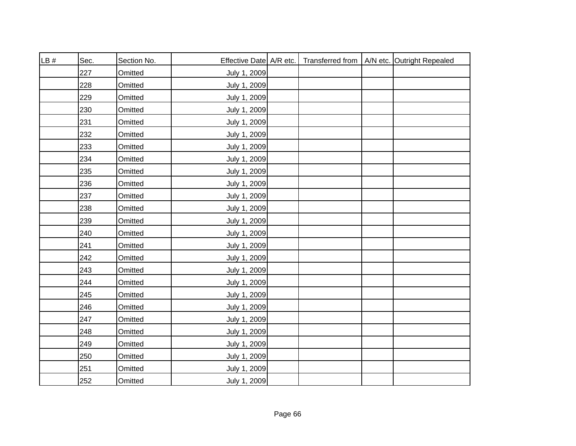| LB# | Sec. | Section No. | Effective Date   A/R etc. |  | Transferred from   A/N etc. Outright Repealed |
|-----|------|-------------|---------------------------|--|-----------------------------------------------|
|     | 227  | Omitted     | July 1, 2009              |  |                                               |
|     | 228  | Omitted     | July 1, 2009              |  |                                               |
|     | 229  | Omitted     | July 1, 2009              |  |                                               |
|     | 230  | Omitted     | July 1, 2009              |  |                                               |
|     | 231  | Omitted     | July 1, 2009              |  |                                               |
|     | 232  | Omitted     | July 1, 2009              |  |                                               |
|     | 233  | Omitted     | July 1, 2009              |  |                                               |
|     | 234  | Omitted     | July 1, 2009              |  |                                               |
|     | 235  | Omitted     | July 1, 2009              |  |                                               |
|     | 236  | Omitted     | July 1, 2009              |  |                                               |
|     | 237  | Omitted     | July 1, 2009              |  |                                               |
|     | 238  | Omitted     | July 1, 2009              |  |                                               |
|     | 239  | Omitted     | July 1, 2009              |  |                                               |
|     | 240  | Omitted     | July 1, 2009              |  |                                               |
|     | 241  | Omitted     | July 1, 2009              |  |                                               |
|     | 242  | Omitted     | July 1, 2009              |  |                                               |
|     | 243  | Omitted     | July 1, 2009              |  |                                               |
|     | 244  | Omitted     | July 1, 2009              |  |                                               |
|     | 245  | Omitted     | July 1, 2009              |  |                                               |
|     | 246  | Omitted     | July 1, 2009              |  |                                               |
|     | 247  | Omitted     | July 1, 2009              |  |                                               |
|     | 248  | Omitted     | July 1, 2009              |  |                                               |
|     | 249  | Omitted     | July 1, 2009              |  |                                               |
|     | 250  | Omitted     | July 1, 2009              |  |                                               |
|     | 251  | Omitted     | July 1, 2009              |  |                                               |
|     | 252  | Omitted     | July 1, 2009              |  |                                               |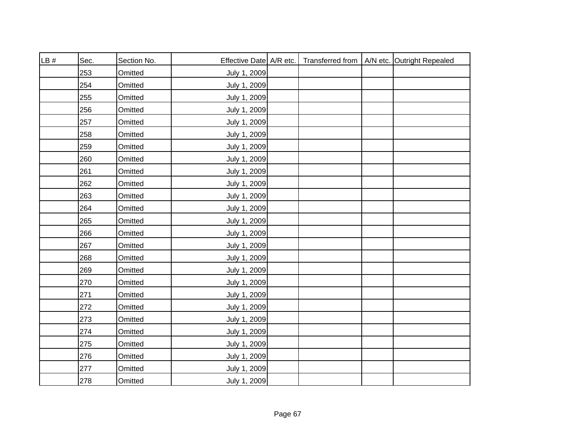| LB# | Sec. | Section No. | Effective Date   A/R etc. |  | Transferred from   A/N etc. Outright Repealed |
|-----|------|-------------|---------------------------|--|-----------------------------------------------|
|     | 253  | Omitted     | July 1, 2009              |  |                                               |
|     | 254  | Omitted     | July 1, 2009              |  |                                               |
|     | 255  | Omitted     | July 1, 2009              |  |                                               |
|     | 256  | Omitted     | July 1, 2009              |  |                                               |
|     | 257  | Omitted     | July 1, 2009              |  |                                               |
|     | 258  | Omitted     | July 1, 2009              |  |                                               |
|     | 259  | Omitted     | July 1, 2009              |  |                                               |
|     | 260  | Omitted     | July 1, 2009              |  |                                               |
|     | 261  | Omitted     | July 1, 2009              |  |                                               |
|     | 262  | Omitted     | July 1, 2009              |  |                                               |
|     | 263  | Omitted     | July 1, 2009              |  |                                               |
|     | 264  | Omitted     | July 1, 2009              |  |                                               |
|     | 265  | Omitted     | July 1, 2009              |  |                                               |
|     | 266  | Omitted     | July 1, 2009              |  |                                               |
|     | 267  | Omitted     | July 1, 2009              |  |                                               |
|     | 268  | Omitted     | July 1, 2009              |  |                                               |
|     | 269  | Omitted     | July 1, 2009              |  |                                               |
|     | 270  | Omitted     | July 1, 2009              |  |                                               |
|     | 271  | Omitted     | July 1, 2009              |  |                                               |
|     | 272  | Omitted     | July 1, 2009              |  |                                               |
|     | 273  | Omitted     | July 1, 2009              |  |                                               |
|     | 274  | Omitted     | July 1, 2009              |  |                                               |
|     | 275  | Omitted     | July 1, 2009              |  |                                               |
|     | 276  | Omitted     | July 1, 2009              |  |                                               |
|     | 277  | Omitted     | July 1, 2009              |  |                                               |
|     | 278  | Omitted     | July 1, 2009              |  |                                               |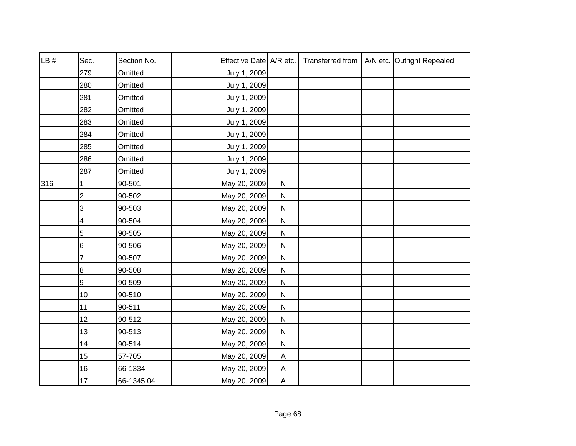| LB# | Sec.                    | Section No. | Effective Date A/R etc. |                |  | Transferred from   A/N etc. Outright Repealed |
|-----|-------------------------|-------------|-------------------------|----------------|--|-----------------------------------------------|
|     | 279                     | Omitted     | July 1, 2009            |                |  |                                               |
|     | 280                     | Omitted     | July 1, 2009            |                |  |                                               |
|     | 281                     | Omitted     | July 1, 2009            |                |  |                                               |
|     | 282                     | Omitted     | July 1, 2009            |                |  |                                               |
|     | 283                     | Omitted     | July 1, 2009            |                |  |                                               |
|     | 284                     | Omitted     | July 1, 2009            |                |  |                                               |
|     | 285                     | Omitted     | July 1, 2009            |                |  |                                               |
|     | 286                     | Omitted     | July 1, 2009            |                |  |                                               |
|     | 287                     | Omitted     | July 1, 2009            |                |  |                                               |
| 316 | 1                       | 90-501      | May 20, 2009            | ${\sf N}$      |  |                                               |
|     | $\overline{\mathbf{c}}$ | 90-502      | May 20, 2009            | ${\sf N}$      |  |                                               |
|     | 3                       | 90-503      | May 20, 2009            | ${\sf N}$      |  |                                               |
|     | 4                       | 90-504      | May 20, 2009            | ${\sf N}$      |  |                                               |
|     | 5                       | 90-505      | May 20, 2009            | ${\sf N}$      |  |                                               |
|     | 6                       | 90-506      | May 20, 2009            | ${\sf N}$      |  |                                               |
|     | 7                       | 90-507      | May 20, 2009            | ${\sf N}$      |  |                                               |
|     | 8                       | 90-508      | May 20, 2009            | ${\sf N}$      |  |                                               |
|     | 9                       | 90-509      | May 20, 2009            | ${\sf N}$      |  |                                               |
|     | 10                      | 90-510      | May 20, 2009            | ${\sf N}$      |  |                                               |
|     | 11                      | 90-511      | May 20, 2009            | ${\sf N}$      |  |                                               |
|     | 12                      | 90-512      | May 20, 2009            | ${\sf N}$      |  |                                               |
|     | 13                      | 90-513      | May 20, 2009            | ${\sf N}$      |  |                                               |
|     | 14                      | 90-514      | May 20, 2009            | ${\sf N}$      |  |                                               |
|     | 15                      | 57-705      | May 20, 2009            | A              |  |                                               |
|     | 16                      | 66-1334     | May 20, 2009            | $\overline{A}$ |  |                                               |
|     | 17                      | 66-1345.04  | May 20, 2009            | $\mathsf{A}$   |  |                                               |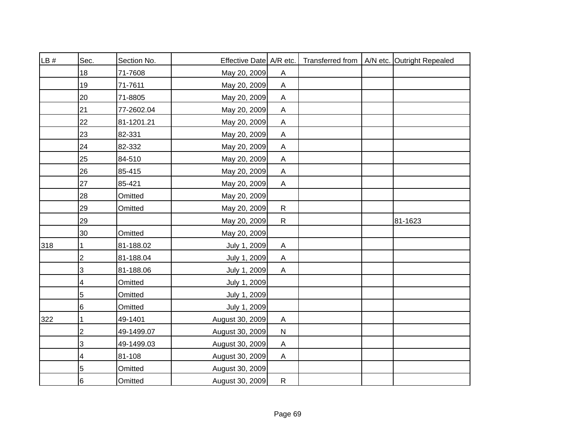| LB# | Sec.                    | Section No. | Effective Date A/R etc. |                           |  | Transferred from   A/N etc. Outright Repealed |
|-----|-------------------------|-------------|-------------------------|---------------------------|--|-----------------------------------------------|
|     |                         |             |                         |                           |  |                                               |
|     | 18                      | 71-7608     | May 20, 2009            | A                         |  |                                               |
|     | 19                      | 71-7611     | May 20, 2009            | $\mathsf{A}$              |  |                                               |
|     | 20                      | 71-8805     | May 20, 2009            | A                         |  |                                               |
|     | 21                      | 77-2602.04  | May 20, 2009            | $\boldsymbol{\mathsf{A}}$ |  |                                               |
|     | 22                      | 81-1201.21  | May 20, 2009            | A                         |  |                                               |
|     | 23                      | 82-331      | May 20, 2009            | A                         |  |                                               |
|     | 24                      | 82-332      | May 20, 2009            | A                         |  |                                               |
|     | 25                      | 84-510      | May 20, 2009            | A                         |  |                                               |
|     | 26                      | 85-415      | May 20, 2009            | A                         |  |                                               |
|     | 27                      | 85-421      | May 20, 2009            | A                         |  |                                               |
|     | 28                      | Omitted     | May 20, 2009            |                           |  |                                               |
|     | 29                      | Omitted     | May 20, 2009            | $\mathsf{R}$              |  |                                               |
|     | 29                      |             | May 20, 2009            | $\mathsf{R}$              |  | 81-1623                                       |
|     | 30                      | Omitted     | May 20, 2009            |                           |  |                                               |
| 318 |                         | 81-188.02   | July 1, 2009            | A                         |  |                                               |
|     | $\mathbf{2}$            | 81-188.04   | July 1, 2009            | A                         |  |                                               |
|     | 3                       | 81-188.06   | July 1, 2009            | $\mathsf{A}$              |  |                                               |
|     | 4                       | Omitted     | July 1, 2009            |                           |  |                                               |
|     | 5                       | Omitted     | July 1, 2009            |                           |  |                                               |
|     | 6                       | Omitted     | July 1, 2009            |                           |  |                                               |
| 322 |                         | 49-1401     | August 30, 2009         | A                         |  |                                               |
|     | $\overline{\mathbf{c}}$ | 49-1499.07  | August 30, 2009         | ${\sf N}$                 |  |                                               |
|     | 3                       | 49-1499.03  | August 30, 2009         | $\mathsf{A}$              |  |                                               |
|     | 4                       | 81-108      | August 30, 2009         | A                         |  |                                               |
|     | 5                       | Omitted     | August 30, 2009         |                           |  |                                               |
|     | $6\overline{6}$         | Omitted     | August 30, 2009         | $\mathsf{R}$              |  |                                               |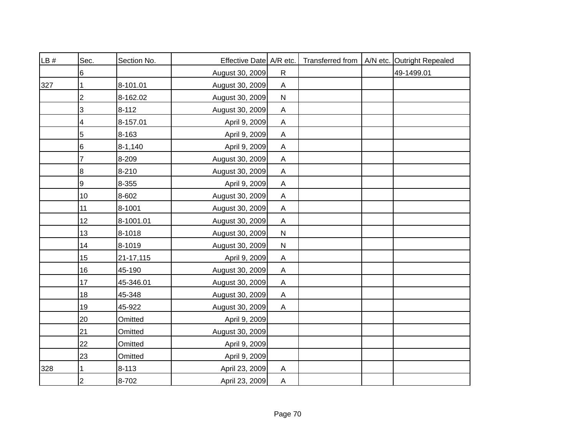| LB# | Sec.           | Section No. | Effective Date A/R etc. |                           | Transferred from | A/N etc. Outright Repealed |
|-----|----------------|-------------|-------------------------|---------------------------|------------------|----------------------------|
|     | 6              |             | August 30, 2009         | $\mathsf{R}$              |                  | 49-1499.01                 |
| 327 |                | 8-101.01    | August 30, 2009         | A                         |                  |                            |
|     | 2              | 8-162.02    | August 30, 2009         | ${\sf N}$                 |                  |                            |
|     | 3              | $8 - 112$   | August 30, 2009         | $\boldsymbol{\mathsf{A}}$ |                  |                            |
|     | 4              | 8-157.01    | April 9, 2009           | A                         |                  |                            |
|     | $\overline{5}$ | 8-163       | April 9, 2009           | $\mathsf A$               |                  |                            |
|     | 6              | $8-1,140$   | April 9, 2009           | $\mathsf A$               |                  |                            |
|     | $\overline{7}$ | 8-209       | August 30, 2009         | $\boldsymbol{\mathsf{A}}$ |                  |                            |
|     | $\bf 8$        | 8-210       | August 30, 2009         | $\boldsymbol{\mathsf{A}}$ |                  |                            |
|     | 9              | 8-355       | April 9, 2009           | $\boldsymbol{\mathsf{A}}$ |                  |                            |
|     | 10             | 8-602       | August 30, 2009         | $\boldsymbol{\mathsf{A}}$ |                  |                            |
|     | 11             | 8-1001      | August 30, 2009         | $\boldsymbol{\mathsf{A}}$ |                  |                            |
|     | 12             | 8-1001.01   | August 30, 2009         | $\overline{A}$            |                  |                            |
|     | 13             | 8-1018      | August 30, 2009         | ${\sf N}$                 |                  |                            |
|     | 14             | 8-1019      | August 30, 2009         | ${\sf N}$                 |                  |                            |
|     | 15             | 21-17,115   | April 9, 2009           | A                         |                  |                            |
|     | 16             | 45-190      | August 30, 2009         | $\boldsymbol{\mathsf{A}}$ |                  |                            |
|     | 17             | 45-346.01   | August 30, 2009         | A                         |                  |                            |
|     | 18             | 45-348      | August 30, 2009         | $\boldsymbol{\mathsf{A}}$ |                  |                            |
|     | 19             | 45-922      | August 30, 2009         | $\boldsymbol{\mathsf{A}}$ |                  |                            |
|     | 20             | Omitted     | April 9, 2009           |                           |                  |                            |
|     | 21             | Omitted     | August 30, 2009         |                           |                  |                            |
|     | 22             | Omitted     | April 9, 2009           |                           |                  |                            |
|     | 23             | Omitted     | April 9, 2009           |                           |                  |                            |
| 328 |                | $8 - 113$   | April 23, 2009          | $\boldsymbol{\mathsf{A}}$ |                  |                            |
|     | $\overline{2}$ | 8-702       | April 23, 2009          | $\overline{A}$            |                  |                            |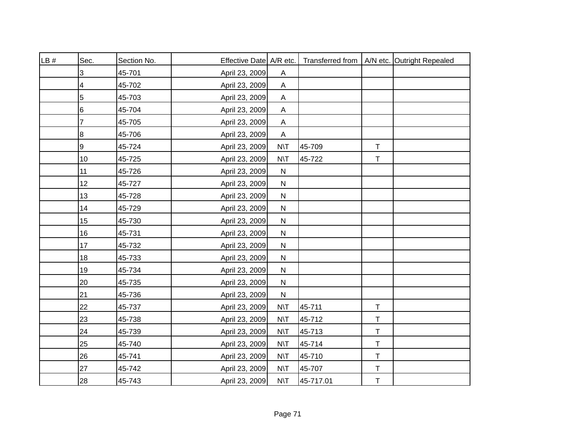| LB# | Sec.            | Section No. | Effective Date A/R etc. |                 |           |             | Transferred from   A/N etc. Outright Repealed |
|-----|-----------------|-------------|-------------------------|-----------------|-----------|-------------|-----------------------------------------------|
|     | 3               | 45-701      | April 23, 2009          | Α               |           |             |                                               |
|     | 4               | 45-702      | April 23, 2009          | A               |           |             |                                               |
|     | 5               | 45-703      | April 23, 2009          | A               |           |             |                                               |
|     | $6\phantom{1}6$ | 45-704      | April 23, 2009          | A               |           |             |                                               |
|     | 7               | 45-705      | April 23, 2009          | A               |           |             |                                               |
|     | 8               | 45-706      | April 23, 2009          | A               |           |             |                                               |
|     | 9               | 45-724      | April 23, 2009          | <b>N\T</b>      | 45-709    | $\mathsf T$ |                                               |
|     | 10              | 45-725      | April 23, 2009          | $N\setminus T$  | 45-722    | $\top$      |                                               |
|     | 11              | 45-726      | April 23, 2009          | ${\sf N}$       |           |             |                                               |
|     | 12              | 45-727      | April 23, 2009          | ${\sf N}$       |           |             |                                               |
|     | 13              | 45-728      | April 23, 2009          | ${\sf N}$       |           |             |                                               |
|     | 14              | 45-729      | April 23, 2009          | $\mathsf{N}$    |           |             |                                               |
|     | 15              | 45-730      | April 23, 2009          | ${\sf N}$       |           |             |                                               |
|     | 16              | 45-731      | April 23, 2009          | ${\sf N}$       |           |             |                                               |
|     | 17              | 45-732      | April 23, 2009          | ${\sf N}$       |           |             |                                               |
|     | 18              | 45-733      | April 23, 2009          | ${\sf N}$       |           |             |                                               |
|     | 19              | 45-734      | April 23, 2009          | ${\sf N}$       |           |             |                                               |
|     | 20              | 45-735      | April 23, 2009          | N               |           |             |                                               |
|     | 21              | 45-736      | April 23, 2009          | $\mathsf{N}$    |           |             |                                               |
|     | 22              | 45-737      | April 23, 2009          | N\T             | 45-711    | $\top$      |                                               |
|     | 23              | 45-738      | April 23, 2009          | $N\setminus T$  | 45-712    | $\mathsf T$ |                                               |
|     | 24              | 45-739      | April 23, 2009          | $N\backslash T$ | 45-713    | $\mathsf T$ |                                               |
|     | 25              | 45-740      | April 23, 2009          | $N\setminus T$  | 45-714    | $\top$      |                                               |
|     | 26              | 45-741      | April 23, 2009          | $N\setminus T$  | 45-710    | $\top$      |                                               |
|     | 27              | 45-742      | April 23, 2009          | $N\setminus T$  | 45-707    | T           |                                               |
|     | 28              | 45-743      | April 23, 2009          | $N\setminus T$  | 45-717.01 | $\top$      |                                               |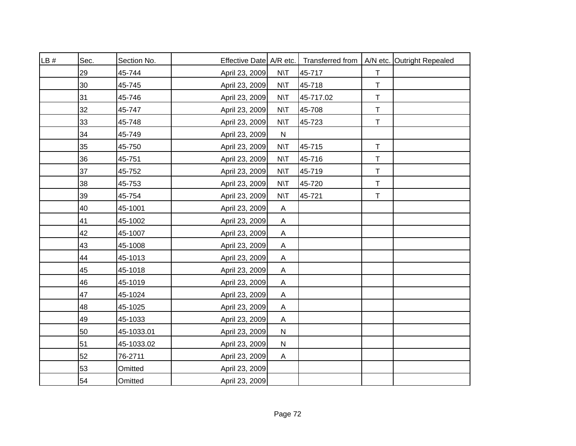| LB# | Sec. | Section No. | Effective Date A/R etc. |                           |           |             | Transferred from   A/N etc. Outright Repealed |
|-----|------|-------------|-------------------------|---------------------------|-----------|-------------|-----------------------------------------------|
|     | 29   | 45-744      | April 23, 2009          | $N\setminus T$            | 45-717    | $\top$      |                                               |
|     | 30   | 45-745      | April 23, 2009          | $N\setminus T$            | 45-718    | $\top$      |                                               |
|     | 31   | 45-746      | April 23, 2009          | $N\setminus T$            | 45-717.02 | $\mathsf T$ |                                               |
|     | 32   | 45-747      | April 23, 2009          | $N\setminus T$            | 45-708    | $\mathsf T$ |                                               |
|     | 33   | 45-748      | April 23, 2009          | $N\setminus T$            | 45-723    | $\mathsf T$ |                                               |
|     | 34   | 45-749      | April 23, 2009          | ${\sf N}$                 |           |             |                                               |
|     | 35   | 45-750      | April 23, 2009          | $N\setminus T$            | 45-715    | T           |                                               |
|     | 36   | 45-751      | April 23, 2009          | $N\setminus T$            | 45-716    | $\mathsf T$ |                                               |
|     | 37   | 45-752      | April 23, 2009          | $N\setminus T$            | 45-719    | $\mathsf T$ |                                               |
|     | 38   | 45-753      | April 23, 2009          | $N\setminus T$            | 45-720    | $\top$      |                                               |
|     | 39   | 45-754      | April 23, 2009          | $N\setminus T$            | 45-721    | $\mathsf T$ |                                               |
|     | 40   | 45-1001     | April 23, 2009          | $\boldsymbol{\mathsf{A}}$ |           |             |                                               |
|     | 41   | 45-1002     | April 23, 2009          | A                         |           |             |                                               |
|     | 42   | 45-1007     | April 23, 2009          | A                         |           |             |                                               |
|     | 43   | 45-1008     | April 23, 2009          | A                         |           |             |                                               |
|     | 44   | 45-1013     | April 23, 2009          | $\boldsymbol{\mathsf{A}}$ |           |             |                                               |
|     | 45   | 45-1018     | April 23, 2009          | $\boldsymbol{\mathsf{A}}$ |           |             |                                               |
|     | 46   | 45-1019     | April 23, 2009          | Α                         |           |             |                                               |
|     | 47   | 45-1024     | April 23, 2009          | Α                         |           |             |                                               |
|     | 48   | 45-1025     | April 23, 2009          | $\boldsymbol{\mathsf{A}}$ |           |             |                                               |
|     | 49   | 45-1033     | April 23, 2009          | $\mathsf{A}$              |           |             |                                               |
|     | 50   | 45-1033.01  | April 23, 2009          | ${\sf N}$                 |           |             |                                               |
|     | 51   | 45-1033.02  | April 23, 2009          | ${\sf N}$                 |           |             |                                               |
|     | 52   | 76-2711     | April 23, 2009          | A                         |           |             |                                               |
|     | 53   | Omitted     | April 23, 2009          |                           |           |             |                                               |
|     | 54   | Omitted     | April 23, 2009          |                           |           |             |                                               |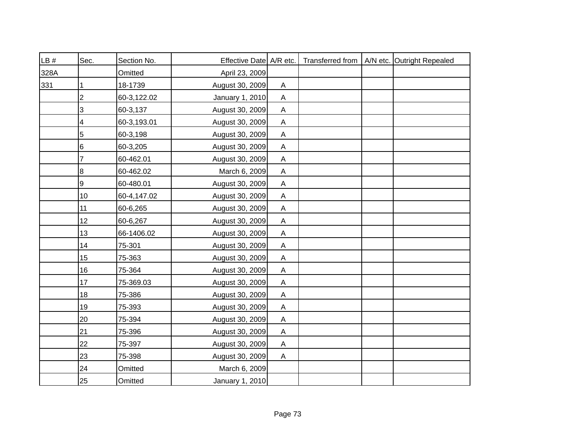| LB#  | Sec.           | Section No. | Effective Date   A/R etc. |                           |  | Transferred from   A/N etc. Outright Repealed |
|------|----------------|-------------|---------------------------|---------------------------|--|-----------------------------------------------|
| 328A |                | Omitted     | April 23, 2009            |                           |  |                                               |
| 331  |                | 18-1739     | August 30, 2009           | A                         |  |                                               |
|      | 2              | 60-3,122.02 | January 1, 2010           | A                         |  |                                               |
|      | 3              | 60-3,137    | August 30, 2009           | $\mathsf{A}$              |  |                                               |
|      | 4              | 60-3,193.01 | August 30, 2009           | A                         |  |                                               |
|      | $\overline{5}$ | 60-3,198    | August 30, 2009           | $\boldsymbol{\mathsf{A}}$ |  |                                               |
|      | 6              | 60-3,205    | August 30, 2009           | $\boldsymbol{\mathsf{A}}$ |  |                                               |
|      | 7              | 60-462.01   | August 30, 2009           | A                         |  |                                               |
|      | $\bf 8$        | 60-462.02   | March 6, 2009             | $\mathsf{A}$              |  |                                               |
|      | 9              | 60-480.01   | August 30, 2009           | $\boldsymbol{\mathsf{A}}$ |  |                                               |
|      | 10             | 60-4,147.02 | August 30, 2009           | Α                         |  |                                               |
|      | 11             | 60-6,265    | August 30, 2009           | $\boldsymbol{\mathsf{A}}$ |  |                                               |
|      | 12             | 60-6,267    | August 30, 2009           | A                         |  |                                               |
|      | 13             | 66-1406.02  | August 30, 2009           | A                         |  |                                               |
|      | 14             | 75-301      | August 30, 2009           | A                         |  |                                               |
|      | 15             | 75-363      | August 30, 2009           | A                         |  |                                               |
|      | 16             | 75-364      | August 30, 2009           | A                         |  |                                               |
|      | 17             | 75-369.03   | August 30, 2009           | A                         |  |                                               |
|      | 18             | 75-386      | August 30, 2009           | A                         |  |                                               |
|      | 19             | 75-393      | August 30, 2009           | A                         |  |                                               |
|      | 20             | 75-394      | August 30, 2009           | $\mathsf{A}$              |  |                                               |
|      | 21             | 75-396      | August 30, 2009           | Α                         |  |                                               |
|      | 22             | 75-397      | August 30, 2009           | Α                         |  |                                               |
|      | 23             | 75-398      | August 30, 2009           | A                         |  |                                               |
|      | 24             | Omitted     | March 6, 2009             |                           |  |                                               |
|      | 25             | Omitted     | January 1, 2010           |                           |  |                                               |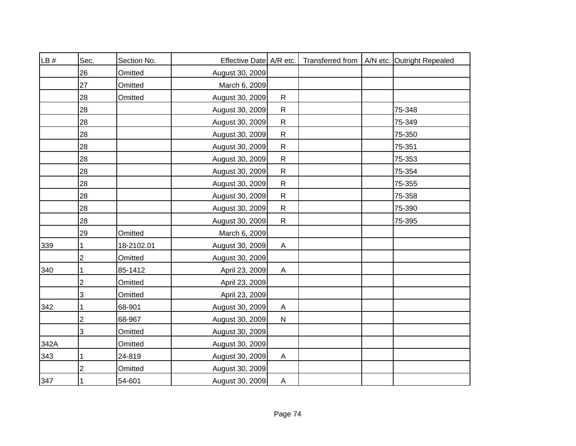| LB#  | Sec.           | Section No. | Effective Date A/R etc. |              |  | Transferred from   A/N etc. Outright Repealed |
|------|----------------|-------------|-------------------------|--------------|--|-----------------------------------------------|
|      | 26             | Omitted     | August 30, 2009         |              |  |                                               |
|      | 27             | Omitted     | March 6, 2009           |              |  |                                               |
|      | 28             | Omitted     | August 30, 2009         | $\mathsf{R}$ |  |                                               |
|      | 28             |             | August 30, 2009         | $\mathsf{R}$ |  | 75-348                                        |
|      | 28             |             | August 30, 2009         | $\mathsf{R}$ |  | 75-349                                        |
|      | 28             |             | August 30, 2009         | $\mathsf{R}$ |  | 75-350                                        |
|      | 28             |             | August 30, 2009         | ${\sf R}$    |  | 75-351                                        |
|      | 28             |             | August 30, 2009         | $\mathsf{R}$ |  | 75-353                                        |
|      | 28             |             | August 30, 2009         | $\mathsf{R}$ |  | 75-354                                        |
|      | 28             |             | August 30, 2009         | $\mathsf{R}$ |  | 75-355                                        |
|      | 28             |             | August 30, 2009         | $\mathsf{R}$ |  | 75-358                                        |
|      | 28             |             | August 30, 2009         | ${\sf R}$    |  | 75-390                                        |
|      | 28             |             | August 30, 2009         | $\mathsf{R}$ |  | 75-395                                        |
|      | 29             | Omitted     | March 6, 2009           |              |  |                                               |
| 339  |                | 18-2102.01  | August 30, 2009         | A            |  |                                               |
|      | $\overline{c}$ | Omitted     | August 30, 2009         |              |  |                                               |
| 340  |                | 85-1412     | April 23, 2009          | $\mathsf{A}$ |  |                                               |
|      | 2              | Omitted     | April 23, 2009          |              |  |                                               |
|      | 3              | Omitted     | April 23, 2009          |              |  |                                               |
| 342  | 1              | 68-901      | August 30, 2009         | A            |  |                                               |
|      | $\overline{c}$ | 68-967      | August 30, 2009         | ${\sf N}$    |  |                                               |
|      | 3              | Omitted     | August 30, 2009         |              |  |                                               |
| 342A |                | Omitted     | August 30, 2009         |              |  |                                               |
| 343  | 1              | 24-819      | August 30, 2009         | A            |  |                                               |
|      | $\overline{2}$ | Omitted     | August 30, 2009         |              |  |                                               |
| 347  | 1              | 54-601      | August 30, 2009         | A            |  |                                               |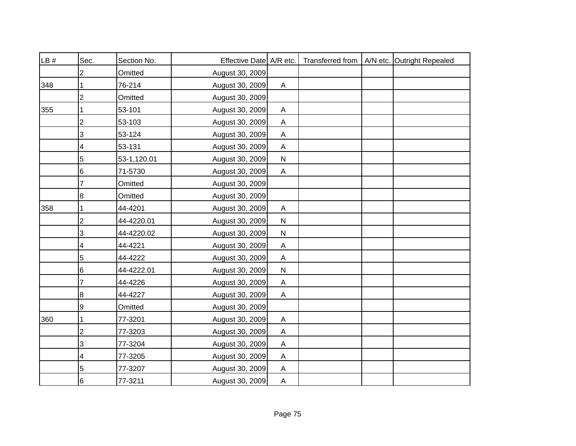| LB # | Sec.           | Section No. | Effective Date A/R etc. |                |  | Transferred from   A/N etc. Outright Repealed |
|------|----------------|-------------|-------------------------|----------------|--|-----------------------------------------------|
|      | 2              | Omitted     | August 30, 2009         |                |  |                                               |
| 348  |                | 76-214      | August 30, 2009         | $\mathsf{A}$   |  |                                               |
|      | $\overline{2}$ | Omitted     | August 30, 2009         |                |  |                                               |
| 355  |                | 53-101      | August 30, 2009         | $\mathsf{A}$   |  |                                               |
|      | 2              | 53-103      | August 30, 2009         | A              |  |                                               |
|      | 3              | 53-124      | August 30, 2009         | A              |  |                                               |
|      | 4              | 53-131      | August 30, 2009         | A              |  |                                               |
|      | 5              | 53-1,120.01 | August 30, 2009         | $\mathsf{N}$   |  |                                               |
|      | 6              | 71-5730     | August 30, 2009         | $\mathsf{A}$   |  |                                               |
|      | 7              | Omitted     | August 30, 2009         |                |  |                                               |
|      | 8              | Omitted     | August 30, 2009         |                |  |                                               |
| 358  |                | 44-4201     | August 30, 2009         | $\mathsf{A}$   |  |                                               |
|      | $\overline{2}$ | 44-4220.01  | August 30, 2009         | ${\sf N}$      |  |                                               |
|      | 3              | 44-4220.02  | August 30, 2009         | ${\sf N}$      |  |                                               |
|      | 4              | 44-4221     | August 30, 2009         | A              |  |                                               |
|      | 5              | 44-4222     | August 30, 2009         | $\mathsf{A}$   |  |                                               |
|      | 6              | 44-4222.01  | August 30, 2009         | ${\sf N}$      |  |                                               |
|      | 7              | 44-4226     | August 30, 2009         | $\mathsf{A}$   |  |                                               |
|      | 8              | 44-4227     | August 30, 2009         | Α              |  |                                               |
|      | 9              | Omitted     | August 30, 2009         |                |  |                                               |
| 360  |                | 77-3201     | August 30, 2009         | Α              |  |                                               |
|      | 2              | 77-3203     | August 30, 2009         | A              |  |                                               |
|      | 3              | 77-3204     | August 30, 2009         | $\mathsf{A}$   |  |                                               |
|      | 4              | 77-3205     | August 30, 2009         | A              |  |                                               |
|      | 5              | 77-3207     | August 30, 2009         | $\mathsf{A}$   |  |                                               |
|      | 6              | 77-3211     | August 30, 2009         | $\overline{A}$ |  |                                               |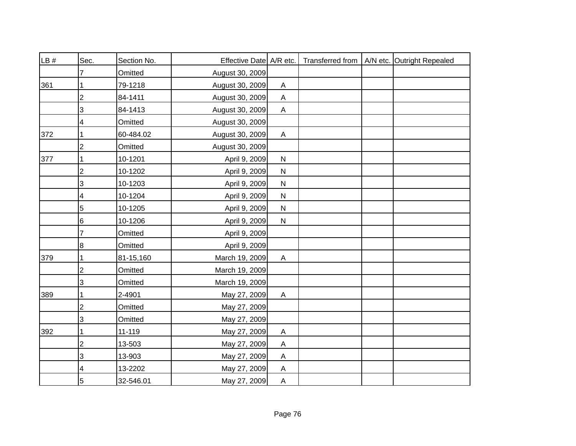| LB # | Sec.           | Section No. | Effective Date A/R etc. |              |  | Transferred from   A/N etc. Outright Repealed |
|------|----------------|-------------|-------------------------|--------------|--|-----------------------------------------------|
|      |                | Omitted     | August 30, 2009         |              |  |                                               |
| 361  |                | 79-1218     | August 30, 2009         | A            |  |                                               |
|      | 2              | 84-1411     | August 30, 2009         | A            |  |                                               |
|      | 3              | 84-1413     | August 30, 2009         | $\mathsf{A}$ |  |                                               |
|      | 4              | Omitted     | August 30, 2009         |              |  |                                               |
| 372  | 1              | 60-484.02   | August 30, 2009         | A            |  |                                               |
|      | 2              | Omitted     | August 30, 2009         |              |  |                                               |
| 377  |                | 10-1201     | April 9, 2009           | $\mathsf{N}$ |  |                                               |
|      | $\overline{2}$ | 10-1202     | April 9, 2009           | $\mathsf{N}$ |  |                                               |
|      | 3              | 10-1203     | April 9, 2009           | ${\sf N}$    |  |                                               |
|      | 4              | 10-1204     | April 9, 2009           | ${\sf N}$    |  |                                               |
|      | 5              | 10-1205     | April 9, 2009           | $\mathsf{N}$ |  |                                               |
|      | 6              | 10-1206     | April 9, 2009           | ${\sf N}$    |  |                                               |
|      | 7              | Omitted     | April 9, 2009           |              |  |                                               |
|      | 8              | Omitted     | April 9, 2009           |              |  |                                               |
| 379  | 1              | 81-15,160   | March 19, 2009          | $\mathsf{A}$ |  |                                               |
|      | $\overline{c}$ | Omitted     | March 19, 2009          |              |  |                                               |
|      | 3              | Omitted     | March 19, 2009          |              |  |                                               |
| 389  | 1              | 2-4901      | May 27, 2009            | Α            |  |                                               |
|      | 2              | Omitted     | May 27, 2009            |              |  |                                               |
|      | 3              | Omitted     | May 27, 2009            |              |  |                                               |
| 392  |                | 11-119      | May 27, 2009            | A            |  |                                               |
|      | $\overline{2}$ | 13-503      | May 27, 2009            | A            |  |                                               |
|      | 3              | 13-903      | May 27, 2009            | Α            |  |                                               |
|      | 4              | 13-2202     | May 27, 2009            | A            |  |                                               |
|      | 5              | 32-546.01   | May 27, 2009            | $\mathsf{A}$ |  |                                               |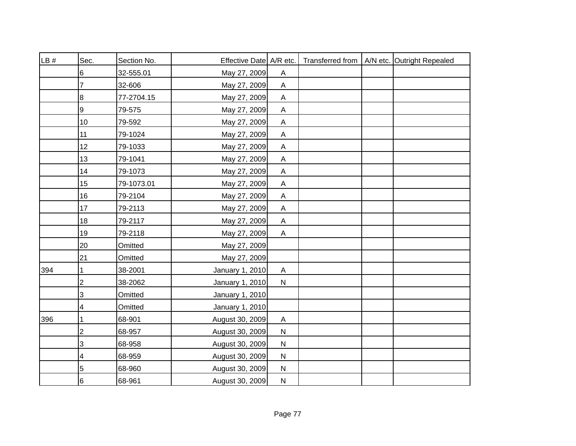| LB# | Sec.            | Section No. | Effective Date A/R etc. |                           |  | Transferred from   A/N etc. Outright Repealed |
|-----|-----------------|-------------|-------------------------|---------------------------|--|-----------------------------------------------|
|     | 6               | 32-555.01   | May 27, 2009            | A                         |  |                                               |
|     | 7               | 32-606      | May 27, 2009            | $\mathsf{A}$              |  |                                               |
|     | 8               | 77-2704.15  | May 27, 2009            | A                         |  |                                               |
|     | 9               | 79-575      | May 27, 2009            | $\boldsymbol{\mathsf{A}}$ |  |                                               |
|     | 10              | 79-592      | May 27, 2009            | $\mathsf{A}$              |  |                                               |
|     | 11              | 79-1024     | May 27, 2009            | A                         |  |                                               |
|     | 12              | 79-1033     | May 27, 2009            | A                         |  |                                               |
|     | 13              | 79-1041     | May 27, 2009            | A                         |  |                                               |
|     | 14              | 79-1073     | May 27, 2009            | A                         |  |                                               |
|     | 15              | 79-1073.01  | May 27, 2009            | $\boldsymbol{\mathsf{A}}$ |  |                                               |
|     | 16              | 79-2104     | May 27, 2009            | A                         |  |                                               |
|     | 17              | 79-2113     | May 27, 2009            | $\boldsymbol{\mathsf{A}}$ |  |                                               |
|     | 18              | 79-2117     | May 27, 2009            | $\mathsf{A}$              |  |                                               |
|     | 19              | 79-2118     | May 27, 2009            | $\mathsf{A}$              |  |                                               |
|     | 20              | Omitted     | May 27, 2009            |                           |  |                                               |
|     | 21              | Omitted     | May 27, 2009            |                           |  |                                               |
| 394 |                 | 38-2001     | January 1, 2010         | $\mathsf{A}$              |  |                                               |
|     | $\overline{c}$  | 38-2062     | January 1, 2010         | ${\sf N}$                 |  |                                               |
|     | $\sqrt{3}$      | Omitted     | January 1, 2010         |                           |  |                                               |
|     | 4               | Omitted     | January 1, 2010         |                           |  |                                               |
| 396 |                 | 68-901      | August 30, 2009         | A                         |  |                                               |
|     | $\overline{2}$  | 68-957      | August 30, 2009         | ${\sf N}$                 |  |                                               |
|     | 3               | 68-958      | August 30, 2009         | $\mathsf{N}$              |  |                                               |
|     | 4               | 68-959      | August 30, 2009         | $\mathsf{N}$              |  |                                               |
|     | 5               | 68-960      | August 30, 2009         | $\mathsf{N}$              |  |                                               |
|     | $6\overline{6}$ | 68-961      | August 30, 2009         | $\mathsf{N}$              |  |                                               |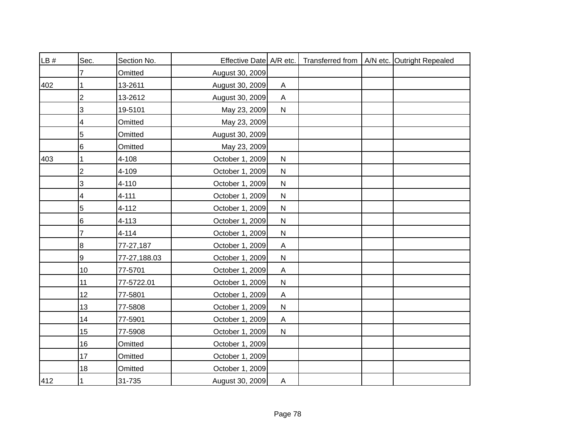| LB# | Sec.           | Section No.  | Effective Date A/R etc. |              |  | Transferred from   A/N etc. Outright Repealed |
|-----|----------------|--------------|-------------------------|--------------|--|-----------------------------------------------|
|     |                | Omitted      | August 30, 2009         |              |  |                                               |
| 402 |                | 13-2611      | August 30, 2009         | A            |  |                                               |
|     | 2              | 13-2612      | August 30, 2009         | A            |  |                                               |
|     | 3              | 19-5101      | May 23, 2009            | $\mathsf{N}$ |  |                                               |
|     | 4              | Omitted      | May 23, 2009            |              |  |                                               |
|     | 5              | Omitted      | August 30, 2009         |              |  |                                               |
|     | 6              | Omitted      | May 23, 2009            |              |  |                                               |
| 403 | 1              | 4-108        | October 1, 2009         | $\mathsf{N}$ |  |                                               |
|     | $\overline{c}$ | 4-109        | October 1, 2009         | ${\sf N}$    |  |                                               |
|     | 3              | 4-110        | October 1, 2009         | ${\sf N}$    |  |                                               |
|     | 4              | $4 - 111$    | October 1, 2009         | $\mathsf{N}$ |  |                                               |
|     | 5              | $4 - 112$    | October 1, 2009         | ${\sf N}$    |  |                                               |
|     | $\,6$          | $4 - 113$    | October 1, 2009         | ${\sf N}$    |  |                                               |
|     | 7              | $4 - 114$    | October 1, 2009         | ${\sf N}$    |  |                                               |
|     | 8              | 77-27,187    | October 1, 2009         | A            |  |                                               |
|     | 9              | 77-27,188.03 | October 1, 2009         | ${\sf N}$    |  |                                               |
|     | 10             | 77-5701      | October 1, 2009         | A            |  |                                               |
|     | 11             | 77-5722.01   | October 1, 2009         | ${\sf N}$    |  |                                               |
|     | 12             | 77-5801      | October 1, 2009         | Α            |  |                                               |
|     | 13             | 77-5808      | October 1, 2009         | $\mathsf{N}$ |  |                                               |
|     | 14             | 77-5901      | October 1, 2009         | A            |  |                                               |
|     | 15             | 77-5908      | October 1, 2009         | ${\sf N}$    |  |                                               |
|     | 16             | Omitted      | October 1, 2009         |              |  |                                               |
|     | 17             | Omitted      | October 1, 2009         |              |  |                                               |
|     | 18             | Omitted      | October 1, 2009         |              |  |                                               |
| 412 | 1              | 31-735       | August 30, 2009         | A            |  |                                               |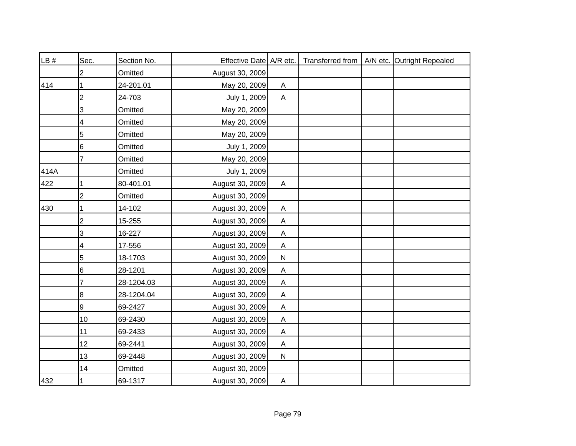| LB # | Sec.            | Section No. | Effective Date A/R etc. |                           |  | Transferred from   A/N etc. Outright Repealed |
|------|-----------------|-------------|-------------------------|---------------------------|--|-----------------------------------------------|
|      | 2               | Omitted     | August 30, 2009         |                           |  |                                               |
| 414  |                 | 24-201.01   | May 20, 2009            | $\boldsymbol{\mathsf{A}}$ |  |                                               |
|      | $\overline{2}$  | 24-703      | July 1, 2009            | $\mathsf{A}$              |  |                                               |
|      | 3               | Omitted     | May 20, 2009            |                           |  |                                               |
|      | 4               | Omitted     | May 20, 2009            |                           |  |                                               |
|      | 5               | Omitted     | May 20, 2009            |                           |  |                                               |
|      | 6               | Omitted     | July 1, 2009            |                           |  |                                               |
|      | $\overline{7}$  | Omitted     | May 20, 2009            |                           |  |                                               |
| 414A |                 | Omitted     | July 1, 2009            |                           |  |                                               |
| 422  | 1               | 80-401.01   | August 30, 2009         | $\mathsf{A}$              |  |                                               |
|      | $\overline{2}$  | Omitted     | August 30, 2009         |                           |  |                                               |
| 430  |                 | 14-102      | August 30, 2009         | $\mathsf{A}$              |  |                                               |
|      | $\overline{2}$  | 15-255      | August 30, 2009         | $\mathsf{A}$              |  |                                               |
|      | 3               | 16-227      | August 30, 2009         | $\mathsf{A}$              |  |                                               |
|      | 4               | 17-556      | August 30, 2009         | $\mathsf{A}$              |  |                                               |
|      | 5               | 18-1703     | August 30, 2009         | ${\sf N}$                 |  |                                               |
|      | 6               | 28-1201     | August 30, 2009         | $\mathsf{A}$              |  |                                               |
|      | 7               | 28-1204.03  | August 30, 2009         | $\mathsf{A}$              |  |                                               |
|      | 8               | 28-1204.04  | August 30, 2009         | A                         |  |                                               |
|      | 9               | 69-2427     | August 30, 2009         | A                         |  |                                               |
|      | 10              | 69-2430     | August 30, 2009         | A                         |  |                                               |
|      | 11              | 69-2433     | August 30, 2009         | A                         |  |                                               |
|      | 12 <sup>°</sup> | 69-2441     | August 30, 2009         | Α                         |  |                                               |
|      | 13              | 69-2448     | August 30, 2009         | ${\sf N}$                 |  |                                               |
|      | 14              | Omitted     | August 30, 2009         |                           |  |                                               |
| 432  | 1               | 69-1317     | August 30, 2009         | $\mathsf{A}$              |  |                                               |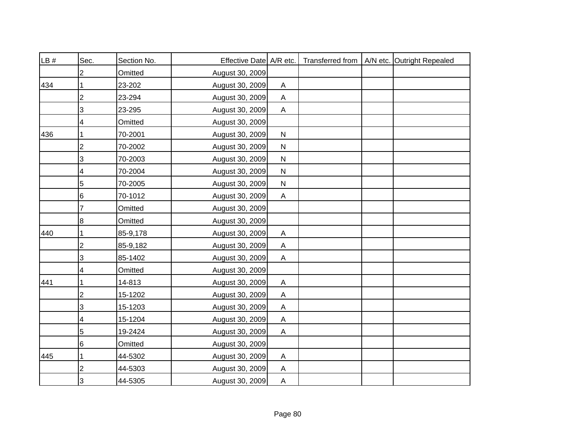| LB # | Sec.           | Section No. | Effective Date A/R etc. |                |  | Transferred from   A/N etc. Outright Repealed |
|------|----------------|-------------|-------------------------|----------------|--|-----------------------------------------------|
|      | 2              | Omitted     | August 30, 2009         |                |  |                                               |
| 434  |                | 23-202      | August 30, 2009         | A              |  |                                               |
|      | 2              | 23-294      | August 30, 2009         | A              |  |                                               |
|      | 3              | 23-295      | August 30, 2009         | $\mathsf{A}$   |  |                                               |
|      | 4              | Omitted     | August 30, 2009         |                |  |                                               |
| 436  | 1              | 70-2001     | August 30, 2009         | ${\sf N}$      |  |                                               |
|      | 2              | 70-2002     | August 30, 2009         | ${\sf N}$      |  |                                               |
|      | 3              | 70-2003     | August 30, 2009         | $\mathsf{N}$   |  |                                               |
|      | 4              | 70-2004     | August 30, 2009         | ${\sf N}$      |  |                                               |
|      | 5              | 70-2005     | August 30, 2009         | ${\sf N}$      |  |                                               |
|      | 6              | 70-1012     | August 30, 2009         | Α              |  |                                               |
|      | 7              | Omitted     | August 30, 2009         |                |  |                                               |
|      | 8              | Omitted     | August 30, 2009         |                |  |                                               |
| 440  | 1              | 85-9,178    | August 30, 2009         | A              |  |                                               |
|      | $\overline{2}$ | 85-9,182    | August 30, 2009         | $\mathsf{A}$   |  |                                               |
|      | 3              | 85-1402     | August 30, 2009         | A              |  |                                               |
|      | 4              | Omitted     | August 30, 2009         |                |  |                                               |
| 441  |                | 14-813      | August 30, 2009         | $\mathsf{A}$   |  |                                               |
|      | $\overline{2}$ | 15-1202     | August 30, 2009         | A              |  |                                               |
|      | 3              | 15-1203     | August 30, 2009         | A              |  |                                               |
|      | 4              | 15-1204     | August 30, 2009         | Α              |  |                                               |
|      | 5              | 19-2424     | August 30, 2009         | A              |  |                                               |
|      | 6              | Omitted     | August 30, 2009         |                |  |                                               |
| 445  | 1              | 44-5302     | August 30, 2009         | A              |  |                                               |
|      | 2              | 44-5303     | August 30, 2009         | A              |  |                                               |
|      | 3              | 44-5305     | August 30, 2009         | $\overline{A}$ |  |                                               |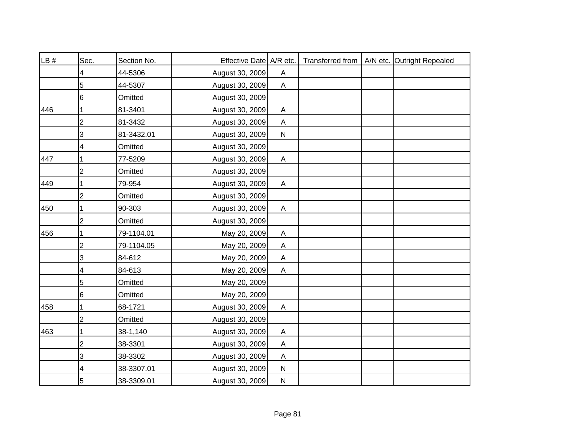| LB # | Sec.                    | Section No. | Effective Date A/R etc. |                           |  | Transferred from   A/N etc. Outright Repealed |
|------|-------------------------|-------------|-------------------------|---------------------------|--|-----------------------------------------------|
|      | 4                       | 44-5306     | August 30, 2009         | Α                         |  |                                               |
|      | 5                       | 44-5307     | August 30, 2009         | $\mathsf{A}$              |  |                                               |
|      | 6                       | Omitted     | August 30, 2009         |                           |  |                                               |
| 446  |                         | 81-3401     | August 30, 2009         | $\boldsymbol{\mathsf{A}}$ |  |                                               |
|      | $\overline{2}$          | 81-3432     | August 30, 2009         | A                         |  |                                               |
|      | 3                       | 81-3432.01  | August 30, 2009         | ${\sf N}$                 |  |                                               |
|      | 4                       | Omitted     | August 30, 2009         |                           |  |                                               |
| 447  |                         | 77-5209     | August 30, 2009         | $\mathsf{A}$              |  |                                               |
|      | $\overline{2}$          | Omitted     | August 30, 2009         |                           |  |                                               |
| 449  |                         | 79-954      | August 30, 2009         | A                         |  |                                               |
|      | 2                       | Omitted     | August 30, 2009         |                           |  |                                               |
| 450  |                         | 90-303      | August 30, 2009         | $\boldsymbol{\mathsf{A}}$ |  |                                               |
|      | $\overline{2}$          | Omitted     | August 30, 2009         |                           |  |                                               |
| 456  | 1                       | 79-1104.01  | May 20, 2009            | $\mathsf{A}$              |  |                                               |
|      | $\overline{2}$          | 79-1104.05  | May 20, 2009            | $\mathsf{A}$              |  |                                               |
|      | 3                       | 84-612      | May 20, 2009            | $\mathsf{A}$              |  |                                               |
|      | 4                       | 84-613      | May 20, 2009            | $\mathsf{A}$              |  |                                               |
|      | 5                       | Omitted     | May 20, 2009            |                           |  |                                               |
|      | 6                       | Omitted     | May 20, 2009            |                           |  |                                               |
| 458  |                         | 68-1721     | August 30, 2009         | Α                         |  |                                               |
|      | $\overline{\mathbf{c}}$ | Omitted     | August 30, 2009         |                           |  |                                               |
| 463  |                         | 38-1,140    | August 30, 2009         | A                         |  |                                               |
|      | $\overline{2}$          | 38-3301     | August 30, 2009         | A                         |  |                                               |
|      | 3                       | 38-3302     | August 30, 2009         | A                         |  |                                               |
|      | 4                       | 38-3307.01  | August 30, 2009         | $\mathsf{N}$              |  |                                               |
|      | 5                       | 38-3309.01  | August 30, 2009         | $\mathsf{N}$              |  |                                               |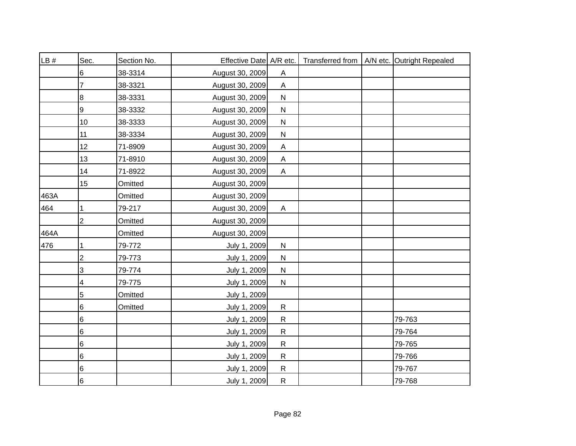| LB#  | Sec.                    | Section No. | Effective Date A/R etc. |                           |  | Transferred from   A/N etc. Outright Repealed |
|------|-------------------------|-------------|-------------------------|---------------------------|--|-----------------------------------------------|
|      | 6                       | 38-3314     | August 30, 2009         | A                         |  |                                               |
|      | 7                       | 38-3321     | August 30, 2009         | $\boldsymbol{\mathsf{A}}$ |  |                                               |
|      | 8                       | 38-3331     | August 30, 2009         | ${\sf N}$                 |  |                                               |
|      | 9                       | 38-3332     | August 30, 2009         | ${\sf N}$                 |  |                                               |
|      | 10                      | 38-3333     | August 30, 2009         | ${\sf N}$                 |  |                                               |
|      | 11                      | 38-3334     | August 30, 2009         | ${\sf N}$                 |  |                                               |
|      | 12                      | 71-8909     | August 30, 2009         | A                         |  |                                               |
|      | 13                      | 71-8910     | August 30, 2009         | A                         |  |                                               |
|      | 14                      | 71-8922     | August 30, 2009         | $\boldsymbol{\mathsf{A}}$ |  |                                               |
|      | 15                      | Omitted     | August 30, 2009         |                           |  |                                               |
| 463A |                         | Omitted     | August 30, 2009         |                           |  |                                               |
| 464  | 1                       | 79-217      | August 30, 2009         | $\boldsymbol{\mathsf{A}}$ |  |                                               |
|      | $\overline{c}$          | Omitted     | August 30, 2009         |                           |  |                                               |
| 464A |                         | Omitted     | August 30, 2009         |                           |  |                                               |
| 476  | 1                       | 79-772      | July 1, 2009            | ${\sf N}$                 |  |                                               |
|      | $\overline{\mathbf{c}}$ | 79-773      | July 1, 2009            | ${\sf N}$                 |  |                                               |
|      | 3                       | 79-774      | July 1, 2009            | ${\sf N}$                 |  |                                               |
|      | 4                       | 79-775      | July 1, 2009            | ${\sf N}$                 |  |                                               |
|      | 5                       | Omitted     | July 1, 2009            |                           |  |                                               |
|      | 6                       | Omitted     | July 1, 2009            | ${\sf R}$                 |  |                                               |
|      | 6                       |             | July 1, 2009            | $\mathsf{R}$              |  | 79-763                                        |
|      | 6                       |             | July 1, 2009            | ${\sf R}$                 |  | 79-764                                        |
|      | 6                       |             | July 1, 2009            | ${\sf R}$                 |  | 79-765                                        |
|      | 6                       |             | July 1, 2009            | $\mathsf{R}$              |  | 79-766                                        |
|      | 6                       |             | July 1, 2009            | ${\sf R}$                 |  | 79-767                                        |
|      | $\,6$                   |             | July 1, 2009            | ${\sf R}$                 |  | 79-768                                        |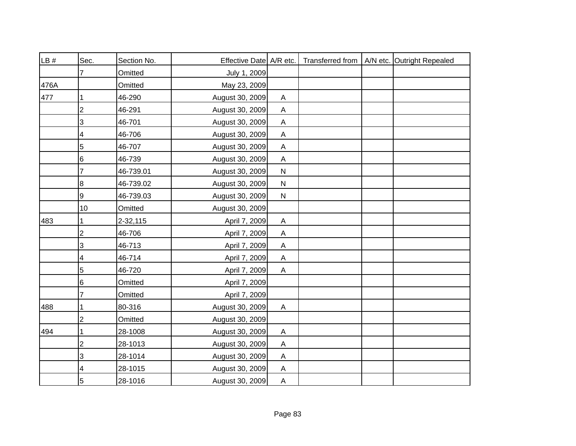| LB#  | Sec.           | Section No. | Effective Date A/R etc. |                           |  | Transferred from   A/N etc. Outright Repealed |
|------|----------------|-------------|-------------------------|---------------------------|--|-----------------------------------------------|
|      | 7              | Omitted     | July 1, 2009            |                           |  |                                               |
| 476A |                | Omitted     | May 23, 2009            |                           |  |                                               |
| 477  |                | 46-290      | August 30, 2009         | Α                         |  |                                               |
|      | $\mathbf 2$    | 46-291      | August 30, 2009         | A                         |  |                                               |
|      | 3              | 46-701      | August 30, 2009         | A                         |  |                                               |
|      | 4              | 46-706      | August 30, 2009         | $\boldsymbol{\mathsf{A}}$ |  |                                               |
|      | 5              | 46-707      | August 30, 2009         | $\boldsymbol{\mathsf{A}}$ |  |                                               |
|      | 6              | 46-739      | August 30, 2009         | $\mathsf{A}$              |  |                                               |
|      | 7              | 46-739.01   | August 30, 2009         | $\mathsf{N}$              |  |                                               |
|      | 8              | 46-739.02   | August 30, 2009         | $\mathsf{N}$              |  |                                               |
|      | 9              | 46-739.03   | August 30, 2009         | ${\sf N}$                 |  |                                               |
|      | 10             | Omitted     | August 30, 2009         |                           |  |                                               |
| 483  |                | 2-32,115    | April 7, 2009           | $\mathsf{A}$              |  |                                               |
|      | $\overline{c}$ | 46-706      | April 7, 2009           | $\mathsf{A}$              |  |                                               |
|      | 3              | 46-713      | April 7, 2009           | $\mathsf{A}$              |  |                                               |
|      | 4              | 46-714      | April 7, 2009           | A                         |  |                                               |
|      | 5              | 46-720      | April 7, 2009           | A                         |  |                                               |
|      | 6              | Omitted     | April 7, 2009           |                           |  |                                               |
|      | 7              | Omitted     | April 7, 2009           |                           |  |                                               |
| 488  |                | 80-316      | August 30, 2009         | $\boldsymbol{\mathsf{A}}$ |  |                                               |
|      | $\overline{2}$ | Omitted     | August 30, 2009         |                           |  |                                               |
| 494  | 1              | 28-1008     | August 30, 2009         | A                         |  |                                               |
|      | $\overline{2}$ | 28-1013     | August 30, 2009         | A                         |  |                                               |
|      | 3              | 28-1014     | August 30, 2009         | $\boldsymbol{\mathsf{A}}$ |  |                                               |
|      | 4              | 28-1015     | August 30, 2009         | A                         |  |                                               |
|      | 5              | 28-1016     | August 30, 2009         | $\mathsf{A}$              |  |                                               |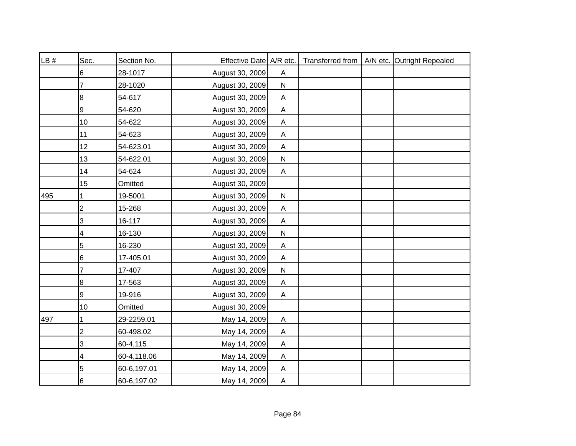| LB # | Sec.                    | Section No. | Effective Date A/R etc. |                           |  | Transferred from   A/N etc. Outright Repealed |
|------|-------------------------|-------------|-------------------------|---------------------------|--|-----------------------------------------------|
|      | 6                       | 28-1017     | August 30, 2009         | A                         |  |                                               |
|      |                         | 28-1020     | August 30, 2009         | ${\sf N}$                 |  |                                               |
|      | 8                       | 54-617      | August 30, 2009         | A                         |  |                                               |
|      | 9                       | 54-620      | August 30, 2009         | $\boldsymbol{\mathsf{A}}$ |  |                                               |
|      | 10                      | 54-622      | August 30, 2009         | $\boldsymbol{\mathsf{A}}$ |  |                                               |
|      | 11                      | 54-623      | August 30, 2009         | A                         |  |                                               |
|      | 12                      | 54-623.01   | August 30, 2009         | $\boldsymbol{\mathsf{A}}$ |  |                                               |
|      | 13                      | 54-622.01   | August 30, 2009         | ${\sf N}$                 |  |                                               |
|      | 14                      | 54-624      | August 30, 2009         | $\boldsymbol{\mathsf{A}}$ |  |                                               |
|      | 15                      | Omitted     | August 30, 2009         |                           |  |                                               |
| 495  |                         | 19-5001     | August 30, 2009         | ${\sf N}$                 |  |                                               |
|      | 2                       | 15-268      | August 30, 2009         | $\mathsf A$               |  |                                               |
|      | 3                       | 16-117      | August 30, 2009         | $\mathsf{A}$              |  |                                               |
|      | 4                       | 16-130      | August 30, 2009         | ${\sf N}$                 |  |                                               |
|      | 5                       | 16-230      | August 30, 2009         | $\boldsymbol{\mathsf{A}}$ |  |                                               |
|      | 6                       | 17-405.01   | August 30, 2009         | $\boldsymbol{\mathsf{A}}$ |  |                                               |
|      | 7                       | 17-407      | August 30, 2009         | ${\sf N}$                 |  |                                               |
|      | 8                       | 17-563      | August 30, 2009         | $\boldsymbol{\mathsf{A}}$ |  |                                               |
|      | 9                       | 19-916      | August 30, 2009         | Α                         |  |                                               |
|      | 10                      | Omitted     | August 30, 2009         |                           |  |                                               |
| 497  |                         | 29-2259.01  | May 14, 2009            | $\mathsf A$               |  |                                               |
|      | $\overline{\mathbf{c}}$ | 60-498.02   | May 14, 2009            | $\boldsymbol{\mathsf{A}}$ |  |                                               |
|      | 3                       | 60-4,115    | May 14, 2009            | $\mathsf A$               |  |                                               |
|      | 4                       | 60-4,118.06 | May 14, 2009            | $\mathsf A$               |  |                                               |
|      | 5                       | 60-6,197.01 | May 14, 2009            | $\boldsymbol{\mathsf{A}}$ |  |                                               |
|      | 6                       | 60-6,197.02 | May 14, 2009            | A                         |  |                                               |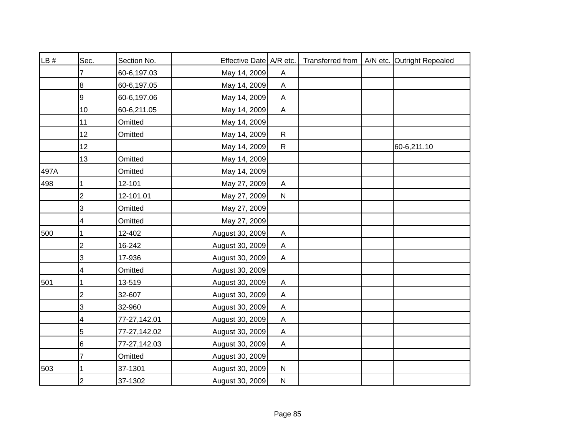| LB # | Sec.           | Section No.  | Effective Date A/R etc. |                           |  | Transferred from   A/N etc. Outright Repealed |
|------|----------------|--------------|-------------------------|---------------------------|--|-----------------------------------------------|
|      | 7              | 60-6,197.03  | May 14, 2009            | A                         |  |                                               |
|      | 8              | 60-6,197.05  | May 14, 2009            | $\mathsf{A}$              |  |                                               |
|      | 9              | 60-6,197.06  | May 14, 2009            | A                         |  |                                               |
|      | 10             | 60-6,211.05  | May 14, 2009            | $\mathsf{A}$              |  |                                               |
|      | 11             | Omitted      | May 14, 2009            |                           |  |                                               |
|      | 12             | Omitted      | May 14, 2009            | $\mathsf{R}$              |  |                                               |
|      | 12             |              | May 14, 2009            | $\mathsf{R}$              |  | 60-6,211.10                                   |
|      | 13             | Omitted      | May 14, 2009            |                           |  |                                               |
| 497A |                | Omitted      | May 14, 2009            |                           |  |                                               |
| 498  | 1              | 12-101       | May 27, 2009            | A                         |  |                                               |
|      | $\overline{2}$ | 12-101.01    | May 27, 2009            | ${\sf N}$                 |  |                                               |
|      | 3              | Omitted      | May 27, 2009            |                           |  |                                               |
|      | 4              | Omitted      | May 27, 2009            |                           |  |                                               |
| 500  | 1              | 12-402       | August 30, 2009         | Α                         |  |                                               |
|      | $\overline{2}$ | 16-242       | August 30, 2009         | $\mathsf{A}$              |  |                                               |
|      | 3              | 17-936       | August 30, 2009         | $\mathsf{A}$              |  |                                               |
|      | 4              | Omitted      | August 30, 2009         |                           |  |                                               |
| 501  |                | 13-519       | August 30, 2009         | $\boldsymbol{\mathsf{A}}$ |  |                                               |
|      | $\overline{2}$ | 32-607       | August 30, 2009         | A                         |  |                                               |
|      | 3              | 32-960       | August 30, 2009         | $\boldsymbol{\mathsf{A}}$ |  |                                               |
|      | 4              | 77-27,142.01 | August 30, 2009         | $\boldsymbol{\mathsf{A}}$ |  |                                               |
|      | 5              | 77-27,142.02 | August 30, 2009         | A                         |  |                                               |
|      | 6              | 77-27,142.03 | August 30, 2009         | $\mathsf{A}$              |  |                                               |
|      | 7              | Omitted      | August 30, 2009         |                           |  |                                               |
| 503  |                | 37-1301      | August 30, 2009         | $\mathsf{N}$              |  |                                               |
|      | $\overline{2}$ | 37-1302      | August 30, 2009         | $\mathsf{N}$              |  |                                               |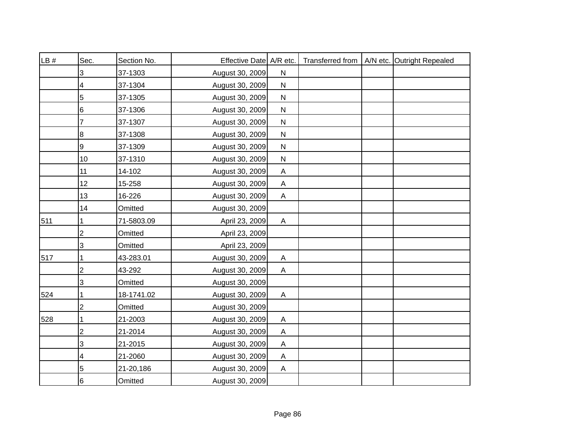| LB # | Sec.           | Section No. | Effective Date A/R etc. |              |  | Transferred from   A/N etc. Outright Repealed |
|------|----------------|-------------|-------------------------|--------------|--|-----------------------------------------------|
|      | 3              | 37-1303     | August 30, 2009         | ${\sf N}$    |  |                                               |
|      | 4              | 37-1304     | August 30, 2009         | $\mathsf{N}$ |  |                                               |
|      | 5              | 37-1305     | August 30, 2009         | ${\sf N}$    |  |                                               |
|      | 6              | 37-1306     | August 30, 2009         | $\mathsf{N}$ |  |                                               |
|      | 7              | 37-1307     | August 30, 2009         | $\mathsf{N}$ |  |                                               |
|      | 8              | 37-1308     | August 30, 2009         | ${\sf N}$    |  |                                               |
|      | 9              | 37-1309     | August 30, 2009         | $\mathsf{N}$ |  |                                               |
|      | 10             | 37-1310     | August 30, 2009         | $\mathsf{N}$ |  |                                               |
|      | 11             | 14-102      | August 30, 2009         | $\mathsf{A}$ |  |                                               |
|      | 12             | 15-258      | August 30, 2009         | $\mathsf{A}$ |  |                                               |
|      | 13             | 16-226      | August 30, 2009         | Α            |  |                                               |
|      | 14             | Omitted     | August 30, 2009         |              |  |                                               |
| 511  |                | 71-5803.09  | April 23, 2009          | $\mathsf{A}$ |  |                                               |
|      | 2              | Omitted     | April 23, 2009          |              |  |                                               |
|      | 3              | Omitted     | April 23, 2009          |              |  |                                               |
| 517  | 1              | 43-283.01   | August 30, 2009         | $\mathsf{A}$ |  |                                               |
|      | $\overline{c}$ | 43-292      | August 30, 2009         | A            |  |                                               |
|      | 3              | Omitted     | August 30, 2009         |              |  |                                               |
| 524  | 1              | 18-1741.02  | August 30, 2009         | Α            |  |                                               |
|      | 2              | Omitted     | August 30, 2009         |              |  |                                               |
| 528  |                | 21-2003     | August 30, 2009         | Α            |  |                                               |
|      | $\overline{c}$ | 21-2014     | August 30, 2009         | A            |  |                                               |
|      | 3              | 21-2015     | August 30, 2009         | A            |  |                                               |
|      | 4              | 21-2060     | August 30, 2009         | Α            |  |                                               |
|      | 5              | 21-20,186   | August 30, 2009         | A            |  |                                               |
|      | 6              | Omitted     | August 30, 2009         |              |  |                                               |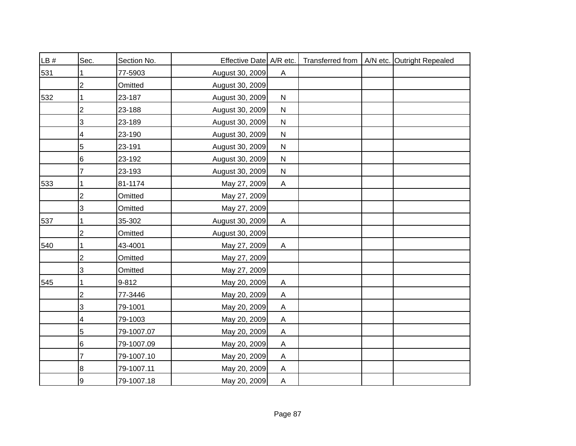| LB # | Sec.           | Section No. | Effective Date A/R etc. |                           |  | Transferred from   A/N etc. Outright Repealed |
|------|----------------|-------------|-------------------------|---------------------------|--|-----------------------------------------------|
| 531  |                | 77-5903     | August 30, 2009         | A                         |  |                                               |
|      | $\overline{2}$ | Omitted     | August 30, 2009         |                           |  |                                               |
| 532  |                | 23-187      | August 30, 2009         | ${\sf N}$                 |  |                                               |
|      | $\overline{2}$ | 23-188      | August 30, 2009         | ${\sf N}$                 |  |                                               |
|      | 3              | 23-189      | August 30, 2009         | ${\sf N}$                 |  |                                               |
|      | 4              | 23-190      | August 30, 2009         | ${\sf N}$                 |  |                                               |
|      | 5              | 23-191      | August 30, 2009         | ${\sf N}$                 |  |                                               |
|      | 6              | 23-192      | August 30, 2009         | $\mathsf{N}$              |  |                                               |
|      |                | 23-193      | August 30, 2009         | ${\sf N}$                 |  |                                               |
| 533  |                | 81-1174     | May 27, 2009            | A                         |  |                                               |
|      | $\overline{2}$ | Omitted     | May 27, 2009            |                           |  |                                               |
|      | 3              | Omitted     | May 27, 2009            |                           |  |                                               |
| 537  |                | 35-302      | August 30, 2009         | $\boldsymbol{\mathsf{A}}$ |  |                                               |
|      | $\overline{2}$ | Omitted     | August 30, 2009         |                           |  |                                               |
| 540  |                | 43-4001     | May 27, 2009            | A                         |  |                                               |
|      | $\overline{c}$ | Omitted     | May 27, 2009            |                           |  |                                               |
|      | 3              | Omitted     | May 27, 2009            |                           |  |                                               |
| 545  |                | 9-812       | May 20, 2009            | A                         |  |                                               |
|      | $\overline{2}$ | 77-3446     | May 20, 2009            | A                         |  |                                               |
|      | 3              | 79-1001     | May 20, 2009            | $\boldsymbol{\mathsf{A}}$ |  |                                               |
|      | 4              | 79-1003     | May 20, 2009            | A                         |  |                                               |
|      | 5              | 79-1007.07  | May 20, 2009            | A                         |  |                                               |
|      | 6              | 79-1007.09  | May 20, 2009            | A                         |  |                                               |
|      | 7              | 79-1007.10  | May 20, 2009            | A                         |  |                                               |
|      | 8              | 79-1007.11  | May 20, 2009            | A                         |  |                                               |
|      | 9              | 79-1007.18  | May 20, 2009            | $\boldsymbol{\mathsf{A}}$ |  |                                               |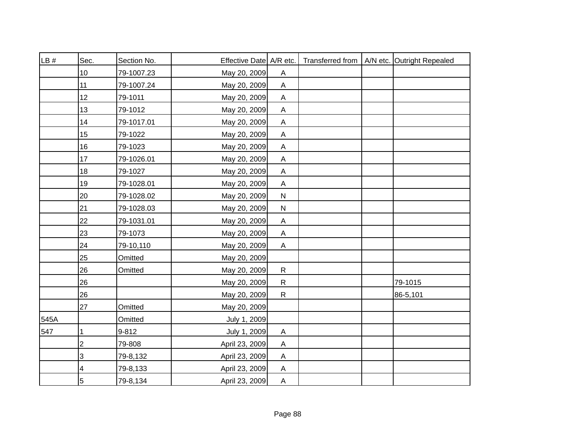| LB#  | Sec.           | Section No. | Effective Date   A/R etc. |                           |  | Transferred from   A/N etc. Outright Repealed |
|------|----------------|-------------|---------------------------|---------------------------|--|-----------------------------------------------|
|      | 10             | 79-1007.23  | May 20, 2009              | A                         |  |                                               |
|      | 11             | 79-1007.24  | May 20, 2009              | $\boldsymbol{\mathsf{A}}$ |  |                                               |
|      | 12             | 79-1011     | May 20, 2009              | A                         |  |                                               |
|      | 13             | 79-1012     | May 20, 2009              | $\mathsf A$               |  |                                               |
|      | 14             | 79-1017.01  | May 20, 2009              | $\boldsymbol{\mathsf{A}}$ |  |                                               |
|      | 15             | 79-1022     | May 20, 2009              | Α                         |  |                                               |
|      | 16             | 79-1023     | May 20, 2009              | $\mathsf A$               |  |                                               |
|      | 17             | 79-1026.01  | May 20, 2009              | Α                         |  |                                               |
|      | 18             | 79-1027     | May 20, 2009              | A                         |  |                                               |
|      | 19             | 79-1028.01  | May 20, 2009              | A                         |  |                                               |
|      | 20             | 79-1028.02  | May 20, 2009              | ${\sf N}$                 |  |                                               |
|      | 21             | 79-1028.03  | May 20, 2009              | ${\sf N}$                 |  |                                               |
|      | 22             | 79-1031.01  | May 20, 2009              | $\mathsf A$               |  |                                               |
|      | 23             | 79-1073     | May 20, 2009              | $\mathsf A$               |  |                                               |
|      | 24             | 79-10,110   | May 20, 2009              | $\mathsf A$               |  |                                               |
|      | 25             | Omitted     | May 20, 2009              |                           |  |                                               |
|      | 26             | Omitted     | May 20, 2009              | ${\sf R}$                 |  |                                               |
|      | 26             |             | May 20, 2009              | $\mathsf{R}$              |  | 79-1015                                       |
|      | 26             |             | May 20, 2009              | $\mathsf{R}$              |  | 86-5,101                                      |
|      | 27             | Omitted     | May 20, 2009              |                           |  |                                               |
| 545A |                | Omitted     | July 1, 2009              |                           |  |                                               |
| 547  | 1              | $9 - 812$   | July 1, 2009              | A                         |  |                                               |
|      | $\overline{2}$ | 79-808      | April 23, 2009            | A                         |  |                                               |
|      | 3              | 79-8,132    | April 23, 2009            | A                         |  |                                               |
|      | 4              | 79-8,133    | April 23, 2009            | A                         |  |                                               |
|      | $\overline{5}$ | 79-8,134    | April 23, 2009            | $\boldsymbol{\mathsf{A}}$ |  |                                               |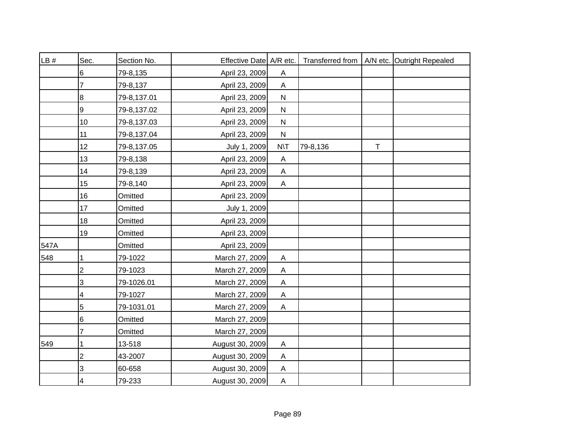| LB # | Sec.           | Section No. | Effective Date A/R etc. |                           |          |        | Transferred from   A/N etc. Outright Repealed |
|------|----------------|-------------|-------------------------|---------------------------|----------|--------|-----------------------------------------------|
|      | 6              | 79-8,135    | April 23, 2009          | A                         |          |        |                                               |
|      |                | 79-8,137    | April 23, 2009          | A                         |          |        |                                               |
|      | 8              | 79-8,137.01 | April 23, 2009          | ${\sf N}$                 |          |        |                                               |
|      | 9              | 79-8,137.02 | April 23, 2009          | $\mathsf{N}$              |          |        |                                               |
|      | 10             | 79-8,137.03 | April 23, 2009          | ${\sf N}$                 |          |        |                                               |
|      | 11             | 79-8,137.04 | April 23, 2009          | N                         |          |        |                                               |
|      | 12             | 79-8,137.05 | July 1, 2009            | $N\setminus T$            | 79-8,136 | $\top$ |                                               |
|      | 13             | 79-8,138    | April 23, 2009          | A                         |          |        |                                               |
|      | 14             | 79-8,139    | April 23, 2009          | A                         |          |        |                                               |
|      | 15             | 79-8,140    | April 23, 2009          | A                         |          |        |                                               |
|      | 16             | Omitted     | April 23, 2009          |                           |          |        |                                               |
|      | 17             | Omitted     | July 1, 2009            |                           |          |        |                                               |
|      | 18             | Omitted     | April 23, 2009          |                           |          |        |                                               |
|      | 19             | Omitted     | April 23, 2009          |                           |          |        |                                               |
| 547A |                | Omitted     | April 23, 2009          |                           |          |        |                                               |
| 548  | 1              | 79-1022     | March 27, 2009          | $\mathsf A$               |          |        |                                               |
|      | $\overline{c}$ | 79-1023     | March 27, 2009          | $\boldsymbol{\mathsf{A}}$ |          |        |                                               |
|      | 3              | 79-1026.01  | March 27, 2009          | $\boldsymbol{\mathsf{A}}$ |          |        |                                               |
|      | 4              | 79-1027     | March 27, 2009          | A                         |          |        |                                               |
|      | 5              | 79-1031.01  | March 27, 2009          | $\boldsymbol{\mathsf{A}}$ |          |        |                                               |
|      | 6              | Omitted     | March 27, 2009          |                           |          |        |                                               |
|      | 7              | Omitted     | March 27, 2009          |                           |          |        |                                               |
| 549  |                | 13-518      | August 30, 2009         | A                         |          |        |                                               |
|      | $\overline{2}$ | 43-2007     | August 30, 2009         | $\boldsymbol{\mathsf{A}}$ |          |        |                                               |
|      | 3              | 60-658      | August 30, 2009         | A                         |          |        |                                               |
|      | 4              | 79-233      | August 30, 2009         | A                         |          |        |                                               |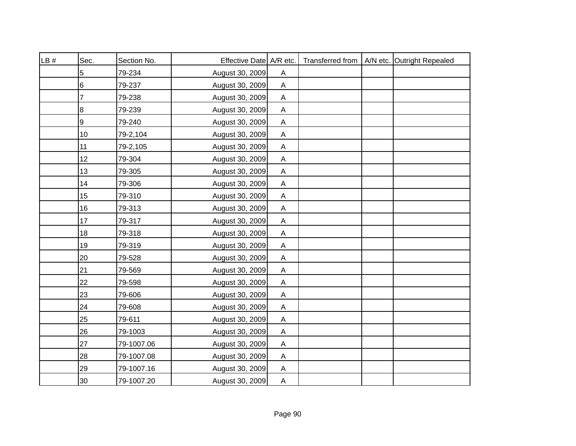| LB# | Sec.  | Section No. | Effective Date A/R etc. |                           |  | Transferred from   A/N etc. Outright Repealed |
|-----|-------|-------------|-------------------------|---------------------------|--|-----------------------------------------------|
|     | 5     | 79-234      | August 30, 2009         | A                         |  |                                               |
|     | $\,6$ | 79-237      | August 30, 2009         | $\mathsf{A}$              |  |                                               |
|     | 7     | 79-238      | August 30, 2009         | A                         |  |                                               |
|     | 8     | 79-239      | August 30, 2009         | $\mathsf{A}$              |  |                                               |
|     | 9     | 79-240      | August 30, 2009         | $\mathsf{A}$              |  |                                               |
|     | 10    | 79-2,104    | August 30, 2009         | A                         |  |                                               |
|     | 11    | 79-2,105    | August 30, 2009         | A                         |  |                                               |
|     | 12    | 79-304      | August 30, 2009         | A                         |  |                                               |
|     | 13    | 79-305      | August 30, 2009         | $\mathsf{A}$              |  |                                               |
|     | 14    | 79-306      | August 30, 2009         | A                         |  |                                               |
|     | 15    | 79-310      | August 30, 2009         | A                         |  |                                               |
|     | 16    | 79-313      | August 30, 2009         | $\boldsymbol{\mathsf{A}}$ |  |                                               |
|     | 17    | 79-317      | August 30, 2009         | $\mathsf{A}$              |  |                                               |
|     | 18    | 79-318      | August 30, 2009         | $\boldsymbol{\mathsf{A}}$ |  |                                               |
|     | 19    | 79-319      | August 30, 2009         | $\boldsymbol{\mathsf{A}}$ |  |                                               |
|     | 20    | 79-528      | August 30, 2009         | $\mathsf{A}$              |  |                                               |
|     | 21    | 79-569      | August 30, 2009         | $\boldsymbol{\mathsf{A}}$ |  |                                               |
|     | 22    | 79-598      | August 30, 2009         | $\boldsymbol{\mathsf{A}}$ |  |                                               |
|     | 23    | 79-606      | August 30, 2009         | A                         |  |                                               |
|     | 24    | 79-608      | August 30, 2009         | A                         |  |                                               |
|     | 25    | 79-611      | August 30, 2009         | $\boldsymbol{\mathsf{A}}$ |  |                                               |
|     | 26    | 79-1003     | August 30, 2009         | A                         |  |                                               |
|     | 27    | 79-1007.06  | August 30, 2009         | A                         |  |                                               |
|     | 28    | 79-1007.08  | August 30, 2009         | A                         |  |                                               |
|     | 29    | 79-1007.16  | August 30, 2009         | A                         |  |                                               |
|     | 30    | 79-1007.20  | August 30, 2009         | $\overline{A}$            |  |                                               |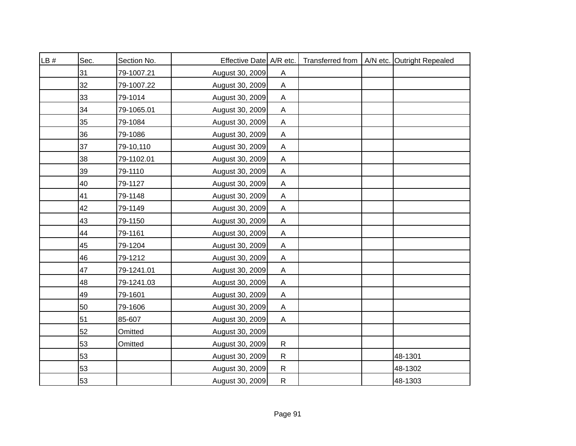| LB# | Sec. | Section No. | Effective Date A/R etc. |                           |  | Transferred from   A/N etc. Outright Repealed |
|-----|------|-------------|-------------------------|---------------------------|--|-----------------------------------------------|
|     | 31   | 79-1007.21  | August 30, 2009         | A                         |  |                                               |
|     | 32   | 79-1007.22  | August 30, 2009         | $\boldsymbol{\mathsf{A}}$ |  |                                               |
|     | 33   | 79-1014     | August 30, 2009         | A                         |  |                                               |
|     | 34   | 79-1065.01  | August 30, 2009         | $\boldsymbol{\mathsf{A}}$ |  |                                               |
|     | 35   | 79-1084     | August 30, 2009         | $\boldsymbol{\mathsf{A}}$ |  |                                               |
|     | 36   | 79-1086     | August 30, 2009         | A                         |  |                                               |
|     | 37   | 79-10,110   | August 30, 2009         | $\boldsymbol{\mathsf{A}}$ |  |                                               |
|     | 38   | 79-1102.01  | August 30, 2009         | A                         |  |                                               |
|     | 39   | 79-1110     | August 30, 2009         | $\boldsymbol{\mathsf{A}}$ |  |                                               |
|     | 40   | 79-1127     | August 30, 2009         | A                         |  |                                               |
|     | 41   | 79-1148     | August 30, 2009         | A                         |  |                                               |
|     | 42   | 79-1149     | August 30, 2009         | $\boldsymbol{\mathsf{A}}$ |  |                                               |
|     | 43   | 79-1150     | August 30, 2009         | $\mathsf A$               |  |                                               |
|     | 44   | 79-1161     | August 30, 2009         | $\boldsymbol{\mathsf{A}}$ |  |                                               |
|     | 45   | 79-1204     | August 30, 2009         | $\mathsf A$               |  |                                               |
|     | 46   | 79-1212     | August 30, 2009         | $\boldsymbol{\mathsf{A}}$ |  |                                               |
|     | 47   | 79-1241.01  | August 30, 2009         | $\boldsymbol{\mathsf{A}}$ |  |                                               |
|     | 48   | 79-1241.03  | August 30, 2009         | $\boldsymbol{\mathsf{A}}$ |  |                                               |
|     | 49   | 79-1601     | August 30, 2009         | Α                         |  |                                               |
|     | 50   | 79-1606     | August 30, 2009         | $\mathsf A$               |  |                                               |
|     | 51   | 85-607      | August 30, 2009         | $\boldsymbol{\mathsf{A}}$ |  |                                               |
|     | 52   | Omitted     | August 30, 2009         |                           |  |                                               |
|     | 53   | Omitted     | August 30, 2009         | $\mathsf{R}$              |  |                                               |
|     | 53   |             | August 30, 2009         | $\mathsf{R}$              |  | 48-1301                                       |
|     | 53   |             | August 30, 2009         | ${\sf R}$                 |  | 48-1302                                       |
|     | 53   |             | August 30, 2009         | ${\sf R}$                 |  | 48-1303                                       |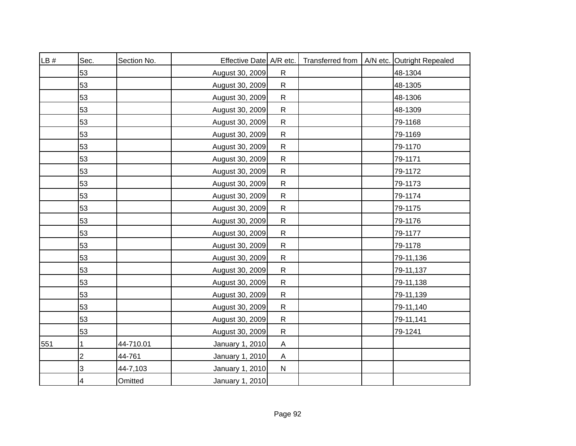| LB # | Sec. | Section No. | Effective Date A/R etc. |                           | Transferred from | A/N etc. Outright Repealed |
|------|------|-------------|-------------------------|---------------------------|------------------|----------------------------|
|      | 53   |             | August 30, 2009         | $\mathsf{R}$              |                  | 48-1304                    |
|      | 53   |             | August 30, 2009         | $\mathsf{R}$              |                  | 48-1305                    |
|      | 53   |             | August 30, 2009         | $\mathsf{R}$              |                  | 48-1306                    |
|      | 53   |             | August 30, 2009         | $\mathsf{R}$              |                  | 48-1309                    |
|      | 53   |             | August 30, 2009         | $\mathsf{R}$              |                  | 79-1168                    |
|      | 53   |             | August 30, 2009         | ${\sf R}$                 |                  | 79-1169                    |
|      | 53   |             | August 30, 2009         | ${\sf R}$                 |                  | 79-1170                    |
|      | 53   |             | August 30, 2009         | $\mathsf{R}$              |                  | 79-1171                    |
|      | 53   |             | August 30, 2009         | ${\sf R}$                 |                  | 79-1172                    |
|      | 53   |             | August 30, 2009         | $\mathsf{R}$              |                  | 79-1173                    |
|      | 53   |             | August 30, 2009         | ${\sf R}$                 |                  | 79-1174                    |
|      | 53   |             | August 30, 2009         | $\mathsf{R}$              |                  | 79-1175                    |
|      | 53   |             | August 30, 2009         | $\mathsf{R}$              |                  | 79-1176                    |
|      | 53   |             | August 30, 2009         | $\mathsf{R}$              |                  | 79-1177                    |
|      | 53   |             | August 30, 2009         | $\mathsf{R}$              |                  | 79-1178                    |
|      | 53   |             | August 30, 2009         | $\mathsf{R}$              |                  | 79-11,136                  |
|      | 53   |             | August 30, 2009         | $\mathsf{R}$              |                  | 79-11,137                  |
|      | 53   |             | August 30, 2009         | $\mathsf{R}$              |                  | 79-11,138                  |
|      | 53   |             | August 30, 2009         | $\mathsf{R}$              |                  | 79-11,139                  |
|      | 53   |             | August 30, 2009         | $\mathsf{R}$              |                  | 79-11,140                  |
|      | 53   |             | August 30, 2009         | $\mathsf{R}$              |                  | 79-11,141                  |
|      | 53   |             | August 30, 2009         | $\mathsf{R}$              |                  | 79-1241                    |
| 551  | 1    | 44-710.01   | January 1, 2010         | A                         |                  |                            |
|      | 2    | 44-761      | January 1, 2010         | $\boldsymbol{\mathsf{A}}$ |                  |                            |
|      | 3    | 44-7,103    | January 1, 2010         | $\mathsf{N}$              |                  |                            |
|      | 4    | Omitted     | January 1, 2010         |                           |                  |                            |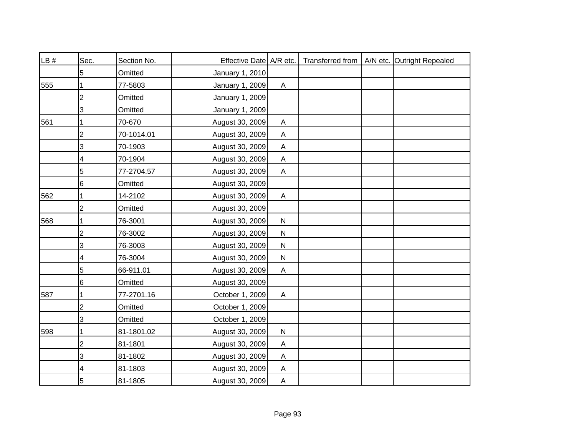| LB # | Sec.           | Section No. | Effective Date A/R etc. |                           |  | Transferred from   A/N etc. Outright Repealed |
|------|----------------|-------------|-------------------------|---------------------------|--|-----------------------------------------------|
|      | 5              | Omitted     | January 1, 2010         |                           |  |                                               |
| 555  |                | 77-5803     | January 1, 2009         | A                         |  |                                               |
|      | $\overline{2}$ | Omitted     | January 1, 2009         |                           |  |                                               |
|      | 3              | Omitted     | January 1, 2009         |                           |  |                                               |
| 561  | 1              | 70-670      | August 30, 2009         | A                         |  |                                               |
|      | $\overline{2}$ | 70-1014.01  | August 30, 2009         | A                         |  |                                               |
|      | 3              | 70-1903     | August 30, 2009         | $\boldsymbol{\mathsf{A}}$ |  |                                               |
|      | 4              | 70-1904     | August 30, 2009         | A                         |  |                                               |
|      | 5              | 77-2704.57  | August 30, 2009         | A                         |  |                                               |
|      | 6              | Omitted     | August 30, 2009         |                           |  |                                               |
| 562  |                | 14-2102     | August 30, 2009         | A                         |  |                                               |
|      | $\overline{c}$ | Omitted     | August 30, 2009         |                           |  |                                               |
| 568  |                | 76-3001     | August 30, 2009         | ${\sf N}$                 |  |                                               |
|      | $\overline{2}$ | 76-3002     | August 30, 2009         | ${\sf N}$                 |  |                                               |
|      | 3              | 76-3003     | August 30, 2009         | ${\sf N}$                 |  |                                               |
|      | 4              | 76-3004     | August 30, 2009         | ${\sf N}$                 |  |                                               |
|      | 5              | 66-911.01   | August 30, 2009         | A                         |  |                                               |
|      | 6              | Omitted     | August 30, 2009         |                           |  |                                               |
| 587  | 1              | 77-2701.16  | October 1, 2009         | A                         |  |                                               |
|      | $\overline{c}$ | Omitted     | October 1, 2009         |                           |  |                                               |
|      | 3              | Omitted     | October 1, 2009         |                           |  |                                               |
| 598  |                | 81-1801.02  | August 30, 2009         | ${\sf N}$                 |  |                                               |
|      | $\overline{2}$ | 81-1801     | August 30, 2009         | A                         |  |                                               |
|      | 3              | 81-1802     | August 30, 2009         | A                         |  |                                               |
|      | 4              | 81-1803     | August 30, 2009         | A                         |  |                                               |
|      | 5              | 81-1805     | August 30, 2009         | A                         |  |                                               |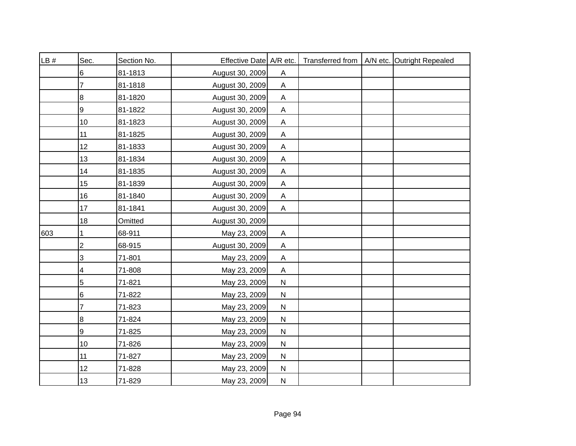| LB# | Sec.                      | Section No. | Effective Date A/R etc. |                           |  | Transferred from   A/N etc. Outright Repealed |
|-----|---------------------------|-------------|-------------------------|---------------------------|--|-----------------------------------------------|
|     | 6                         | 81-1813     | August 30, 2009         | A                         |  |                                               |
|     | 7                         | 81-1818     | August 30, 2009         | $\boldsymbol{\mathsf{A}}$ |  |                                               |
|     | 8                         | 81-1820     | August 30, 2009         | A                         |  |                                               |
|     | 9                         | 81-1822     | August 30, 2009         | $\mathsf A$               |  |                                               |
|     | 10                        | 81-1823     | August 30, 2009         | $\boldsymbol{\mathsf{A}}$ |  |                                               |
|     | 11                        | 81-1825     | August 30, 2009         | Α                         |  |                                               |
|     | 12                        | 81-1833     | August 30, 2009         | $\mathsf A$               |  |                                               |
|     | 13                        | 81-1834     | August 30, 2009         | Α                         |  |                                               |
|     | 14                        | 81-1835     | August 30, 2009         | $\boldsymbol{\mathsf{A}}$ |  |                                               |
|     | 15                        | 81-1839     | August 30, 2009         | A                         |  |                                               |
|     | 16                        | 81-1840     | August 30, 2009         | A                         |  |                                               |
|     | 17                        | 81-1841     | August 30, 2009         | $\boldsymbol{\mathsf{A}}$ |  |                                               |
|     | 18                        | Omitted     | August 30, 2009         |                           |  |                                               |
| 603 | 1                         | 68-911      | May 23, 2009            | $\mathsf A$               |  |                                               |
|     | 2                         | 68-915      | August 30, 2009         | $\boldsymbol{\mathsf{A}}$ |  |                                               |
|     | $\ensuremath{\mathsf{3}}$ | 71-801      | May 23, 2009            | $\mathsf A$               |  |                                               |
|     | 4                         | 71-808      | May 23, 2009            | $\mathsf A$               |  |                                               |
|     | 5                         | 71-821      | May 23, 2009            | ${\sf N}$                 |  |                                               |
|     | 6                         | 71-822      | May 23, 2009            | ${\sf N}$                 |  |                                               |
|     | 7                         | 71-823      | May 23, 2009            | ${\sf N}$                 |  |                                               |
|     | 8                         | 71-824      | May 23, 2009            | ${\sf N}$                 |  |                                               |
|     | 9                         | 71-825      | May 23, 2009            | ${\sf N}$                 |  |                                               |
|     | 10                        | 71-826      | May 23, 2009            | ${\sf N}$                 |  |                                               |
|     | 11                        | 71-827      | May 23, 2009            | ${\sf N}$                 |  |                                               |
|     | 12                        | 71-828      | May 23, 2009            | ${\sf N}$                 |  |                                               |
|     | 13                        | 71-829      | May 23, 2009            | ${\sf N}$                 |  |                                               |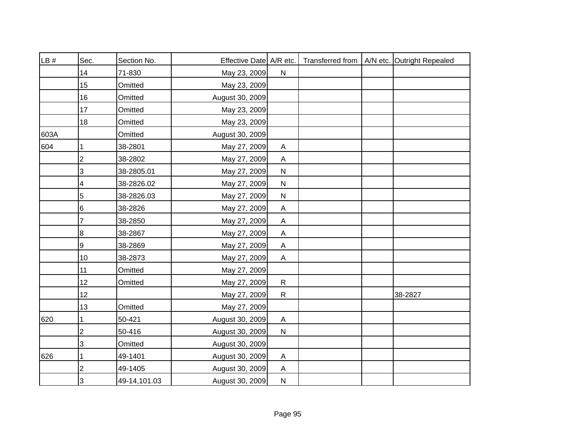| LB # | Sec.           | Section No.  | Effective Date A/R etc. |                           |  | Transferred from   A/N etc. Outright Repealed |
|------|----------------|--------------|-------------------------|---------------------------|--|-----------------------------------------------|
|      | 14             | 71-830       | May 23, 2009            | ${\sf N}$                 |  |                                               |
|      | 15             | Omitted      | May 23, 2009            |                           |  |                                               |
|      | 16             | Omitted      | August 30, 2009         |                           |  |                                               |
|      | 17             | Omitted      | May 23, 2009            |                           |  |                                               |
|      | 18             | Omitted      | May 23, 2009            |                           |  |                                               |
| 603A |                | Omitted      | August 30, 2009         |                           |  |                                               |
| 604  |                | 38-2801      | May 27, 2009            | A                         |  |                                               |
|      | $\overline{2}$ | 38-2802      | May 27, 2009            | A                         |  |                                               |
|      | 3              | 38-2805.01   | May 27, 2009            | $\mathsf{N}$              |  |                                               |
|      | 4              | 38-2826.02   | May 27, 2009            | ${\sf N}$                 |  |                                               |
|      | 5              | 38-2826.03   | May 27, 2009            | ${\sf N}$                 |  |                                               |
|      | 6              | 38-2826      | May 27, 2009            | $\boldsymbol{\mathsf{A}}$ |  |                                               |
|      | 7              | 38-2850      | May 27, 2009            | $\mathsf{A}$              |  |                                               |
|      | 8              | 38-2867      | May 27, 2009            | $\boldsymbol{\mathsf{A}}$ |  |                                               |
|      | 9              | 38-2869      | May 27, 2009            | $\mathsf{A}$              |  |                                               |
|      | 10             | 38-2873      | May 27, 2009            | A                         |  |                                               |
|      | 11             | Omitted      | May 27, 2009            |                           |  |                                               |
|      | 12             | Omitted      | May 27, 2009            | $\mathsf{R}$              |  |                                               |
|      | 12             |              | May 27, 2009            | $\mathsf{R}$              |  | 38-2827                                       |
|      | 13             | Omitted      | May 27, 2009            |                           |  |                                               |
| 620  |                | 50-421       | August 30, 2009         | A                         |  |                                               |
|      | 2              | 50-416       | August 30, 2009         | ${\sf N}$                 |  |                                               |
|      | 3              | Omitted      | August 30, 2009         |                           |  |                                               |
| 626  | 1              | 49-1401      | August 30, 2009         | A                         |  |                                               |
|      | $\overline{2}$ | 49-1405      | August 30, 2009         | A                         |  |                                               |
|      | 3              | 49-14,101.03 | August 30, 2009         | $\mathsf{N}$              |  |                                               |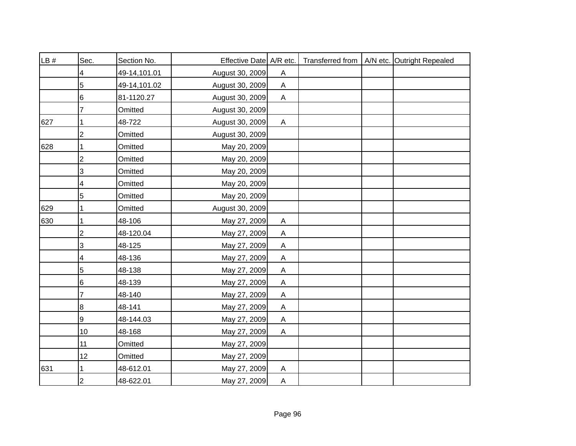| LB # | Sec.           | Section No.  | Effective Date A/R etc. |                           |  | Transferred from   A/N etc. Outright Repealed |
|------|----------------|--------------|-------------------------|---------------------------|--|-----------------------------------------------|
|      | 4              | 49-14,101.01 | August 30, 2009         | Α                         |  |                                               |
|      | 5              | 49-14,101.02 | August 30, 2009         | $\mathsf A$               |  |                                               |
|      | 6              | 81-1120.27   | August 30, 2009         | A                         |  |                                               |
|      |                | Omitted      | August 30, 2009         |                           |  |                                               |
| 627  |                | 48-722       | August 30, 2009         | A                         |  |                                               |
|      | $\overline{2}$ | Omitted      | August 30, 2009         |                           |  |                                               |
| 628  |                | Omitted      | May 20, 2009            |                           |  |                                               |
|      | $\overline{2}$ | Omitted      | May 20, 2009            |                           |  |                                               |
|      | 3              | Omitted      | May 20, 2009            |                           |  |                                               |
|      | 4              | Omitted      | May 20, 2009            |                           |  |                                               |
|      | 5              | Omitted      | May 20, 2009            |                           |  |                                               |
| 629  |                | Omitted      | August 30, 2009         |                           |  |                                               |
| 630  |                | 48-106       | May 27, 2009            | $\boldsymbol{\mathsf{A}}$ |  |                                               |
|      | $\overline{2}$ | 48-120.04    | May 27, 2009            | A                         |  |                                               |
|      | 3              | 48-125       | May 27, 2009            | $\boldsymbol{\mathsf{A}}$ |  |                                               |
|      | 4              | 48-136       | May 27, 2009            | $\boldsymbol{\mathsf{A}}$ |  |                                               |
|      | 5              | 48-138       | May 27, 2009            | $\boldsymbol{\mathsf{A}}$ |  |                                               |
|      | 6              | 48-139       | May 27, 2009            | $\boldsymbol{\mathsf{A}}$ |  |                                               |
|      | 7              | 48-140       | May 27, 2009            | $\boldsymbol{\mathsf{A}}$ |  |                                               |
|      | 8              | 48-141       | May 27, 2009            | $\boldsymbol{\mathsf{A}}$ |  |                                               |
|      | 9              | 48-144.03    | May 27, 2009            | A                         |  |                                               |
|      | 10             | 48-168       | May 27, 2009            | A                         |  |                                               |
|      | 11             | Omitted      | May 27, 2009            |                           |  |                                               |
|      | 12             | Omitted      | May 27, 2009            |                           |  |                                               |
| 631  |                | 48-612.01    | May 27, 2009            | A                         |  |                                               |
|      | $\overline{c}$ | 48-622.01    | May 27, 2009            | $\boldsymbol{\mathsf{A}}$ |  |                                               |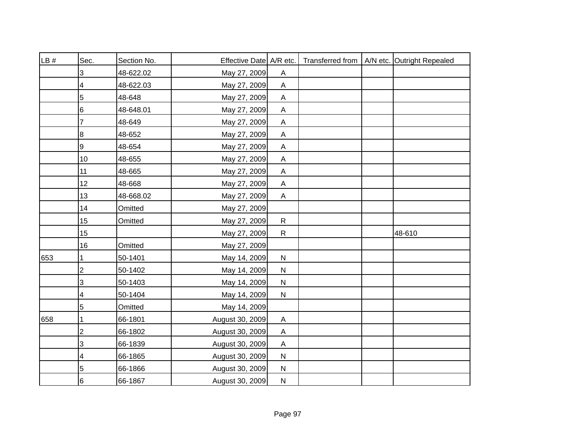| LB # | Sec.           | Section No. | Effective Date A/R etc. |                           |  | Transferred from   A/N etc. Outright Repealed |
|------|----------------|-------------|-------------------------|---------------------------|--|-----------------------------------------------|
|      | 3              | 48-622.02   | May 27, 2009            | Α                         |  |                                               |
|      | 4              | 48-622.03   | May 27, 2009            | $\boldsymbol{\mathsf{A}}$ |  |                                               |
|      | 5              | 48-648      | May 27, 2009            | A                         |  |                                               |
|      | 6              | 48-648.01   | May 27, 2009            | $\boldsymbol{\mathsf{A}}$ |  |                                               |
|      | 7              | 48-649      | May 27, 2009            | A                         |  |                                               |
|      | 8              | 48-652      | May 27, 2009            | Α                         |  |                                               |
|      | 9              | 48-654      | May 27, 2009            | $\boldsymbol{\mathsf{A}}$ |  |                                               |
|      | 10             | 48-655      | May 27, 2009            | $\mathsf{A}$              |  |                                               |
|      | 11             | 48-665      | May 27, 2009            | $\boldsymbol{\mathsf{A}}$ |  |                                               |
|      | 12             | 48-668      | May 27, 2009            | A                         |  |                                               |
|      | 13             | 48-668.02   | May 27, 2009            | A                         |  |                                               |
|      | 14             | Omitted     | May 27, 2009            |                           |  |                                               |
|      | 15             | Omitted     | May 27, 2009            | $\mathsf{R}$              |  |                                               |
|      | 15             |             | May 27, 2009            | $\mathsf{R}$              |  | 48-610                                        |
|      | 16             | Omitted     | May 27, 2009            |                           |  |                                               |
| 653  | 1              | 50-1401     | May 14, 2009            | ${\sf N}$                 |  |                                               |
|      | $\overline{2}$ | 50-1402     | May 14, 2009            | $\mathsf{N}$              |  |                                               |
|      | 3              | 50-1403     | May 14, 2009            | ${\sf N}$                 |  |                                               |
|      | 4              | 50-1404     | May 14, 2009            | ${\sf N}$                 |  |                                               |
|      | 5              | Omitted     | May 14, 2009            |                           |  |                                               |
| 658  |                | 66-1801     | August 30, 2009         | A                         |  |                                               |
|      | $\overline{c}$ | 66-1802     | August 30, 2009         | A                         |  |                                               |
|      | 3              | 66-1839     | August 30, 2009         | A                         |  |                                               |
|      | 4              | 66-1865     | August 30, 2009         | ${\sf N}$                 |  |                                               |
|      | 5              | 66-1866     | August 30, 2009         | $\mathsf{N}$              |  |                                               |
|      | 6              | 66-1867     | August 30, 2009         | $\mathsf{N}$              |  |                                               |